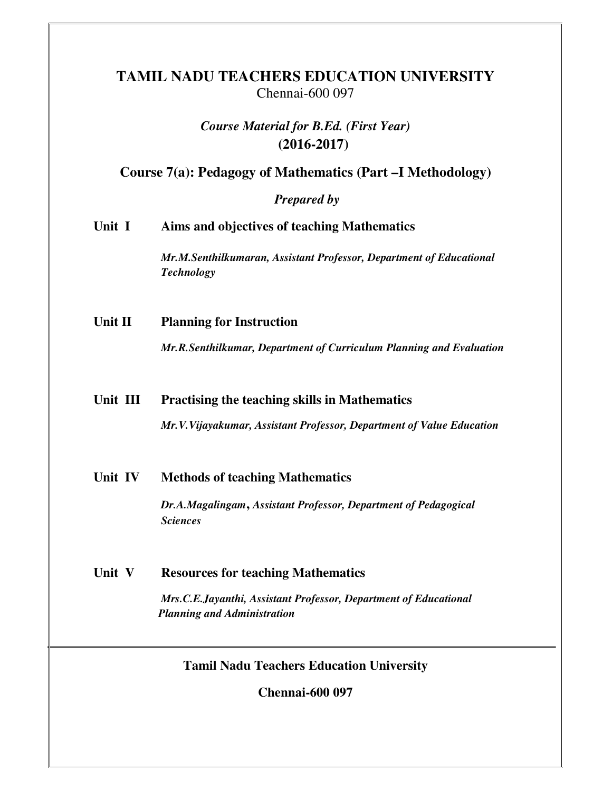# **TAMIL NADU TEACHERS EDUCATION UNIVERSITY**  Chennai-600 097

# *Course Material for B.Ed. (First Year)*  **(2016-2017)**

# **Course 7(a): Pedagogy of Mathematics (Part –I Methodology)**

## *Prepared by*

## **Unit I Aims and objectives of teaching Mathematics**

*Mr.M.Senthilkumaran, Assistant Professor, Department of Educational Technology* 

## **Unit II Planning for Instruction**

*Mr.R.Senthilkumar, Department of Curriculum Planning and Evaluation* 

## **Unit III Practising the teaching skills in Mathematics**

*Mr.V.Vijayakumar, Assistant Professor, Department of Value Education* 

## **Unit IV Methods of teaching Mathematics**

*Dr.A.Magalingam***,** *Assistant Professor, Department of Pedagogical Sciences*

## **Unit V Resources for teaching Mathematics**

*Mrs.C.E.Jayanthi, Assistant Professor, Department of Educational Planning and Administration*

## **Tamil Nadu Teachers Education University**

**Chennai-600 097**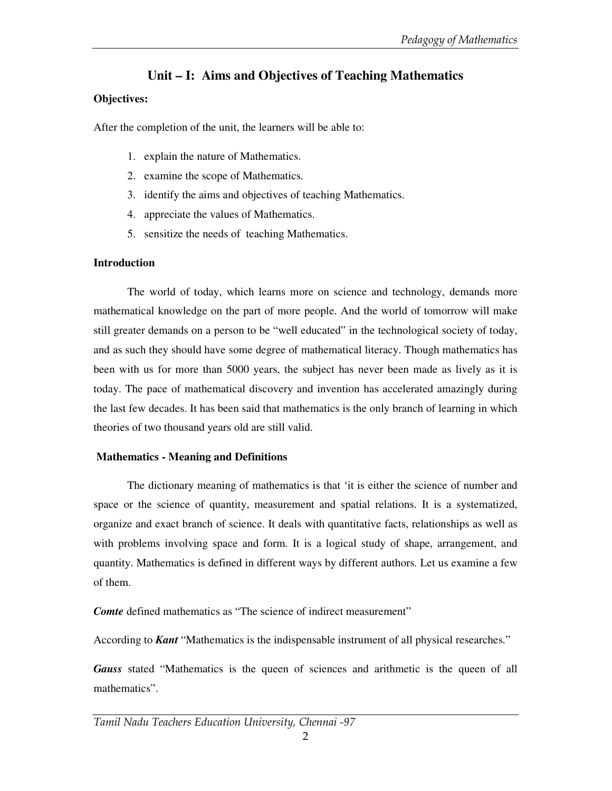# **Unit – I: Aims and Objectives of Teaching Mathematics**

### **Objectives:**

After the completion of the unit, the learners will be able to:

- 1. explain the nature of Mathematics.
- 2. examine the scope of Mathematics.
- 3. identify the aims and objectives of teaching Mathematics.
- 4. appreciate the values of Mathematics.
- 5. sensitize the needs of teaching Mathematics.

### **Introduction**

 The world of today, which learns more on science and technology, demands more mathematical knowledge on the part of more people. And the world of tomorrow will make still greater demands on a person to be "well educated" in the technological society of today, and as such they should have some degree of mathematical literacy. Though mathematics has been with us for more than 5000 years, the subject has never been made as lively as it is today. The pace of mathematical discovery and invention has accelerated amazingly during the last few decades. It has been said that mathematics is the only branch of learning in which theories of two thousand years old are still valid.

### **Mathematics - Meaning and Definitions**

The dictionary meaning of mathematics is that 'it is either the science of number and space or the science of quantity, measurement and spatial relations. It is a systematized, organize and exact branch of science. It deals with quantitative facts, relationships as well as with problems involving space and form. It is a logical study of shape, arrangement, and quantity. Mathematics is defined in different ways by different authors. Let us examine a few of them.

*Comte* defined mathematics as "The science of indirect measurement"

According to *Kant* "Mathematics is the indispensable instrument of all physical researches."

*Gauss* stated "Mathematics is the queen of sciences and arithmetic is the queen of all mathematics".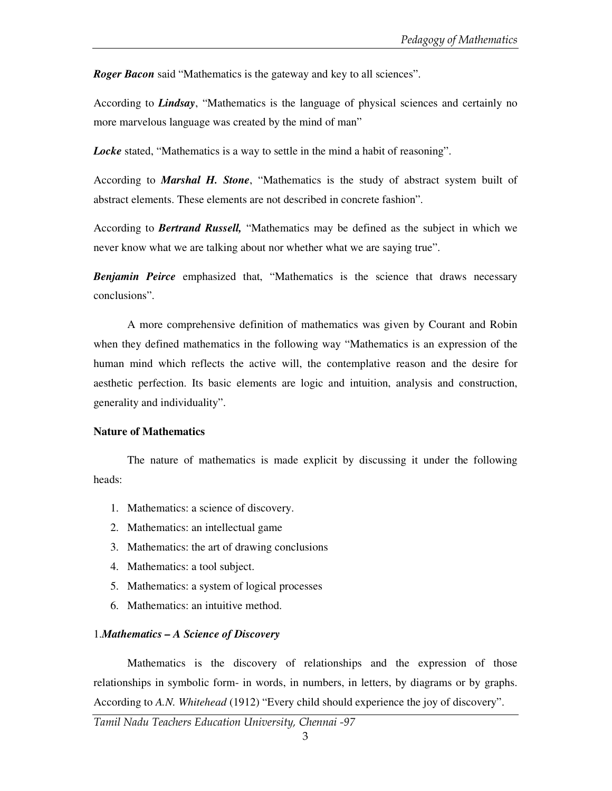**Roger Bacon** said "Mathematics is the gateway and key to all sciences".

According to *Lindsay*, "Mathematics is the language of physical sciences and certainly no more marvelous language was created by the mind of man"

*Locke* stated, "Mathematics is a way to settle in the mind a habit of reasoning".

According to *Marshal H. Stone*, "Mathematics is the study of abstract system built of abstract elements. These elements are not described in concrete fashion".

According to *Bertrand Russell,* "Mathematics may be defined as the subject in which we never know what we are talking about nor whether what we are saying true".

*Benjamin Peirce* emphasized that, "Mathematics is the science that draws necessary conclusions".

 A more comprehensive definition of mathematics was given by Courant and Robin when they defined mathematics in the following way "Mathematics is an expression of the human mind which reflects the active will, the contemplative reason and the desire for aesthetic perfection. Its basic elements are logic and intuition, analysis and construction, generality and individuality".

#### **Nature of Mathematics**

 The nature of mathematics is made explicit by discussing it under the following heads:

- 1. Mathematics: a science of discovery.
- 2. Mathematics: an intellectual game
- 3. Mathematics: the art of drawing conclusions
- 4. Mathematics: a tool subject.
- 5. Mathematics: a system of logical processes
- 6. Mathematics: an intuitive method.

#### 1.*Mathematics – A Science of Discovery*

Mathematics is the discovery of relationships and the expression of those relationships in symbolic form- in words, in numbers, in letters, by diagrams or by graphs. According to *A.N. Whitehead* (1912) "Every child should experience the joy of discovery".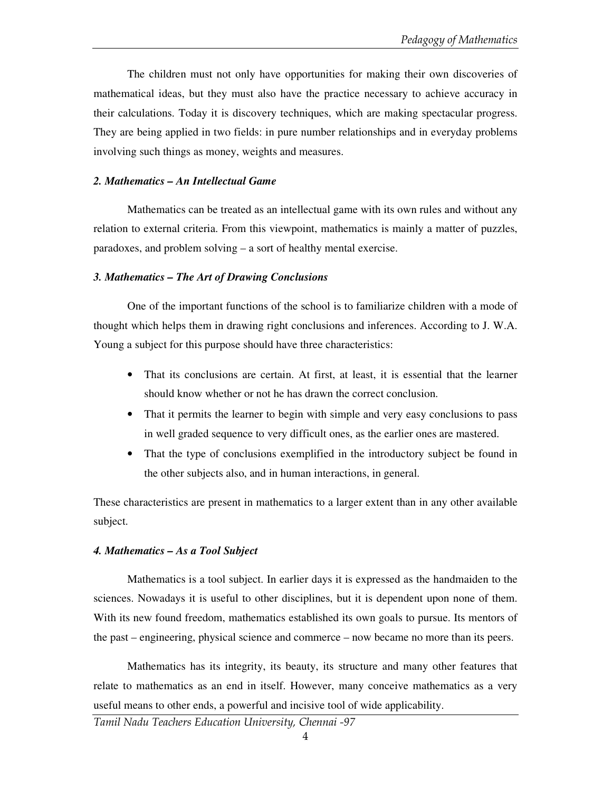The children must not only have opportunities for making their own discoveries of mathematical ideas, but they must also have the practice necessary to achieve accuracy in their calculations. Today it is discovery techniques, which are making spectacular progress. They are being applied in two fields: in pure number relationships and in everyday problems involving such things as money, weights and measures.

#### *2. Mathematics – An Intellectual Game*

 Mathematics can be treated as an intellectual game with its own rules and without any relation to external criteria. From this viewpoint, mathematics is mainly a matter of puzzles, paradoxes, and problem solving – a sort of healthy mental exercise.

#### *3. Mathematics – The Art of Drawing Conclusions*

 One of the important functions of the school is to familiarize children with a mode of thought which helps them in drawing right conclusions and inferences. According to J. W.A. Young a subject for this purpose should have three characteristics:

- That its conclusions are certain. At first, at least, it is essential that the learner should know whether or not he has drawn the correct conclusion.
- That it permits the learner to begin with simple and very easy conclusions to pass in well graded sequence to very difficult ones, as the earlier ones are mastered.
- That the type of conclusions exemplified in the introductory subject be found in the other subjects also, and in human interactions, in general.

These characteristics are present in mathematics to a larger extent than in any other available subject.

#### *4. Mathematics – As a Tool Subject*

Mathematics is a tool subject. In earlier days it is expressed as the handmaiden to the sciences. Nowadays it is useful to other disciplines, but it is dependent upon none of them. With its new found freedom, mathematics established its own goals to pursue. Its mentors of the past – engineering, physical science and commerce – now became no more than its peers.

 Mathematics has its integrity, its beauty, its structure and many other features that relate to mathematics as an end in itself. However, many conceive mathematics as a very useful means to other ends, a powerful and incisive tool of wide applicability.

*Tamil Nadu Teachers Education University, Chennai -97*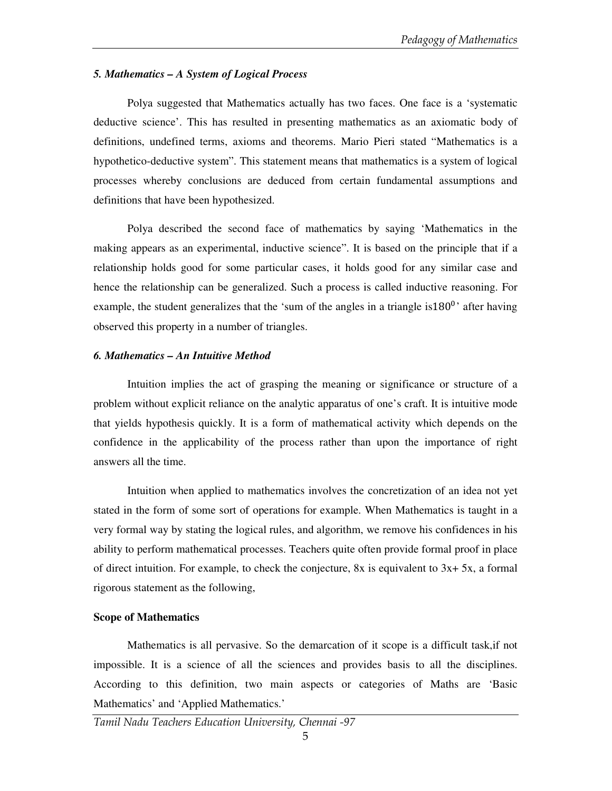#### *5. Mathematics – A System of Logical Process*

 Polya suggested that Mathematics actually has two faces. One face is a 'systematic deductive science'. This has resulted in presenting mathematics as an axiomatic body of definitions, undefined terms, axioms and theorems. Mario Pieri stated "Mathematics is a hypothetico-deductive system". This statement means that mathematics is a system of logical processes whereby conclusions are deduced from certain fundamental assumptions and definitions that have been hypothesized.

 Polya described the second face of mathematics by saying 'Mathematics in the making appears as an experimental, inductive science". It is based on the principle that if a relationship holds good for some particular cases, it holds good for any similar case and hence the relationship can be generalized. Such a process is called inductive reasoning. For example, the student generalizes that the 'sum of the angles in a triangle is  $180^0$ ' after having observed this property in a number of triangles.

#### *6. Mathematics – An Intuitive Method*

 Intuition implies the act of grasping the meaning or significance or structure of a problem without explicit reliance on the analytic apparatus of one's craft. It is intuitive mode that yields hypothesis quickly. It is a form of mathematical activity which depends on the confidence in the applicability of the process rather than upon the importance of right answers all the time.

 Intuition when applied to mathematics involves the concretization of an idea not yet stated in the form of some sort of operations for example. When Mathematics is taught in a very formal way by stating the logical rules, and algorithm, we remove his confidences in his ability to perform mathematical processes. Teachers quite often provide formal proof in place of direct intuition. For example, to check the conjecture, 8x is equivalent to  $3x+5x$ , a formal rigorous statement as the following,

#### **Scope of Mathematics**

Mathematics is all pervasive. So the demarcation of it scope is a difficult task,if not impossible. It is a science of all the sciences and provides basis to all the disciplines. According to this definition, two main aspects or categories of Maths are 'Basic Mathematics' and 'Applied Mathematics.'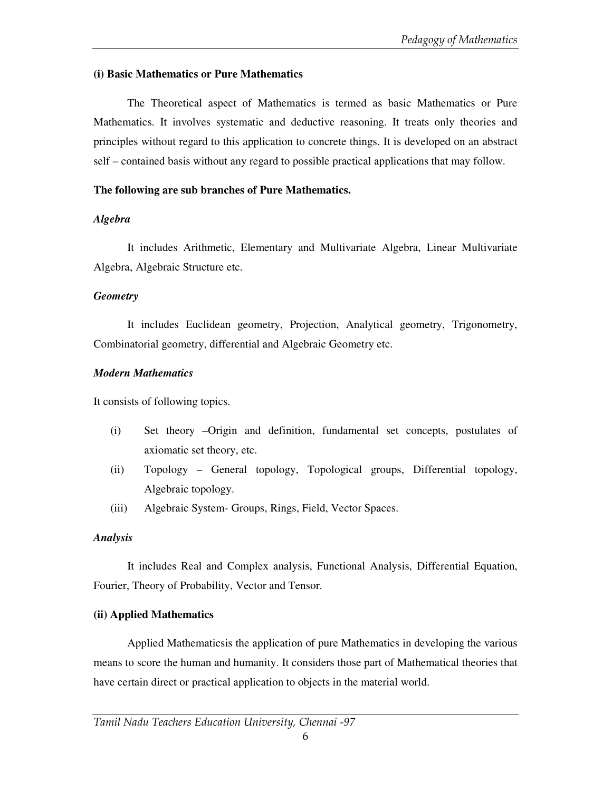### **(i) Basic Mathematics or Pure Mathematics**

The Theoretical aspect of Mathematics is termed as basic Mathematics or Pure Mathematics. It involves systematic and deductive reasoning. It treats only theories and principles without regard to this application to concrete things. It is developed on an abstract self – contained basis without any regard to possible practical applications that may follow.

### **The following are sub branches of Pure Mathematics.**

### *Algebra*

 It includes Arithmetic, Elementary and Multivariate Algebra, Linear Multivariate Algebra, Algebraic Structure etc.

### *Geometry*

 It includes Euclidean geometry, Projection, Analytical geometry, Trigonometry, Combinatorial geometry, differential and Algebraic Geometry etc.

### *Modern Mathematics*

It consists of following topics.

- (i) Set theory –Origin and definition, fundamental set concepts, postulates of axiomatic set theory, etc.
- (ii) Topology General topology, Topological groups, Differential topology, Algebraic topology.
- (iii) Algebraic System- Groups, Rings, Field, Vector Spaces.

### *Analysis*

 It includes Real and Complex analysis, Functional Analysis, Differential Equation, Fourier, Theory of Probability, Vector and Tensor.

### **(ii) Applied Mathematics**

 Applied Mathematicsis the application of pure Mathematics in developing the various means to score the human and humanity. It considers those part of Mathematical theories that have certain direct or practical application to objects in the material world.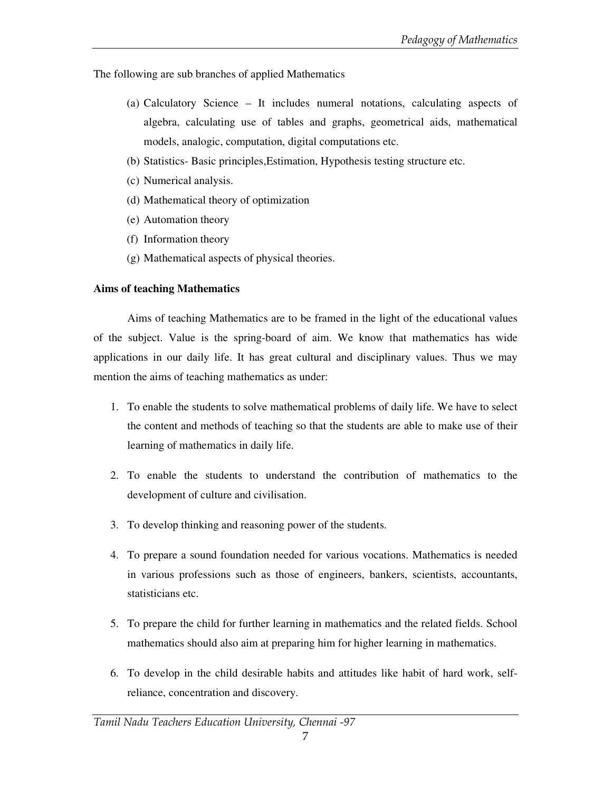The following are sub branches of applied Mathematics

- (a) Calculatory Science It includes numeral notations, calculating aspects of algebra, calculating use of tables and graphs, geometrical aids, mathematical models, analogic, computation, digital computations etc.
- (b) Statistics- Basic principles,Estimation, Hypothesis testing structure etc.
- (c) Numerical analysis.
- (d) Mathematical theory of optimization
- (e) Automation theory
- (f) Information theory
- (g) Mathematical aspects of physical theories.

## **Aims of teaching Mathematics**

 Aims of teaching Mathematics are to be framed in the light of the educational values of the subject. Value is the spring-board of aim. We know that mathematics has wide applications in our daily life. It has great cultural and disciplinary values. Thus we may mention the aims of teaching mathematics as under:

- 1. To enable the students to solve mathematical problems of daily life. We have to select the content and methods of teaching so that the students are able to make use of their learning of mathematics in daily life.
- 2. To enable the students to understand the contribution of mathematics to the development of culture and civilisation.
- 3. To develop thinking and reasoning power of the students.
- 4. To prepare a sound foundation needed for various vocations. Mathematics is needed in various professions such as those of engineers, bankers, scientists, accountants, statisticians etc.
- 5. To prepare the child for further learning in mathematics and the related fields. School mathematics should also aim at preparing him for higher learning in mathematics.
- 6. To develop in the child desirable habits and attitudes like habit of hard work, selfreliance, concentration and discovery.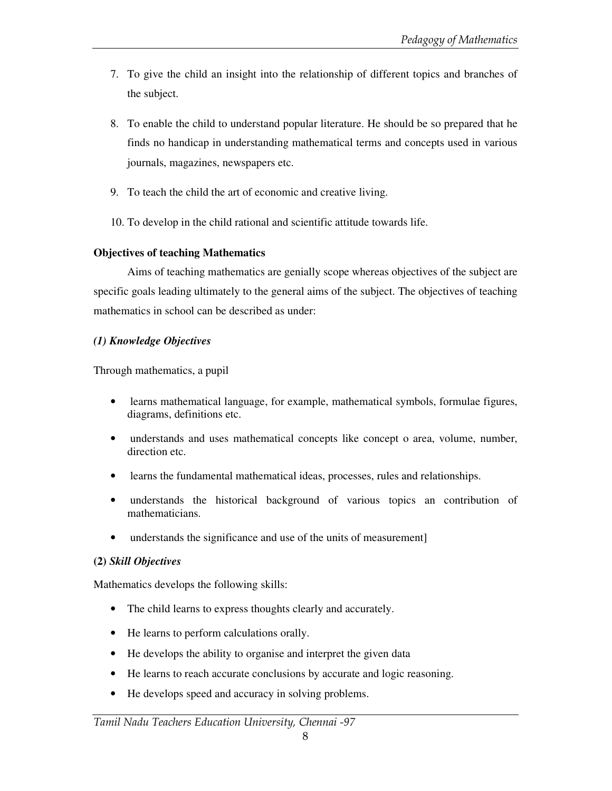- 7. To give the child an insight into the relationship of different topics and branches of the subject.
- 8. To enable the child to understand popular literature. He should be so prepared that he finds no handicap in understanding mathematical terms and concepts used in various journals, magazines, newspapers etc.
- 9. To teach the child the art of economic and creative living.
- 10. To develop in the child rational and scientific attitude towards life.

### **Objectives of teaching Mathematics**

 Aims of teaching mathematics are genially scope whereas objectives of the subject are specific goals leading ultimately to the general aims of the subject. The objectives of teaching mathematics in school can be described as under:

## *(1) Knowledge Objectives*

Through mathematics, a pupil

- learns mathematical language, for example, mathematical symbols, formulae figures, diagrams, definitions etc.
- understands and uses mathematical concepts like concept o area, volume, number, direction etc.
- learns the fundamental mathematical ideas, processes, rules and relationships.
- understands the historical background of various topics an contribution of mathematicians.
- understands the significance and use of the units of measurement

### **(2)** *Skill Objectives*

Mathematics develops the following skills:

- The child learns to express thoughts clearly and accurately.
- He learns to perform calculations orally.
- He develops the ability to organise and interpret the given data
- He learns to reach accurate conclusions by accurate and logic reasoning.
- He develops speed and accuracy in solving problems.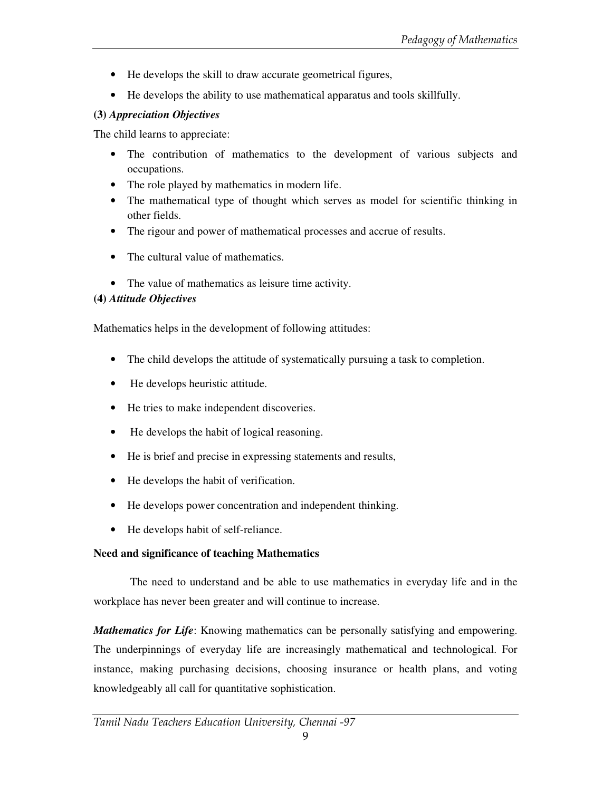- He develops the skill to draw accurate geometrical figures,
- He develops the ability to use mathematical apparatus and tools skillfully.

## **(3)** *Appreciation Objectives*

The child learns to appreciate:

- The contribution of mathematics to the development of various subjects and occupations.
- The role played by mathematics in modern life.
- The mathematical type of thought which serves as model for scientific thinking in other fields.
- The rigour and power of mathematical processes and accrue of results.
- The cultural value of mathematics.
- The value of mathematics as leisure time activity.

## **(4)** *Attitude Objectives*

Mathematics helps in the development of following attitudes:

- The child develops the attitude of systematically pursuing a task to completion.
- He develops heuristic attitude.
- He tries to make independent discoveries.
- He develops the habit of logical reasoning.
- He is brief and precise in expressing statements and results,
- He develops the habit of verification.
- He develops power concentration and independent thinking.
- He develops habit of self-reliance.

## **Need and significance of teaching Mathematics**

 The need to understand and be able to use mathematics in everyday life and in the workplace has never been greater and will continue to increase.

*Mathematics for Life:* Knowing mathematics can be personally satisfying and empowering. The underpinnings of everyday life are increasingly mathematical and technological. For instance, making purchasing decisions, choosing insurance or health plans, and voting knowledgeably all call for quantitative sophistication.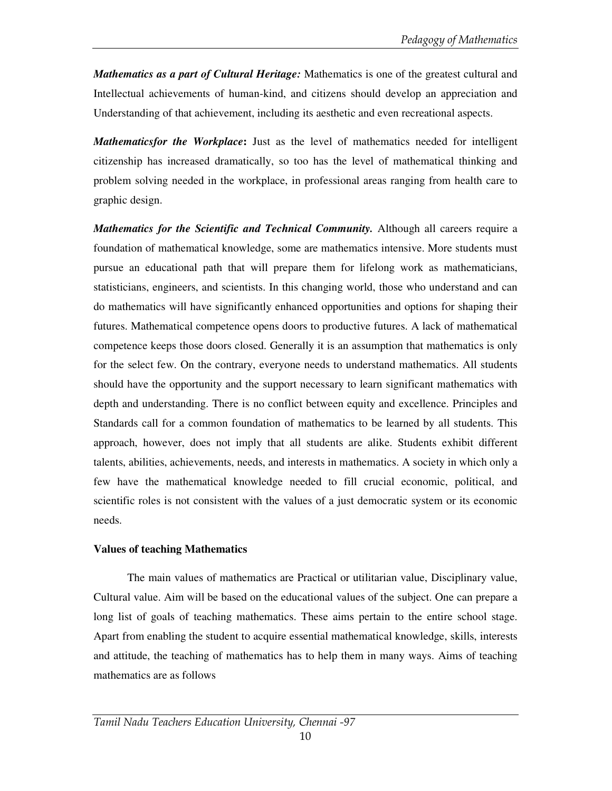*Mathematics as a part of Cultural Heritage:* Mathematics is one of the greatest cultural and Intellectual achievements of human-kind, and citizens should develop an appreciation and Understanding of that achievement, including its aesthetic and even recreational aspects.

*Mathematicsfor the Workplace***:** Just as the level of mathematics needed for intelligent citizenship has increased dramatically, so too has the level of mathematical thinking and problem solving needed in the workplace, in professional areas ranging from health care to graphic design.

*Mathematics for the Scientific and Technical Community.* Although all careers require a foundation of mathematical knowledge, some are mathematics intensive. More students must pursue an educational path that will prepare them for lifelong work as mathematicians, statisticians, engineers, and scientists. In this changing world, those who understand and can do mathematics will have significantly enhanced opportunities and options for shaping their futures. Mathematical competence opens doors to productive futures. A lack of mathematical competence keeps those doors closed. Generally it is an assumption that mathematics is only for the select few. On the contrary, everyone needs to understand mathematics. All students should have the opportunity and the support necessary to learn significant mathematics with depth and understanding. There is no conflict between equity and excellence. Principles and Standards call for a common foundation of mathematics to be learned by all students. This approach, however, does not imply that all students are alike. Students exhibit different talents, abilities, achievements, needs, and interests in mathematics. A society in which only a few have the mathematical knowledge needed to fill crucial economic, political, and scientific roles is not consistent with the values of a just democratic system or its economic needs.

#### **Values of teaching Mathematics**

 The main values of mathematics are Practical or utilitarian value, Disciplinary value, Cultural value. Aim will be based on the educational values of the subject. One can prepare a long list of goals of teaching mathematics. These aims pertain to the entire school stage. Apart from enabling the student to acquire essential mathematical knowledge, skills, interests and attitude, the teaching of mathematics has to help them in many ways. Aims of teaching mathematics are as follows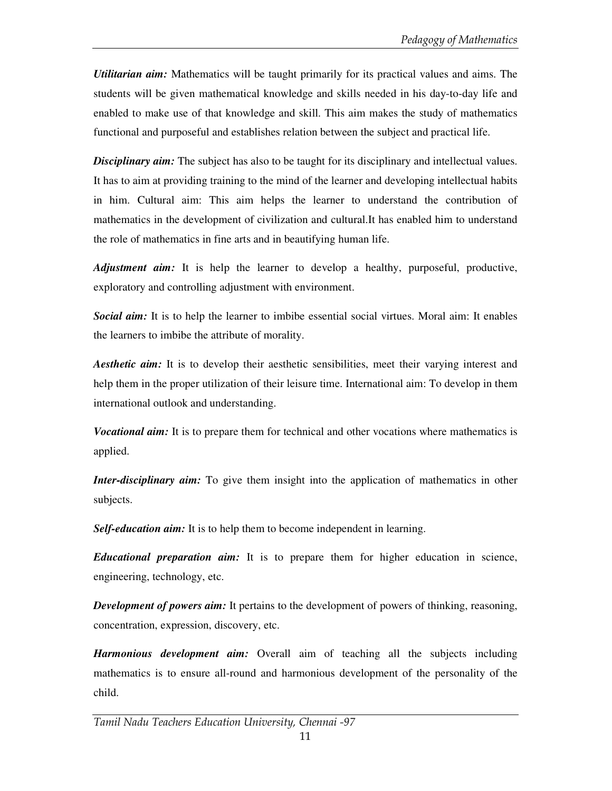*Utilitarian aim:* Mathematics will be taught primarily for its practical values and aims. The students will be given mathematical knowledge and skills needed in his day-to-day life and enabled to make use of that knowledge and skill. This aim makes the study of mathematics functional and purposeful and establishes relation between the subject and practical life.

**Disciplinary aim:** The subject has also to be taught for its disciplinary and intellectual values. It has to aim at providing training to the mind of the learner and developing intellectual habits in him. Cultural aim: This aim helps the learner to understand the contribution of mathematics in the development of civilization and cultural.It has enabled him to understand the role of mathematics in fine arts and in beautifying human life.

*Adjustment aim:* It is help the learner to develop a healthy, purposeful, productive, exploratory and controlling adjustment with environment.

*Social aim:* It is to help the learner to imbibe essential social virtues. Moral aim: It enables the learners to imbibe the attribute of morality.

*Aesthetic aim:* It is to develop their aesthetic sensibilities, meet their varying interest and help them in the proper utilization of their leisure time. International aim: To develop in them international outlook and understanding.

*Vocational aim:* It is to prepare them for technical and other vocations where mathematics is applied.

*Inter-disciplinary aim:* To give them insight into the application of mathematics in other subjects.

*Self-education aim:* It is to help them to become independent in learning.

*Educational preparation aim:* It is to prepare them for higher education in science, engineering, technology, etc.

*Development of powers aim:* It pertains to the development of powers of thinking, reasoning, concentration, expression, discovery, etc.

*Harmonious development aim:* Overall aim of teaching all the subjects including mathematics is to ensure all-round and harmonious development of the personality of the child.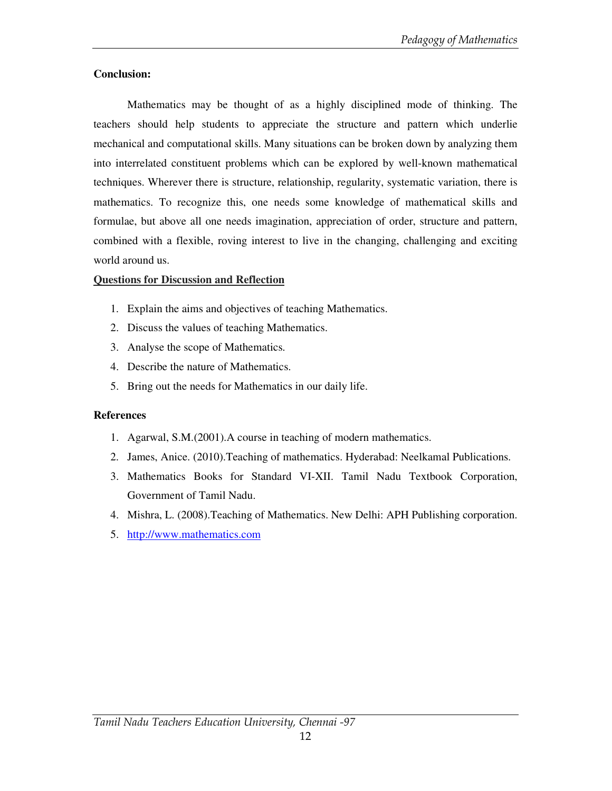### **Conclusion:**

Mathematics may be thought of as a highly disciplined mode of thinking. The teachers should help students to appreciate the structure and pattern which underlie mechanical and computational skills. Many situations can be broken down by analyzing them into interrelated constituent problems which can be explored by well-known mathematical techniques. Wherever there is structure, relationship, regularity, systematic variation, there is mathematics. To recognize this, one needs some knowledge of mathematical skills and formulae, but above all one needs imagination, appreciation of order, structure and pattern, combined with a flexible, roving interest to live in the changing, challenging and exciting world around us.

### **Questions for Discussion and Reflection**

- 1. Explain the aims and objectives of teaching Mathematics.
- 2. Discuss the values of teaching Mathematics.
- 3. Analyse the scope of Mathematics.
- 4. Describe the nature of Mathematics.
- 5. Bring out the needs for Mathematics in our daily life.

### **References**

- 1. Agarwal, S.M.(2001).A course in teaching of modern mathematics.
- 2. James, Anice. (2010).Teaching of mathematics. Hyderabad: Neelkamal Publications.
- 3. Mathematics Books for Standard VI-XII. Tamil Nadu Textbook Corporation, Government of Tamil Nadu.
- 4. Mishra, L. (2008).Teaching of Mathematics. New Delhi: APH Publishing corporation.
- 5. http://www.mathematics.com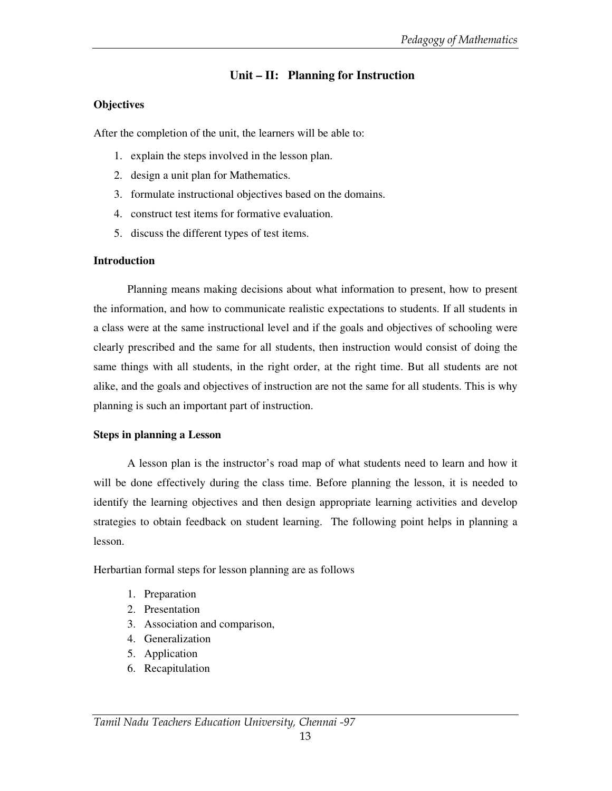## **Unit – II: Planning for Instruction**

## **Objectives**

After the completion of the unit, the learners will be able to:

- 1. explain the steps involved in the lesson plan.
- 2. design a unit plan for Mathematics.
- 3. formulate instructional objectives based on the domains.
- 4. construct test items for formative evaluation.
- 5. discuss the different types of test items.

### **Introduction**

Planning means making decisions about what information to present, how to present the information, and how to communicate realistic expectations to students. If all students in a class were at the same instructional level and if the goals and objectives of schooling were clearly prescribed and the same for all students, then instruction would consist of doing the same things with all students, in the right order, at the right time. But all students are not alike, and the goals and objectives of instruction are not the same for all students. This is why planning is such an important part of instruction.

### **Steps in planning a Lesson**

A lesson plan is the instructor's road map of what students need to learn and how it will be done effectively during the class time. Before planning the lesson, it is needed to identify the learning objectives and then design appropriate learning activities and develop strategies to obtain feedback on student learning. The following point helps in planning a lesson.

Herbartian formal steps for lesson planning are as follows

- 1. Preparation
- 2. Presentation
- 3. Association and comparison,
- 4. Generalization
- 5. Application
- 6. Recapitulation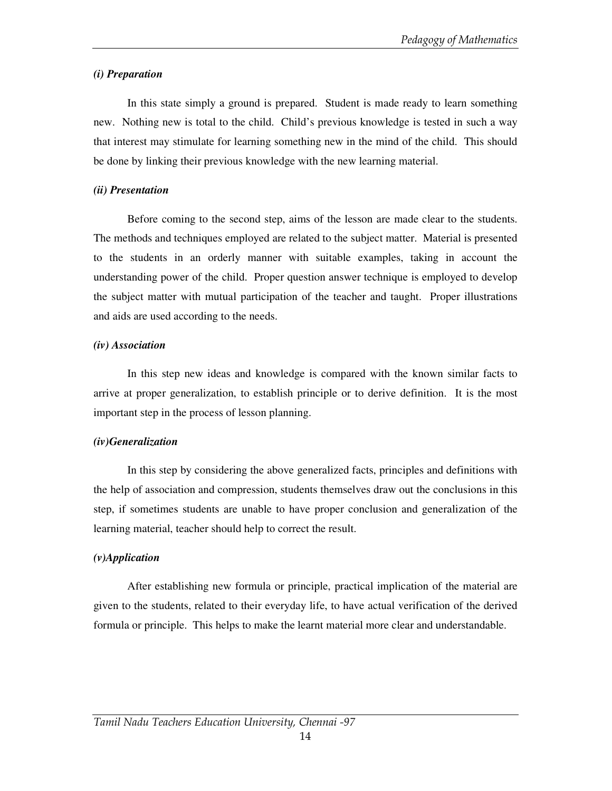#### *(i) Preparation*

In this state simply a ground is prepared. Student is made ready to learn something new. Nothing new is total to the child. Child's previous knowledge is tested in such a way that interest may stimulate for learning something new in the mind of the child. This should be done by linking their previous knowledge with the new learning material.

#### *(ii) Presentation*

Before coming to the second step, aims of the lesson are made clear to the students. The methods and techniques employed are related to the subject matter. Material is presented to the students in an orderly manner with suitable examples, taking in account the understanding power of the child. Proper question answer technique is employed to develop the subject matter with mutual participation of the teacher and taught. Proper illustrations and aids are used according to the needs.

#### *(iv) Association*

 In this step new ideas and knowledge is compared with the known similar facts to arrive at proper generalization, to establish principle or to derive definition. It is the most important step in the process of lesson planning.

#### *(iv)Generalization*

In this step by considering the above generalized facts, principles and definitions with the help of association and compression, students themselves draw out the conclusions in this step, if sometimes students are unable to have proper conclusion and generalization of the learning material, teacher should help to correct the result.

### *(v)Application*

After establishing new formula or principle, practical implication of the material are given to the students, related to their everyday life, to have actual verification of the derived formula or principle. This helps to make the learnt material more clear and understandable.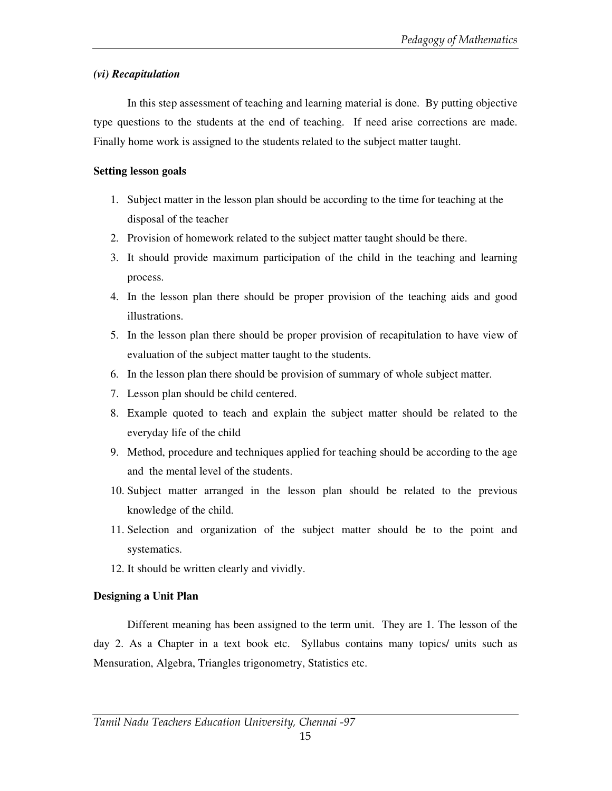### *(vi) Recapitulation*

In this step assessment of teaching and learning material is done. By putting objective type questions to the students at the end of teaching. If need arise corrections are made. Finally home work is assigned to the students related to the subject matter taught.

### **Setting lesson goals**

- 1. Subject matter in the lesson plan should be according to the time for teaching at the disposal of the teacher
- 2. Provision of homework related to the subject matter taught should be there.
- 3. It should provide maximum participation of the child in the teaching and learning process.
- 4. In the lesson plan there should be proper provision of the teaching aids and good illustrations.
- 5. In the lesson plan there should be proper provision of recapitulation to have view of evaluation of the subject matter taught to the students.
- 6. In the lesson plan there should be provision of summary of whole subject matter.
- 7. Lesson plan should be child centered.
- 8. Example quoted to teach and explain the subject matter should be related to the everyday life of the child
- 9. Method, procedure and techniques applied for teaching should be according to the age and the mental level of the students.
- 10. Subject matter arranged in the lesson plan should be related to the previous knowledge of the child.
- 11. Selection and organization of the subject matter should be to the point and systematics.
- 12. It should be written clearly and vividly.

### **Designing a Unit Plan**

Different meaning has been assigned to the term unit. They are 1. The lesson of the day 2. As a Chapter in a text book etc. Syllabus contains many topics/ units such as Mensuration, Algebra, Triangles trigonometry, Statistics etc.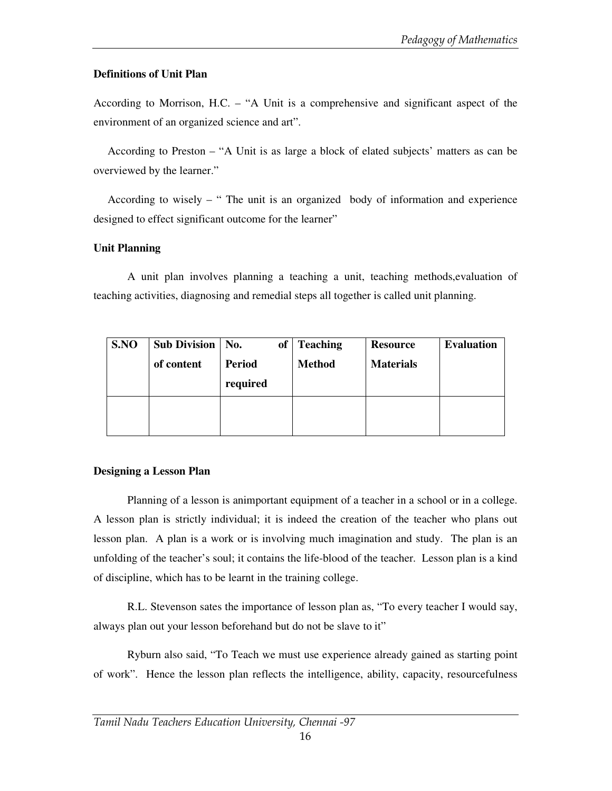### **Definitions of Unit Plan**

According to Morrison, H.C. – "A Unit is a comprehensive and significant aspect of the environment of an organized science and art".

 According to Preston – "A Unit is as large a block of elated subjects' matters as can be overviewed by the learner."

 According to wisely – " The unit is an organized body of information and experience designed to effect significant outcome for the learner"

### **Unit Planning**

 A unit plan involves planning a teaching a unit, teaching methods,evaluation of teaching activities, diagnosing and remedial steps all together is called unit planning.

| S.NO | <b>Sub Division</b> | No.           | of | <b>Teaching</b> | <b>Resource</b>  | <b>Evaluation</b> |
|------|---------------------|---------------|----|-----------------|------------------|-------------------|
|      | of content          | <b>Period</b> |    | <b>Method</b>   | <b>Materials</b> |                   |
|      |                     | required      |    |                 |                  |                   |
|      |                     |               |    |                 |                  |                   |
|      |                     |               |    |                 |                  |                   |

### **Designing a Lesson Plan**

Planning of a lesson is animportant equipment of a teacher in a school or in a college. A lesson plan is strictly individual; it is indeed the creation of the teacher who plans out lesson plan. A plan is a work or is involving much imagination and study. The plan is an unfolding of the teacher's soul; it contains the life-blood of the teacher. Lesson plan is a kind of discipline, which has to be learnt in the training college.

R.L. Stevenson sates the importance of lesson plan as, "To every teacher I would say, always plan out your lesson beforehand but do not be slave to it"

 Ryburn also said, "To Teach we must use experience already gained as starting point of work". Hence the lesson plan reflects the intelligence, ability, capacity, resourcefulness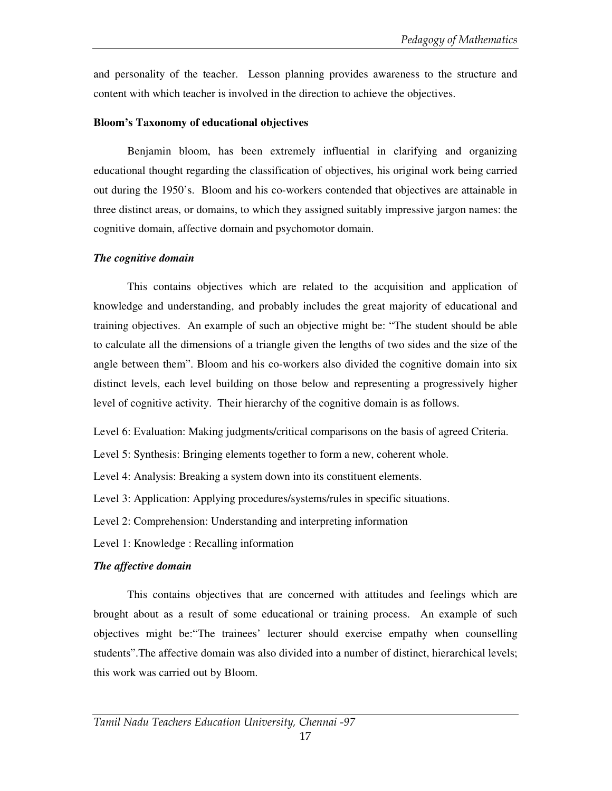and personality of the teacher. Lesson planning provides awareness to the structure and content with which teacher is involved in the direction to achieve the objectives.

### **Bloom's Taxonomy of educational objectives**

Benjamin bloom, has been extremely influential in clarifying and organizing educational thought regarding the classification of objectives, his original work being carried out during the 1950's. Bloom and his co-workers contended that objectives are attainable in three distinct areas, or domains, to which they assigned suitably impressive jargon names: the cognitive domain, affective domain and psychomotor domain.

### *The cognitive domain*

This contains objectives which are related to the acquisition and application of knowledge and understanding, and probably includes the great majority of educational and training objectives. An example of such an objective might be: "The student should be able to calculate all the dimensions of a triangle given the lengths of two sides and the size of the angle between them". Bloom and his co-workers also divided the cognitive domain into six distinct levels, each level building on those below and representing a progressively higher level of cognitive activity. Their hierarchy of the cognitive domain is as follows.

Level 6: Evaluation: Making judgments/critical comparisons on the basis of agreed Criteria.

Level 5: Synthesis: Bringing elements together to form a new, coherent whole.

Level 4: Analysis: Breaking a system down into its constituent elements.

Level 3: Application: Applying procedures/systems/rules in specific situations.

Level 2: Comprehension: Understanding and interpreting information

Level 1: Knowledge : Recalling information

### *The affective domain*

This contains objectives that are concerned with attitudes and feelings which are brought about as a result of some educational or training process. An example of such objectives might be:"The trainees' lecturer should exercise empathy when counselling students".The affective domain was also divided into a number of distinct, hierarchical levels; this work was carried out by Bloom.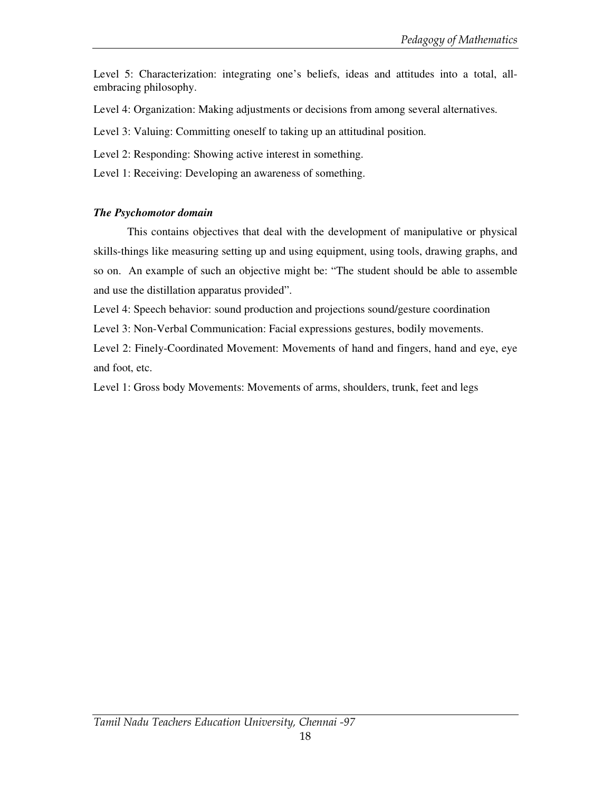Level 5: Characterization: integrating one's beliefs, ideas and attitudes into a total, allembracing philosophy.

Level 4: Organization: Making adjustments or decisions from among several alternatives.

Level 3: Valuing: Committing oneself to taking up an attitudinal position.

Level 2: Responding: Showing active interest in something.

Level 1: Receiving: Developing an awareness of something.

### *The Psychomotor domain*

This contains objectives that deal with the development of manipulative or physical skills-things like measuring setting up and using equipment, using tools, drawing graphs, and so on. An example of such an objective might be: "The student should be able to assemble and use the distillation apparatus provided".

Level 4: Speech behavior: sound production and projections sound/gesture coordination

Level 3: Non-Verbal Communication: Facial expressions gestures, bodily movements.

Level 2: Finely-Coordinated Movement: Movements of hand and fingers, hand and eye, eye and foot, etc.

Level 1: Gross body Movements: Movements of arms, shoulders, trunk, feet and legs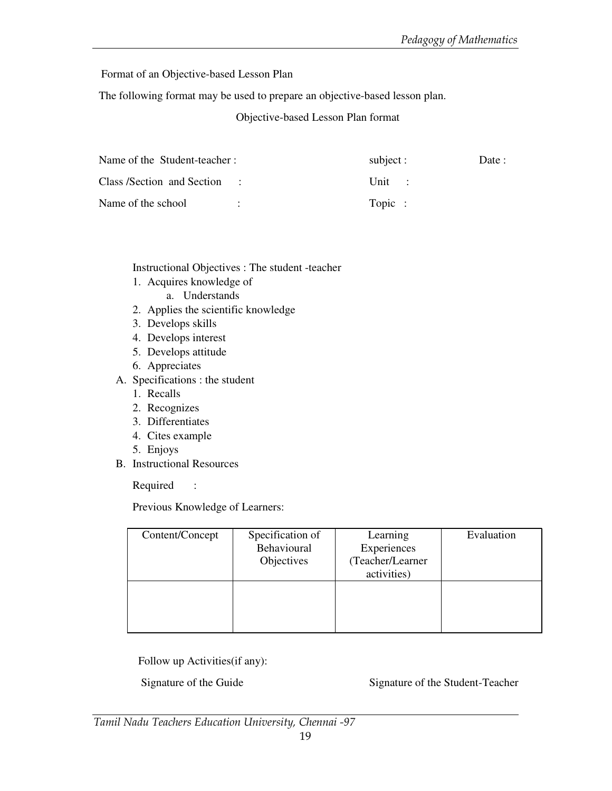Format of an Objective-based Lesson Plan

The following format may be used to prepare an objective-based lesson plan.

Objective-based Lesson Plan format

| Name of the Student-teacher: | subject :    | Date : |
|------------------------------|--------------|--------|
| Class /Section and Section   | Unit $\cdot$ |        |
| Name of the school           | Topic :      |        |

Instructional Objectives : The student -teacher

- 1. Acquires knowledge of
	- a. Understands
- 2. Applies the scientific knowledge
- 3. Develops skills
- 4. Develops interest
- 5. Develops attitude
- 6. Appreciates
- A. Specifications : the student
	- 1. Recalls
	- 2. Recognizes
	- 3. Differentiates
	- 4. Cites example
	- 5. Enjoys
- B. Instructional Resources

Required :

Previous Knowledge of Learners:

| Content/Concept | Specification of<br>Behavioural<br>Objectives | Learning<br>Experiences<br>(Teacher/Learner<br>activities) | Evaluation |
|-----------------|-----------------------------------------------|------------------------------------------------------------|------------|
|                 |                                               |                                                            |            |

Follow up Activities(if any):

Signature of the Guide Signature of the Student-Teacher

*Tamil Nadu Teachers Education University, Chennai -97*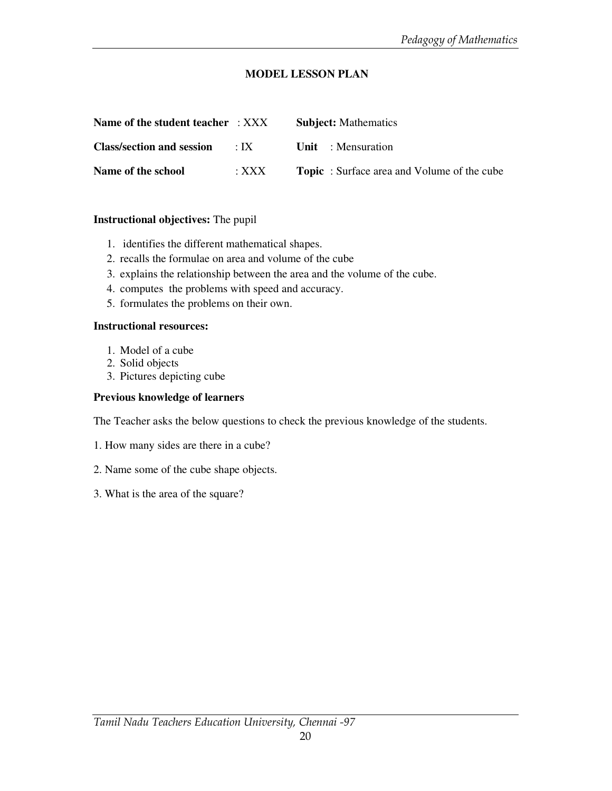## **MODEL LESSON PLAN**

| Name of the student teacher : XXX |             | <b>Subject:</b> Mathematics                        |  |  |
|-----------------------------------|-------------|----------------------------------------------------|--|--|
| <b>Class/section and session</b>  | $\cdot$ IX  | Unit: Mensuration                                  |  |  |
| Name of the school                | $\cdot$ XXX | <b>Topic</b> : Surface area and Volume of the cube |  |  |

## **Instructional objectives:** The pupil

- 1. identifies the different mathematical shapes.
- 2. recalls the formulae on area and volume of the cube
- 3. explains the relationship between the area and the volume of the cube.
- 4. computes the problems with speed and accuracy.
- 5. formulates the problems on their own.

### **Instructional resources:**

- 1. Model of a cube
- 2. Solid objects
- 3. Pictures depicting cube

### **Previous knowledge of learners**

The Teacher asks the below questions to check the previous knowledge of the students.

- 1. How many sides are there in a cube?
- 2. Name some of the cube shape objects.
- 3. What is the area of the square?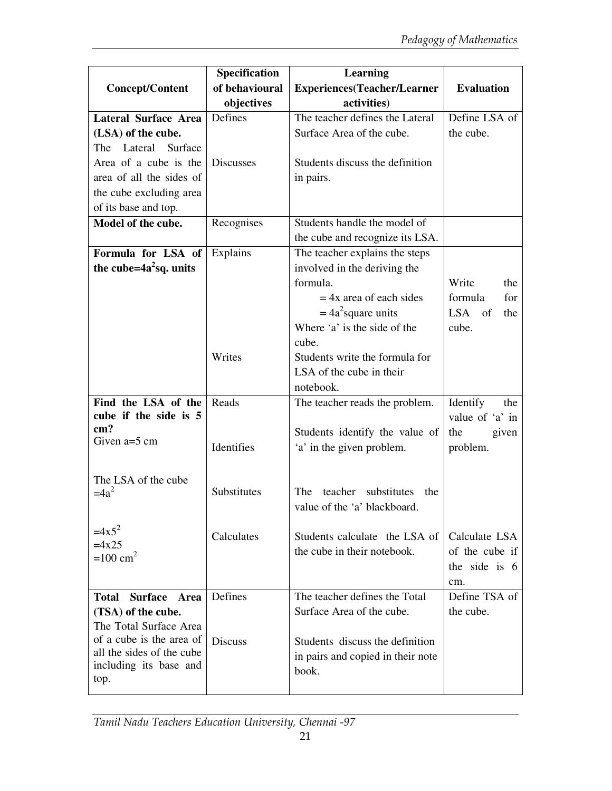|                                                       | Specification    | <b>Learning</b>                      |                   |
|-------------------------------------------------------|------------------|--------------------------------------|-------------------|
| Concept/Content                                       | of behavioural   | <b>Experiences</b> (Teacher/Learner  | <b>Evaluation</b> |
|                                                       | objectives       | activities)                          |                   |
| <b>Lateral Surface Area</b>                           | Defines          | The teacher defines the Lateral      | Define LSA of     |
| (LSA) of the cube.                                    |                  | Surface Area of the cube.            | the cube.         |
| The Lateral<br>Surface                                |                  |                                      |                   |
| Area of a cube is the                                 | <b>Discusses</b> | Students discuss the definition      |                   |
| area of all the sides of                              |                  | in pairs.                            |                   |
| the cube excluding area                               |                  |                                      |                   |
| of its base and top.                                  |                  |                                      |                   |
| Model of the cube.                                    | Recognises       | Students handle the model of         |                   |
|                                                       |                  | the cube and recognize its LSA.      |                   |
| Formula for LSA of                                    | Explains         | The teacher explains the steps       |                   |
| the cube= $4a^2$ sq. units                            |                  | involved in the deriving the         |                   |
|                                                       |                  | formula.                             | Write<br>the      |
|                                                       |                  | $=$ 4x area of each sides            | formula<br>for    |
|                                                       |                  | $=4a2$ square units                  | LSA of<br>the     |
|                                                       |                  | Where 'a' is the side of the         | cube.             |
|                                                       |                  | cube.                                |                   |
|                                                       | Writes           | Students write the formula for       |                   |
|                                                       |                  | LSA of the cube in their             |                   |
|                                                       |                  | notebook.                            |                   |
| Find the LSA of the                                   | Reads            | The teacher reads the problem.       | Identify<br>the   |
| cube if the side is 5                                 |                  |                                      | value of 'a' in   |
| cm?<br>Given a=5 cm                                   |                  | Students identify the value of       | given<br>the      |
|                                                       | Identifies       | 'a' in the given problem.            | problem.          |
|                                                       |                  |                                      |                   |
| The LSA of the cube                                   |                  |                                      |                   |
| $=4a^2$                                               | Substitutes      | teacher<br>substitutes<br>The<br>the |                   |
|                                                       |                  | value of the 'a' blackboard.         |                   |
| $=4x5^2$                                              |                  |                                      |                   |
| $=4x25$                                               | Calculates       | Students calculate the LSA of        | Calculate LSA     |
| $=100$ cm <sup>2</sup>                                |                  | the cube in their notebook.          | of the cube if    |
|                                                       |                  |                                      | the side is 6     |
|                                                       |                  |                                      | cm.               |
| Surface Area<br><b>Total</b>                          | Defines          | The teacher defines the Total        | Define TSA of     |
| (TSA) of the cube.                                    |                  | Surface Area of the cube.            | the cube.         |
| The Total Surface Area                                |                  |                                      |                   |
| of a cube is the area of<br>all the sides of the cube | <b>Discuss</b>   | Students discuss the definition      |                   |
| including its base and                                |                  | in pairs and copied in their note    |                   |
| top.                                                  |                  | book.                                |                   |
|                                                       |                  |                                      |                   |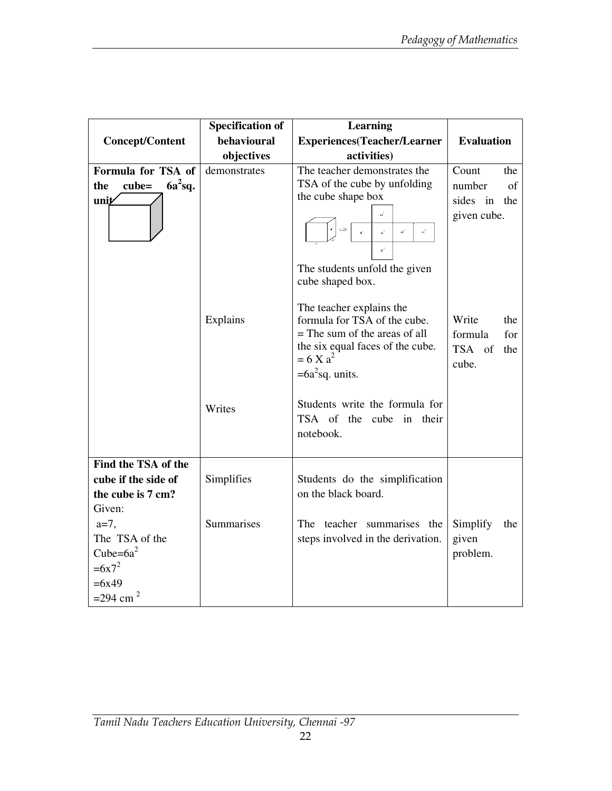|                                                                           | <b>Specification of</b> | <b>Learning</b>                                                                                                                                                                                                                                      |                                                          |
|---------------------------------------------------------------------------|-------------------------|------------------------------------------------------------------------------------------------------------------------------------------------------------------------------------------------------------------------------------------------------|----------------------------------------------------------|
| Concept/Content                                                           | behavioural             | <b>Experiences</b> (Teacher/Learner                                                                                                                                                                                                                  | <b>Evaluation</b>                                        |
|                                                                           | objectives              | activities)                                                                                                                                                                                                                                          |                                                          |
| Formula for TSA of                                                        | demonstrates            | The teacher demonstrates the                                                                                                                                                                                                                         | Count<br>the                                             |
| $6a^2$ sq.<br>cube=<br>the                                                |                         | TSA of the cube by unfolding                                                                                                                                                                                                                         | number<br>of                                             |
| $uni\nu$                                                                  |                         | the cube shape box                                                                                                                                                                                                                                   | sides in the                                             |
|                                                                           |                         | J.<br>$\alpha^{\prime}$<br>d.<br>ď<br>$\alpha^2$                                                                                                                                                                                                     | given cube.                                              |
|                                                                           |                         | The students unfold the given                                                                                                                                                                                                                        |                                                          |
|                                                                           |                         | cube shaped box.                                                                                                                                                                                                                                     |                                                          |
|                                                                           | Explains<br>Writes      | The teacher explains the<br>formula for TSA of the cube.<br>$=$ The sum of the areas of all<br>the six equal faces of the cube.<br>$= 6 \times a^2$<br>$=6a^2$ sq. units.<br>Students write the formula for<br>TSA of the cube in their<br>notebook. | Write<br>the<br>formula<br>for<br>TSA of<br>the<br>cube. |
| Find the TSA of the<br>cube if the side of<br>the cube is 7 cm?<br>Given: | Simplifies              | Students do the simplification<br>on the black board.                                                                                                                                                                                                |                                                          |
| $a=7$ ,                                                                   | Summarises              | The teacher summarises the                                                                                                                                                                                                                           | Simplify<br>the                                          |
| The TSA of the                                                            |                         | steps involved in the derivation.                                                                                                                                                                                                                    | given                                                    |
| Cube= $6a^2$                                                              |                         |                                                                                                                                                                                                                                                      | problem.                                                 |
| $=6x7^2$                                                                  |                         |                                                                                                                                                                                                                                                      |                                                          |
| $=6x49$                                                                   |                         |                                                                                                                                                                                                                                                      |                                                          |
| $=$ 294 cm <sup>2</sup>                                                   |                         |                                                                                                                                                                                                                                                      |                                                          |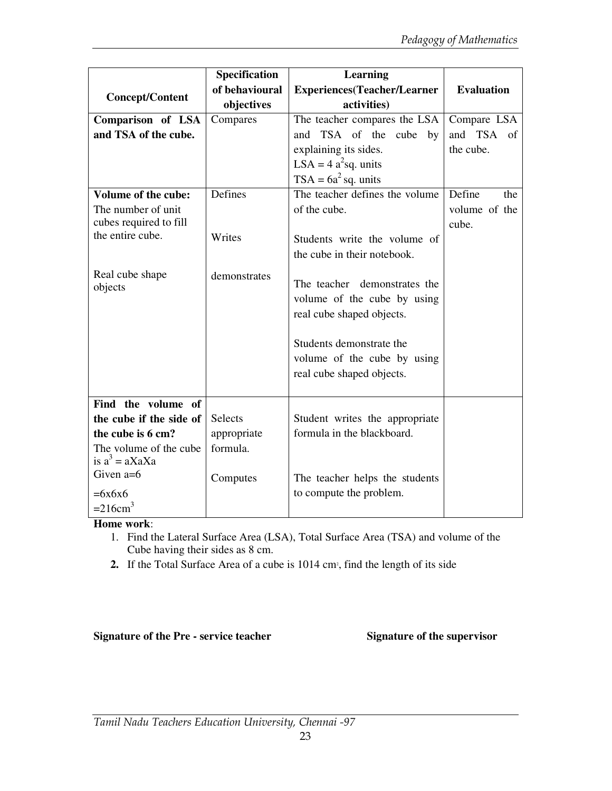|                                            | Specification  | <b>Learning</b>                                                                                                                                                                  |                   |
|--------------------------------------------|----------------|----------------------------------------------------------------------------------------------------------------------------------------------------------------------------------|-------------------|
|                                            | of behavioural | <b>Experiences</b> (Teacher/Learner                                                                                                                                              | <b>Evaluation</b> |
| Concept/Content                            | objectives     | activities)                                                                                                                                                                      |                   |
| Comparison of LSA                          | Compares       | The teacher compares the LSA                                                                                                                                                     | Compare LSA       |
| and TSA of the cube.                       |                | and TSA of the cube by                                                                                                                                                           | and TSA of        |
|                                            |                | explaining its sides.                                                                                                                                                            | the cube.         |
|                                            |                | LSA = $4a^2$ sq. units                                                                                                                                                           |                   |
|                                            |                | TSA = $6a^2$ sq. units                                                                                                                                                           |                   |
| Volume of the cube:                        | Defines        | The teacher defines the volume                                                                                                                                                   | Define<br>the     |
| The number of unit                         |                | of the cube.                                                                                                                                                                     | volume of the     |
| cubes required to fill                     |                |                                                                                                                                                                                  | cube.             |
| the entire cube.                           | Writes         | Students write the volume of                                                                                                                                                     |                   |
|                                            |                | the cube in their notebook.                                                                                                                                                      |                   |
| Real cube shape<br>objects                 | demonstrates   | The teacher demonstrates the<br>volume of the cube by using<br>real cube shaped objects.<br>Students demonstrate the<br>volume of the cube by using<br>real cube shaped objects. |                   |
| Find the volume of                         |                |                                                                                                                                                                                  |                   |
| the cube if the side of                    | <b>Selects</b> | Student writes the appropriate                                                                                                                                                   |                   |
| the cube is 6 cm?                          | appropriate    | formula in the blackboard.                                                                                                                                                       |                   |
| The volume of the cube<br>is $a^3 = aXaXa$ | formula.       |                                                                                                                                                                                  |                   |
| Given $a=6$                                |                |                                                                                                                                                                                  |                   |
|                                            | Computes       | The teacher helps the students                                                                                                                                                   |                   |
| $=6x6x6$                                   |                | to compute the problem.                                                                                                                                                          |                   |
| $=216$ cm <sup>3</sup>                     |                |                                                                                                                                                                                  |                   |

**Home work**:

- 1. Find the Lateral Surface Area (LSA), Total Surface Area (TSA) and volume of the Cube having their sides as 8 cm.
- **2.** If the Total Surface Area of a cube is 1014 cm<sup>2</sup>, find the length of its side

Signature of the Pre - service teacher **Signature of the supervisor**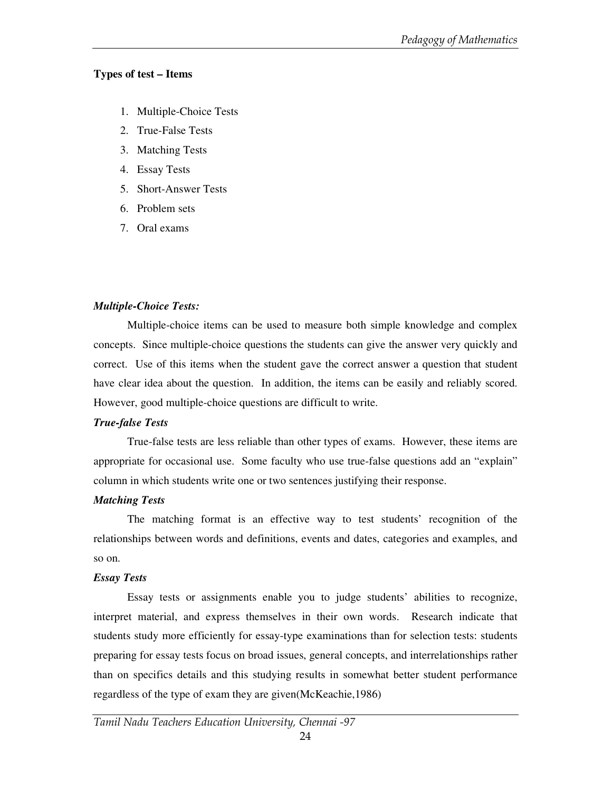### **Types of test – Items**

- 1. Multiple-Choice Tests
- 2. True-False Tests
- 3. Matching Tests
- 4. Essay Tests
- 5. Short-Answer Tests
- 6. Problem sets
- 7. Oral exams

### *Multiple-Choice Tests:*

Multiple-choice items can be used to measure both simple knowledge and complex concepts. Since multiple-choice questions the students can give the answer very quickly and correct. Use of this items when the student gave the correct answer a question that student have clear idea about the question. In addition, the items can be easily and reliably scored. However, good multiple-choice questions are difficult to write.

### *True-false Tests*

True-false tests are less reliable than other types of exams. However, these items are appropriate for occasional use. Some faculty who use true-false questions add an "explain" column in which students write one or two sentences justifying their response.

### *Matching Tests*

The matching format is an effective way to test students' recognition of the relationships between words and definitions, events and dates, categories and examples, and so on.

### *Essay Tests*

Essay tests or assignments enable you to judge students' abilities to recognize, interpret material, and express themselves in their own words. Research indicate that students study more efficiently for essay-type examinations than for selection tests: students preparing for essay tests focus on broad issues, general concepts, and interrelationships rather than on specifics details and this studying results in somewhat better student performance regardless of the type of exam they are given(McKeachie,1986)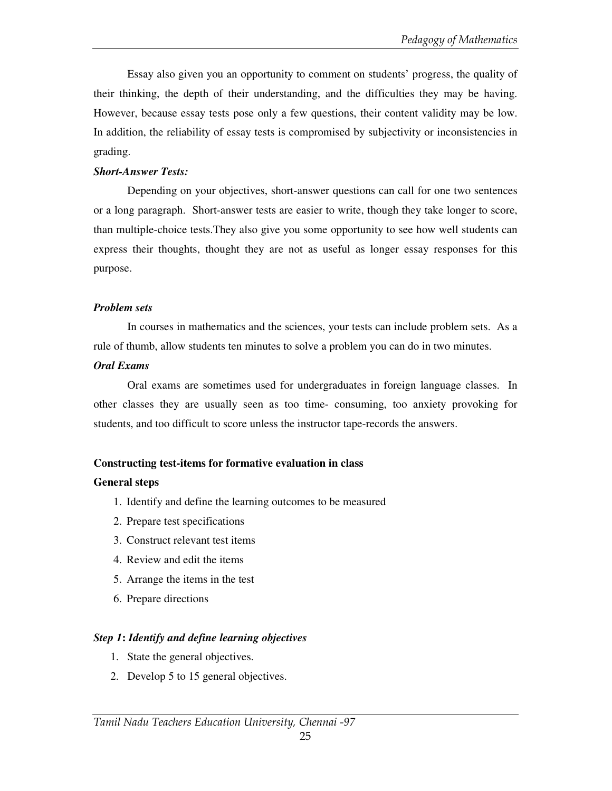Essay also given you an opportunity to comment on students' progress, the quality of their thinking, the depth of their understanding, and the difficulties they may be having. However, because essay tests pose only a few questions, their content validity may be low. In addition, the reliability of essay tests is compromised by subjectivity or inconsistencies in grading.

### *Short-Answer Tests:*

Depending on your objectives, short-answer questions can call for one two sentences or a long paragraph. Short-answer tests are easier to write, though they take longer to score, than multiple-choice tests.They also give you some opportunity to see how well students can express their thoughts, thought they are not as useful as longer essay responses for this purpose.

### *Problem sets*

 In courses in mathematics and the sciences, your tests can include problem sets. As a rule of thumb, allow students ten minutes to solve a problem you can do in two minutes.

### *Oral Exams*

Oral exams are sometimes used for undergraduates in foreign language classes. In other classes they are usually seen as too time- consuming, too anxiety provoking for students, and too difficult to score unless the instructor tape-records the answers.

### **Constructing test-items for formative evaluation in class**

### **General steps**

- 1. Identify and define the learning outcomes to be measured
- 2. Prepare test specifications
- 3. Construct relevant test items
- 4. Review and edit the items
- 5. Arrange the items in the test
- 6. Prepare directions

### *Step 1***:** *Identify and define learning objectives*

- 1. State the general objectives.
- 2. Develop 5 to 15 general objectives.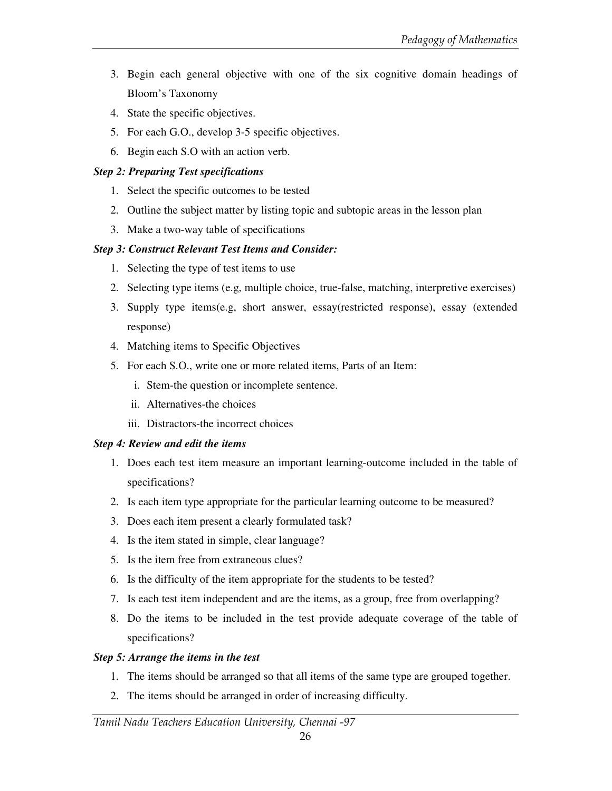- 3. Begin each general objective with one of the six cognitive domain headings of Bloom's Taxonomy
- 4. State the specific objectives.
- 5. For each G.O., develop 3-5 specific objectives.
- 6. Begin each S.O with an action verb.

### *Step 2: Preparing Test specifications*

- 1. Select the specific outcomes to be tested
- 2. Outline the subject matter by listing topic and subtopic areas in the lesson plan
- 3. Make a two-way table of specifications

## *Step 3: Construct Relevant Test Items and Consider:*

- 1. Selecting the type of test items to use
- 2. Selecting type items (e.g, multiple choice, true-false, matching, interpretive exercises)
- 3. Supply type items(e.g, short answer, essay(restricted response), essay (extended response)
- 4. Matching items to Specific Objectives
- 5. For each S.O., write one or more related items, Parts of an Item:
	- i. Stem-the question or incomplete sentence.
	- ii. Alternatives-the choices
	- iii. Distractors-the incorrect choices

### *Step 4: Review and edit the items*

- 1. Does each test item measure an important learning-outcome included in the table of specifications?
- 2. Is each item type appropriate for the particular learning outcome to be measured?
- 3. Does each item present a clearly formulated task?
- 4. Is the item stated in simple, clear language?
- 5. Is the item free from extraneous clues?
- 6. Is the difficulty of the item appropriate for the students to be tested?
- 7. Is each test item independent and are the items, as a group, free from overlapping?
- 8. Do the items to be included in the test provide adequate coverage of the table of specifications?

### *Step 5: Arrange the items in the test*

- 1. The items should be arranged so that all items of the same type are grouped together.
- 2. The items should be arranged in order of increasing difficulty.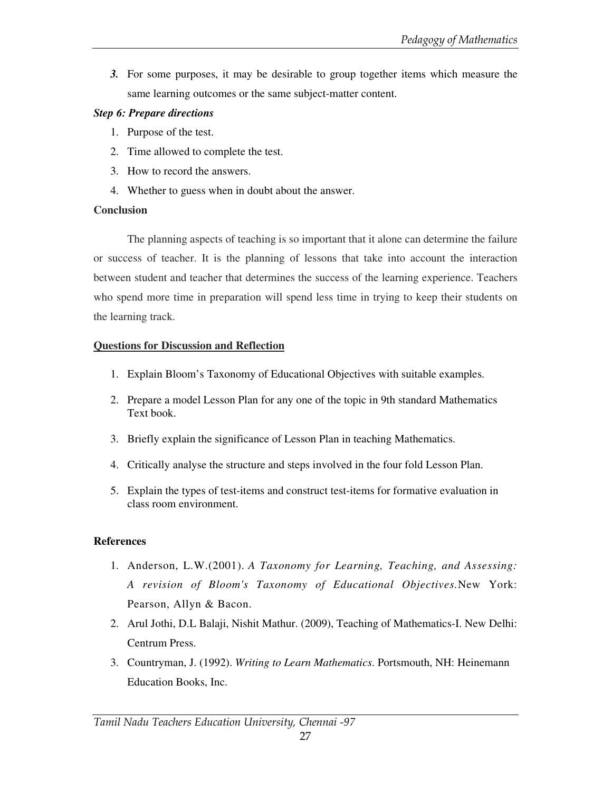*3.* For some purposes, it may be desirable to group together items which measure the same learning outcomes or the same subject-matter content.

## *Step 6: Prepare directions*

- 1. Purpose of the test.
- 2. Time allowed to complete the test.
- 3. How to record the answers.
- 4. Whether to guess when in doubt about the answer.

### **Conclusion**

The planning aspects of teaching is so important that it alone can determine the failure or success of teacher. It is the planning of lessons that take into account the interaction between student and teacher that determines the success of the learning experience. Teachers who spend more time in preparation will spend less time in trying to keep their students on the learning track.

## **Questions for Discussion and Reflection**

- 1. Explain Bloom's Taxonomy of Educational Objectives with suitable examples.
- 2. Prepare a model Lesson Plan for any one of the topic in 9th standard Mathematics Text book.
- 3. Briefly explain the significance of Lesson Plan in teaching Mathematics.
- 4. Critically analyse the structure and steps involved in the four fold Lesson Plan.
- 5. Explain the types of test-items and construct test-items for formative evaluation in class room environment.

## **References**

- 1. Anderson, L.W.(2001). *A Taxonomy for Learning, Teaching, and Assessing: A revision of Bloom's Taxonomy of Educational Objectives.*New York: Pearson, Allyn & Bacon.
- 2. Arul Jothi, D.L Balaji, Nishit Mathur. (2009), Teaching of Mathematics-I. New Delhi: Centrum Press.
- 3. Countryman, J. (1992). *Writing to Learn Mathematics*. Portsmouth, NH: Heinemann Education Books, Inc.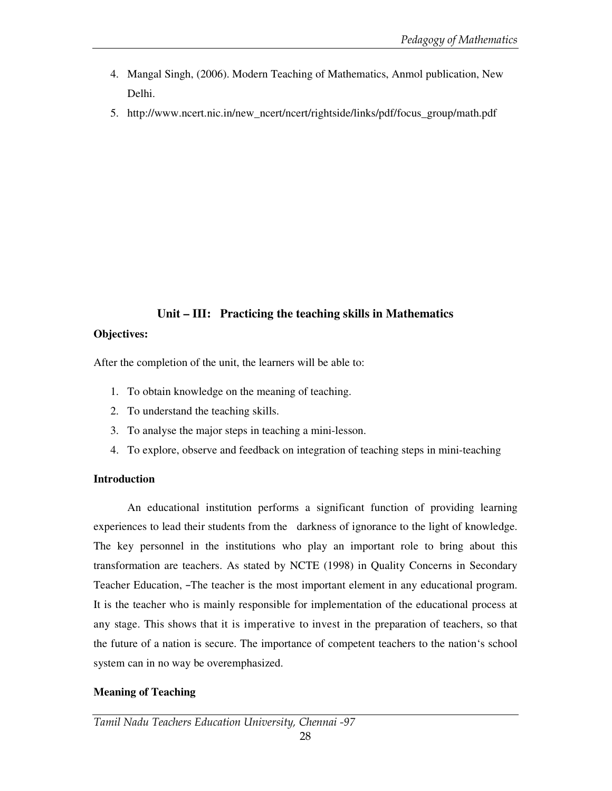- 4. Mangal Singh, (2006). Modern Teaching of Mathematics, Anmol publication, New Delhi.
- 5. http://www.ncert.nic.in/new\_ncert/ncert/rightside/links/pdf/focus\_group/math.pdf

## **Unit – III: Practicing the teaching skills in Mathematics**

### **Objectives:**

After the completion of the unit, the learners will be able to:

- 1. To obtain knowledge on the meaning of teaching.
- 2. To understand the teaching skills.
- 3. To analyse the major steps in teaching a mini-lesson.
- 4. To explore, observe and feedback on integration of teaching steps in mini-teaching

### **Introduction**

An educational institution performs a significant function of providing learning experiences to lead their students from the darkness of ignorance to the light of knowledge. The key personnel in the institutions who play an important role to bring about this transformation are teachers. As stated by NCTE (1998) in Quality Concerns in Secondary Teacher Education, ―The teacher is the most important element in any educational program. It is the teacher who is mainly responsible for implementation of the educational process at any stage. This shows that it is imperative to invest in the preparation of teachers, so that the future of a nation is secure. The importance of competent teachers to the nation's school system can in no way be overemphasized.

## **Meaning of Teaching**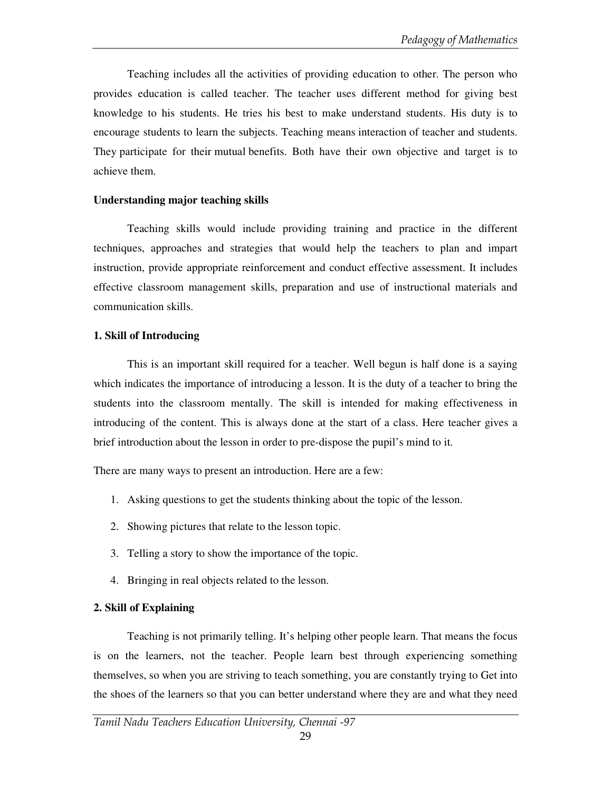Teaching includes all the activities of providing education to other. The person who provides education is called teacher. The teacher uses different method for giving best knowledge to his students. He tries his best to make understand students. His duty is to encourage students to learn the subjects. Teaching means interaction of teacher and students. They participate for their mutual benefits. Both have their own objective and target is to achieve them.

### **Understanding major teaching skills**

Teaching skills would include providing training and practice in the different techniques, approaches and strategies that would help the teachers to plan and impart instruction, provide appropriate reinforcement and conduct effective assessment. It includes effective classroom management skills, preparation and use of instructional materials and communication skills.

### **1. Skill of Introducing**

 This is an important skill required for a teacher. Well begun is half done is a saying which indicates the importance of introducing a lesson. It is the duty of a teacher to bring the students into the classroom mentally. The skill is intended for making effectiveness in introducing of the content. This is always done at the start of a class. Here teacher gives a brief introduction about the lesson in order to pre-dispose the pupil's mind to it.

There are many ways to present an introduction. Here are a few:

- 1. Asking questions to get the students thinking about the topic of the lesson.
- 2. Showing pictures that relate to the lesson topic.
- 3. Telling a story to show the importance of the topic.
- 4. Bringing in real objects related to the lesson.

### **2. Skill of Explaining**

Teaching is not primarily telling. It's helping other people learn. That means the focus is on the learners, not the teacher. People learn best through experiencing something themselves, so when you are striving to teach something, you are constantly trying to Get into the shoes of the learners so that you can better understand where they are and what they need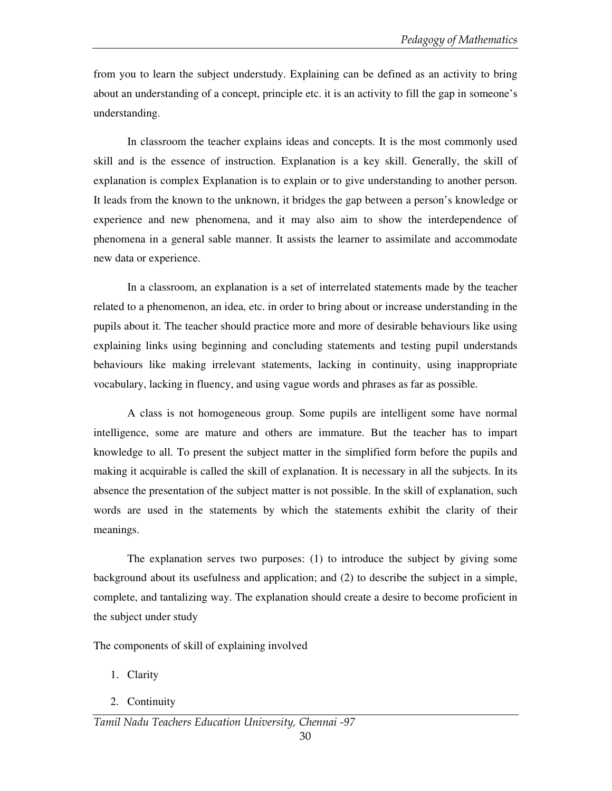from you to learn the subject understudy. Explaining can be defined as an activity to bring about an understanding of a concept, principle etc. it is an activity to fill the gap in someone's understanding.

In classroom the teacher explains ideas and concepts. It is the most commonly used skill and is the essence of instruction. Explanation is a key skill. Generally, the skill of explanation is complex Explanation is to explain or to give understanding to another person. It leads from the known to the unknown, it bridges the gap between a person's knowledge or experience and new phenomena, and it may also aim to show the interdependence of phenomena in a general sable manner. It assists the learner to assimilate and accommodate new data or experience.

In a classroom, an explanation is a set of interrelated statements made by the teacher related to a phenomenon, an idea, etc. in order to bring about or increase understanding in the pupils about it. The teacher should practice more and more of desirable behaviours like using explaining links using beginning and concluding statements and testing pupil understands behaviours like making irrelevant statements, lacking in continuity, using inappropriate vocabulary, lacking in fluency, and using vague words and phrases as far as possible.

A class is not homogeneous group. Some pupils are intelligent some have normal intelligence, some are mature and others are immature. But the teacher has to impart knowledge to all. To present the subject matter in the simplified form before the pupils and making it acquirable is called the skill of explanation. It is necessary in all the subjects. In its absence the presentation of the subject matter is not possible. In the skill of explanation, such words are used in the statements by which the statements exhibit the clarity of their meanings.

The explanation serves two purposes: (1) to introduce the subject by giving some background about its usefulness and application; and (2) to describe the subject in a simple, complete, and tantalizing way. The explanation should create a desire to become proficient in the subject under study

The components of skill of explaining involved

- 1. Clarity
- 2. Continuity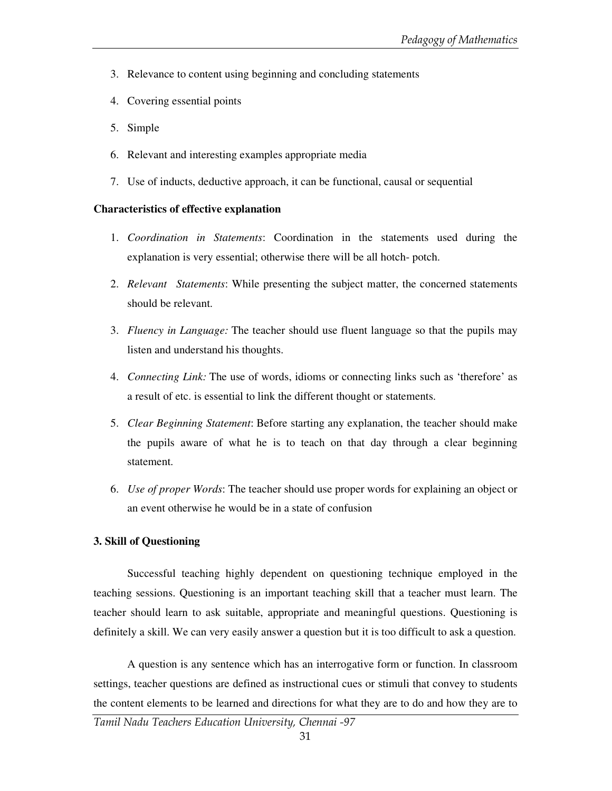- 3. Relevance to content using beginning and concluding statements
- 4. Covering essential points
- 5. Simple
- 6. Relevant and interesting examples appropriate media
- 7. Use of inducts, deductive approach, it can be functional, causal or sequential

### **Characteristics of effective explanation**

- 1. *Coordination in Statements*: Coordination in the statements used during the explanation is very essential; otherwise there will be all hotch- potch.
- 2. *Relevant Statements*: While presenting the subject matter, the concerned statements should be relevant.
- 3. *Fluency in Language:* The teacher should use fluent language so that the pupils may listen and understand his thoughts.
- 4. *Connecting Link:* The use of words, idioms or connecting links such as 'therefore' as a result of etc. is essential to link the different thought or statements.
- 5. *Clear Beginning Statement*: Before starting any explanation, the teacher should make the pupils aware of what he is to teach on that day through a clear beginning statement.
- 6. *Use of proper Words*: The teacher should use proper words for explaining an object or an event otherwise he would be in a state of confusion

### **3. Skill of Questioning**

Successful teaching highly dependent on questioning technique employed in the teaching sessions. Questioning is an important teaching skill that a teacher must learn. The teacher should learn to ask suitable, appropriate and meaningful questions. Questioning is definitely a skill. We can very easily answer a question but it is too difficult to ask a question.

A question is any sentence which has an interrogative form or function. In classroom settings, teacher questions are defined as instructional cues or stimuli that convey to students the content elements to be learned and directions for what they are to do and how they are to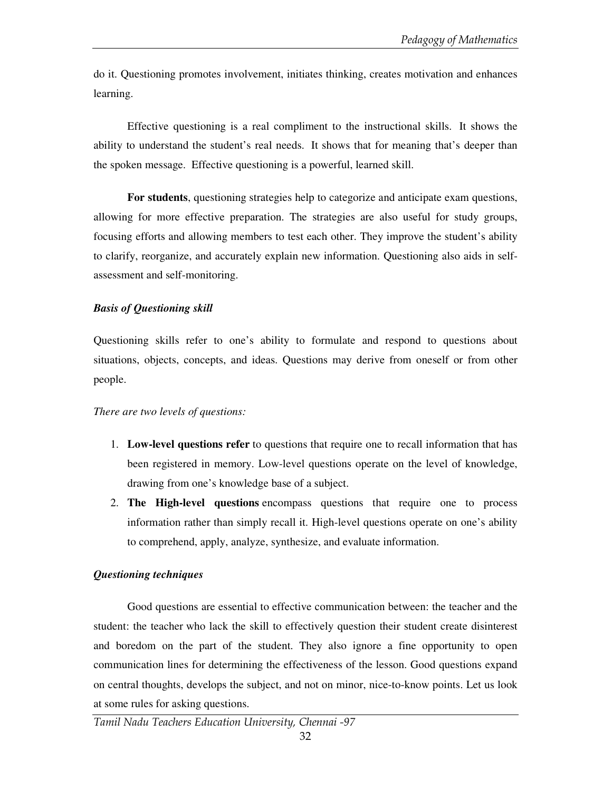do it. Questioning promotes involvement, initiates thinking, creates motivation and enhances learning.

Effective questioning is a real compliment to the instructional skills. It shows the ability to understand the student's real needs. It shows that for meaning that's deeper than the spoken message. Effective questioning is a powerful, learned skill.

**For students**, questioning strategies help to categorize and anticipate exam questions, allowing for more effective preparation. The strategies are also useful for study groups, focusing efforts and allowing members to test each other. They improve the student's ability to clarify, reorganize, and accurately explain new information. Questioning also aids in selfassessment and self-monitoring.

## *Basis of Questioning skill*

Questioning skills refer to one's ability to formulate and respond to questions about situations, objects, concepts, and ideas. Questions may derive from oneself or from other people.

### *There are two levels of questions:*

- 1. **Low-level questions refer** to questions that require one to recall information that has been registered in memory. Low-level questions operate on the level of knowledge, drawing from one's knowledge base of a subject.
- 2. **The High-level questions** encompass questions that require one to process information rather than simply recall it. High-level questions operate on one's ability to comprehend, apply, analyze, synthesize, and evaluate information.

### *Questioning techniques*

Good questions are essential to effective communication between: the teacher and the student: the teacher who lack the skill to effectively question their student create disinterest and boredom on the part of the student. They also ignore a fine opportunity to open communication lines for determining the effectiveness of the lesson. Good questions expand on central thoughts, develops the subject, and not on minor, nice-to-know points. Let us look at some rules for asking questions.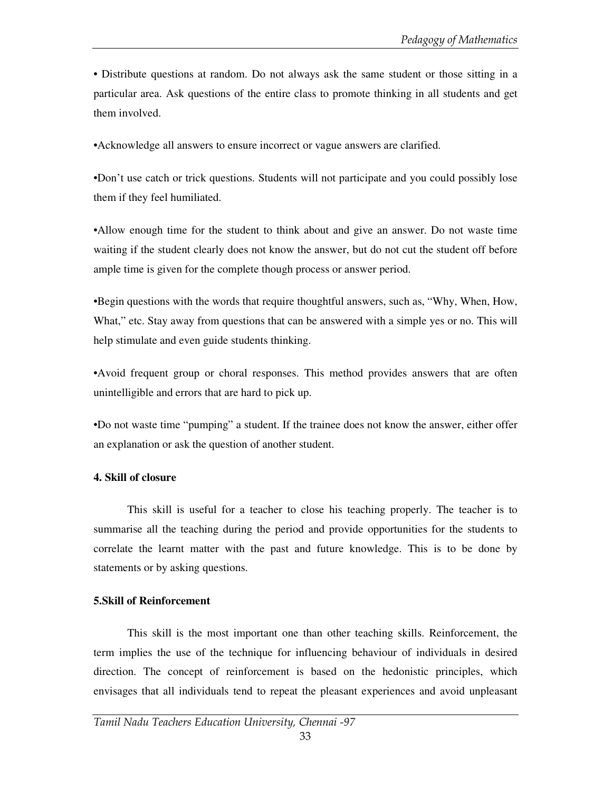• Distribute questions at random. Do not always ask the same student or those sitting in a particular area. Ask questions of the entire class to promote thinking in all students and get them involved.

•Acknowledge all answers to ensure incorrect or vague answers are clarified.

•Don't use catch or trick questions. Students will not participate and you could possibly lose them if they feel humiliated.

•Allow enough time for the student to think about and give an answer. Do not waste time waiting if the student clearly does not know the answer, but do not cut the student off before ample time is given for the complete though process or answer period.

•Begin questions with the words that require thoughtful answers, such as, "Why, When, How, What," etc. Stay away from questions that can be answered with a simple yes or no. This will help stimulate and even guide students thinking.

•Avoid frequent group or choral responses. This method provides answers that are often unintelligible and errors that are hard to pick up.

•Do not waste time "pumping" a student. If the trainee does not know the answer, either offer an explanation or ask the question of another student.

#### **4. Skill of closure**

 This skill is useful for a teacher to close his teaching properly. The teacher is to summarise all the teaching during the period and provide opportunities for the students to correlate the learnt matter with the past and future knowledge. This is to be done by statements or by asking questions.

#### **5.Skill of Reinforcement**

This skill is the most important one than other teaching skills. Reinforcement, the term implies the use of the technique for influencing behaviour of individuals in desired direction. The concept of reinforcement is based on the hedonistic principles, which envisages that all individuals tend to repeat the pleasant experiences and avoid unpleasant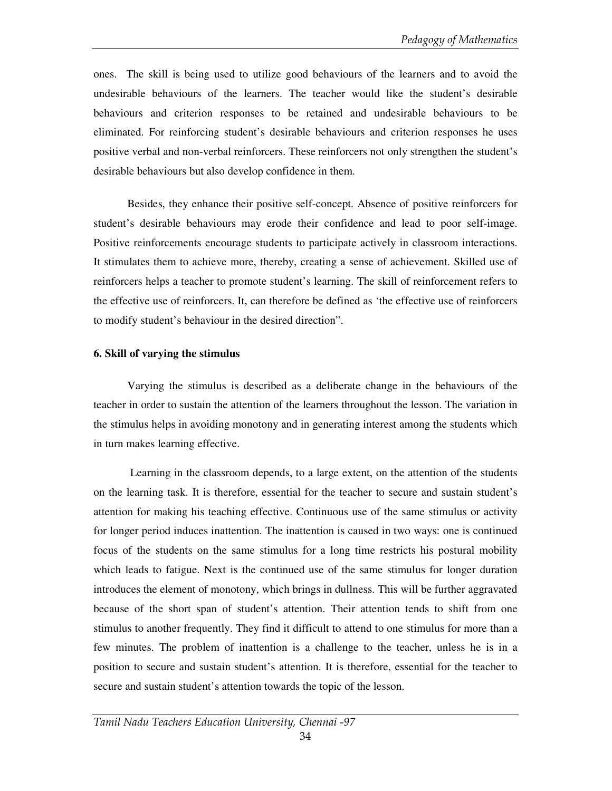ones. The skill is being used to utilize good behaviours of the learners and to avoid the undesirable behaviours of the learners. The teacher would like the student's desirable behaviours and criterion responses to be retained and undesirable behaviours to be eliminated. For reinforcing student's desirable behaviours and criterion responses he uses positive verbal and non-verbal reinforcers. These reinforcers not only strengthen the student's desirable behaviours but also develop confidence in them.

Besides, they enhance their positive self-concept. Absence of positive reinforcers for student's desirable behaviours may erode their confidence and lead to poor self-image. Positive reinforcements encourage students to participate actively in classroom interactions. It stimulates them to achieve more, thereby, creating a sense of achievement. Skilled use of reinforcers helps a teacher to promote student's learning. The skill of reinforcement refers to the effective use of reinforcers. It, can therefore be defined as 'the effective use of reinforcers to modify student's behaviour in the desired direction".

#### **6. Skill of varying the stimulus**

Varying the stimulus is described as a deliberate change in the behaviours of the teacher in order to sustain the attention of the learners throughout the lesson. The variation in the stimulus helps in avoiding monotony and in generating interest among the students which in turn makes learning effective.

 Learning in the classroom depends, to a large extent, on the attention of the students on the learning task. It is therefore, essential for the teacher to secure and sustain student's attention for making his teaching effective. Continuous use of the same stimulus or activity for longer period induces inattention. The inattention is caused in two ways: one is continued focus of the students on the same stimulus for a long time restricts his postural mobility which leads to fatigue. Next is the continued use of the same stimulus for longer duration introduces the element of monotony, which brings in dullness. This will be further aggravated because of the short span of student's attention. Their attention tends to shift from one stimulus to another frequently. They find it difficult to attend to one stimulus for more than a few minutes. The problem of inattention is a challenge to the teacher, unless he is in a position to secure and sustain student's attention. It is therefore, essential for the teacher to secure and sustain student's attention towards the topic of the lesson.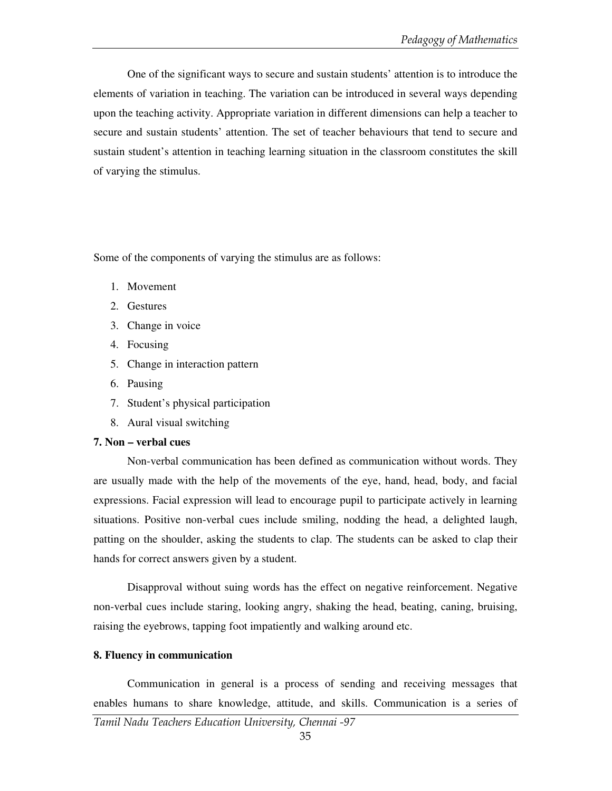One of the significant ways to secure and sustain students' attention is to introduce the elements of variation in teaching. The variation can be introduced in several ways depending upon the teaching activity. Appropriate variation in different dimensions can help a teacher to secure and sustain students' attention. The set of teacher behaviours that tend to secure and sustain student's attention in teaching learning situation in the classroom constitutes the skill of varying the stimulus.

Some of the components of varying the stimulus are as follows:

- 1. Movement
- 2. Gestures
- 3. Change in voice
- 4. Focusing
- 5. Change in interaction pattern
- 6. Pausing
- 7. Student's physical participation
- 8. Aural visual switching

#### **7. Non – verbal cues**

 Non-verbal communication has been defined as communication without words. They are usually made with the help of the movements of the eye, hand, head, body, and facial expressions. Facial expression will lead to encourage pupil to participate actively in learning situations. Positive non-verbal cues include smiling, nodding the head, a delighted laugh, patting on the shoulder, asking the students to clap. The students can be asked to clap their hands for correct answers given by a student.

Disapproval without suing words has the effect on negative reinforcement. Negative non-verbal cues include staring, looking angry, shaking the head, beating, caning, bruising, raising the eyebrows, tapping foot impatiently and walking around etc.

#### **8. Fluency in communication**

Communication in general is a process of sending and receiving messages that enables humans to share knowledge, attitude, and skills. Communication is a series of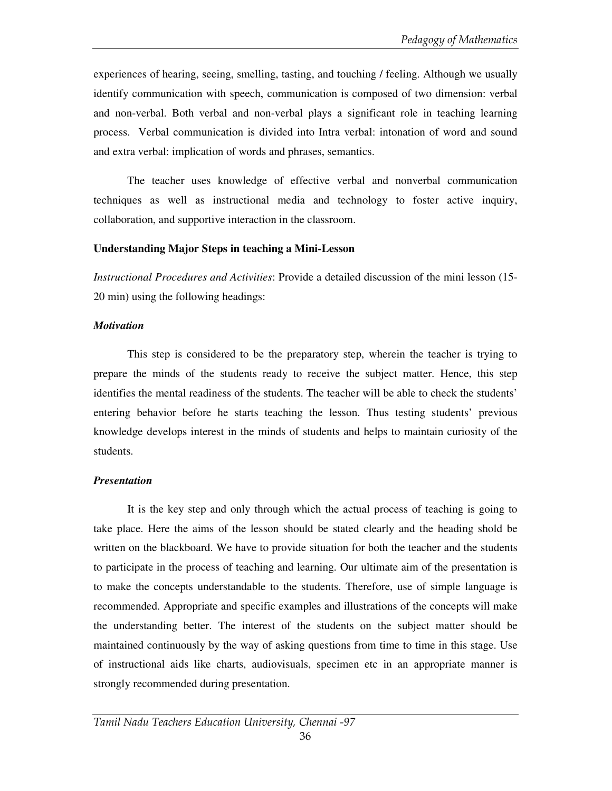experiences of hearing, seeing, smelling, tasting, and touching / feeling. Although we usually identify communication with speech, communication is composed of two dimension: verbal and non-verbal. Both verbal and non-verbal plays a significant role in teaching learning process. Verbal communication is divided into Intra verbal: intonation of word and sound and extra verbal: implication of words and phrases, semantics.

The teacher uses knowledge of effective verbal and nonverbal communication techniques as well as instructional media and technology to foster active inquiry, collaboration, and supportive interaction in the classroom.

#### **Understanding Major Steps in teaching a Mini-Lesson**

*Instructional Procedures and Activities*: Provide a detailed discussion of the mini lesson (15- 20 min) using the following headings:

#### *Motivation*

 This step is considered to be the preparatory step, wherein the teacher is trying to prepare the minds of the students ready to receive the subject matter. Hence, this step identifies the mental readiness of the students. The teacher will be able to check the students' entering behavior before he starts teaching the lesson. Thus testing students' previous knowledge develops interest in the minds of students and helps to maintain curiosity of the students.

#### *Presentation*

 It is the key step and only through which the actual process of teaching is going to take place. Here the aims of the lesson should be stated clearly and the heading shold be written on the blackboard. We have to provide situation for both the teacher and the students to participate in the process of teaching and learning. Our ultimate aim of the presentation is to make the concepts understandable to the students. Therefore, use of simple language is recommended. Appropriate and specific examples and illustrations of the concepts will make the understanding better. The interest of the students on the subject matter should be maintained continuously by the way of asking questions from time to time in this stage. Use of instructional aids like charts, audiovisuals, specimen etc in an appropriate manner is strongly recommended during presentation.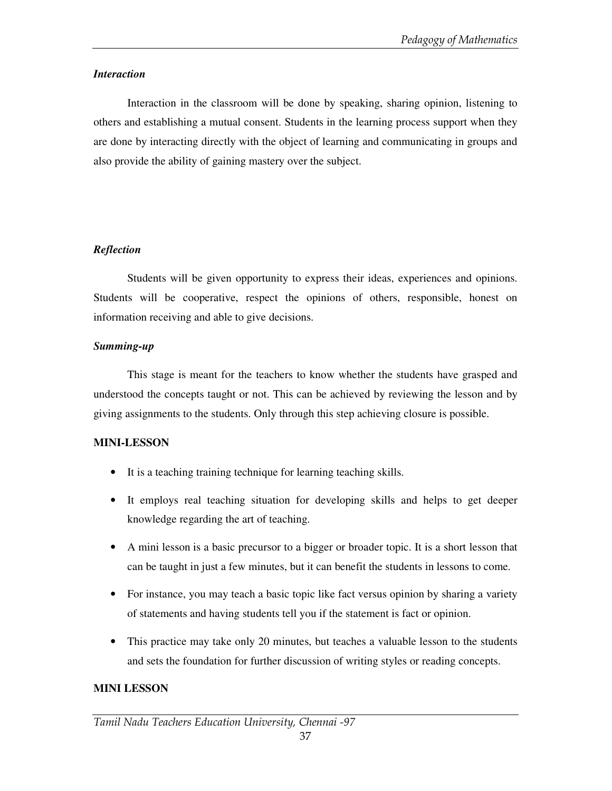# *Interaction*

 Interaction in the classroom will be done by speaking, sharing opinion, listening to others and establishing a mutual consent. Students in the learning process support when they are done by interacting directly with the object of learning and communicating in groups and also provide the ability of gaining mastery over the subject.

# *Reflection*

 Students will be given opportunity to express their ideas, experiences and opinions. Students will be cooperative, respect the opinions of others, responsible, honest on information receiving and able to give decisions.

### *Summing-up*

This stage is meant for the teachers to know whether the students have grasped and understood the concepts taught or not. This can be achieved by reviewing the lesson and by giving assignments to the students. Only through this step achieving closure is possible.

# **MINI-LESSON**

- It is a teaching training technique for learning teaching skills.
- It employs real teaching situation for developing skills and helps to get deeper knowledge regarding the art of teaching.
- A mini lesson is a basic precursor to a bigger or broader topic. It is a short lesson that can be taught in just a few minutes, but it can benefit the students in lessons to come.
- For instance, you may teach a basic topic like fact versus opinion by sharing a variety of statements and having students tell you if the statement is fact or opinion.
- This practice may take only 20 minutes, but teaches a valuable lesson to the students and sets the foundation for further discussion of writing styles or reading concepts.

# **MINI LESSON**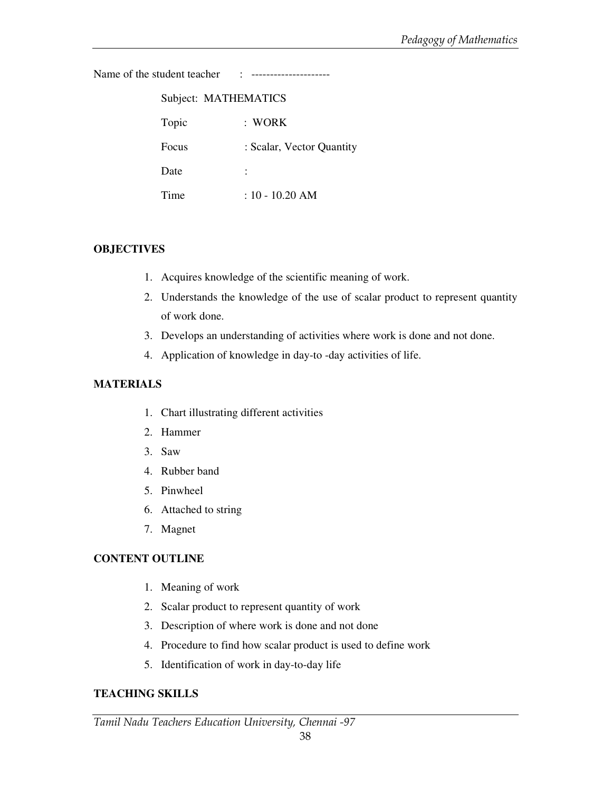Name of the student teacher : ---------------------

| Subject: MATHEMATICS |                           |  |
|----------------------|---------------------------|--|
| Topic                | : WORK                    |  |
| Focus                | : Scalar, Vector Quantity |  |
| Date                 | $\ddot{\cdot}$            |  |
| Time                 | $: 10 - 10.20$ AM         |  |

# **OBJECTIVES**

- 1. Acquires knowledge of the scientific meaning of work.
- 2. Understands the knowledge of the use of scalar product to represent quantity of work done.
- 3. Develops an understanding of activities where work is done and not done.
- 4. Application of knowledge in day-to -day activities of life.

# **MATERIALS**

- 1. Chart illustrating different activities
- 2. Hammer
- 3. Saw
- 4. Rubber band
- 5. Pinwheel
- 6. Attached to string
- 7. Magnet

# **CONTENT OUTLINE**

- 1. Meaning of work
- 2. Scalar product to represent quantity of work
- 3. Description of where work is done and not done
- 4. Procedure to find how scalar product is used to define work
- 5. Identification of work in day-to-day life

# **TEACHING SKILLS**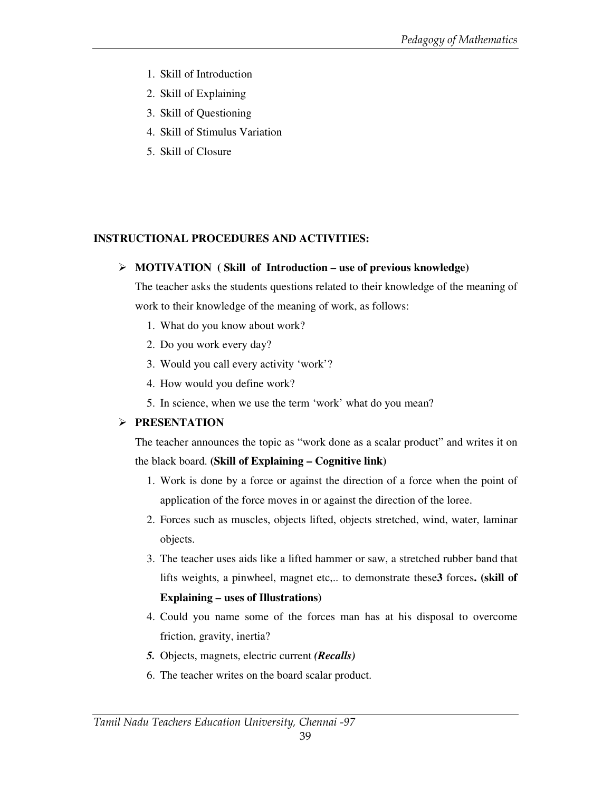- 1. Skill of Introduction
- 2. Skill of Explaining
- 3. Skill of Questioning
- 4. Skill of Stimulus Variation
- 5. Skill of Closure

# **INSTRUCTIONAL PROCEDURES AND ACTIVITIES:**

# **MOTIVATION ( Skill of Introduction – use of previous knowledge)**

The teacher asks the students questions related to their knowledge of the meaning of work to their knowledge of the meaning of work, as follows:

- 1. What do you know about work?
- 2. Do you work every day?
- 3. Would you call every activity 'work'?
- 4. How would you define work?
- 5. In science, when we use the term 'work' what do you mean?

# **PRESENTATION**

The teacher announces the topic as "work done as a scalar product" and writes it on the black board. **(Skill of Explaining – Cognitive link)**

- 1. Work is done by a force or against the direction of a force when the point of application of the force moves in or against the direction of the loree.
- 2. Forces such as muscles, objects lifted, objects stretched, wind, water, laminar objects.
- 3. The teacher uses aids like a lifted hammer or saw, a stretched rubber band that lifts weights, a pinwheel, magnet etc,.. to demonstrate these**3** forces**. (skill of Explaining – uses of Illustrations)**
- 4. Could you name some of the forces man has at his disposal to overcome friction, gravity, inertia?
- *5.* Objects, magnets, electric current *(Recalls)*
- 6. The teacher writes on the board scalar product.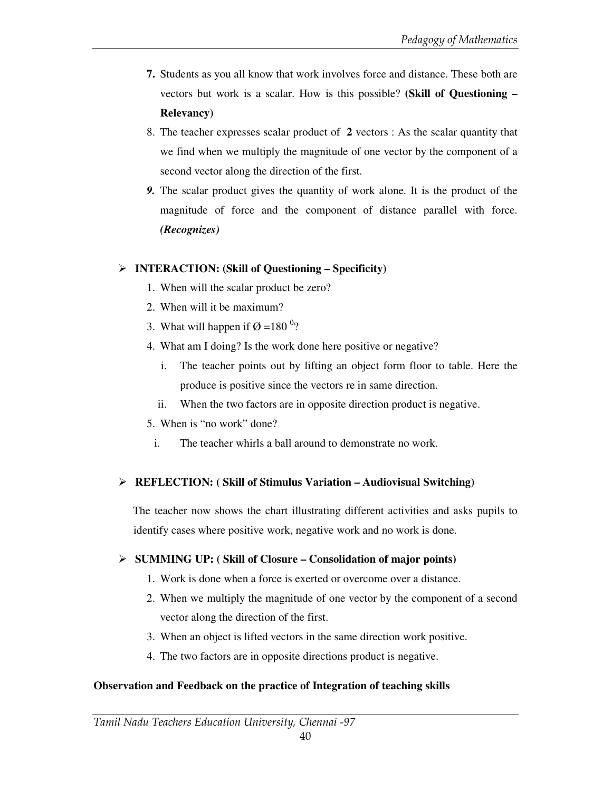- **7.** Students as you all know that work involves force and distance. These both are vectors but work is a scalar. How is this possible? **(Skill of Questioning – Relevancy)**
- 8. The teacher expresses scalar product of **2** vectors : As the scalar quantity that we find when we multiply the magnitude of one vector by the component of a second vector along the direction of the first.
- *9.* The scalar product gives the quantity of work alone. It is the product of the magnitude of force and the component of distance parallel with force. *(Recognizes)*

# **INTERACTION: (Skill of Questioning – Specificity)**

- 1. When will the scalar product be zero?
- 2. When will it be maximum?
- 3. What will happen if  $\varnothing$  =180<sup>0</sup>?
- 4. What am I doing? Is the work done here positive or negative?
	- i. The teacher points out by lifting an object form floor to table. Here the produce is positive since the vectors re in same direction.
	- ii. When the two factors are in opposite direction product is negative.
- 5. When is "no work" done?
- i. The teacher whirls a ball around to demonstrate no work.

# **REFLECTION: ( Skill of Stimulus Variation – Audiovisual Switching)**

 The teacher now shows the chart illustrating different activities and asks pupils to identify cases where positive work, negative work and no work is done.

# **SUMMING UP: ( Skill of Closure – Consolidation of major points)**

- 1. Work is done when a force is exerted or overcome over a distance.
- 2. When we multiply the magnitude of one vector by the component of a second vector along the direction of the first.
- 3. When an object is lifted vectors in the same direction work positive.
- 4. The two factors are in opposite directions product is negative.

# **Observation and Feedback on the practice of Integration of teaching skills**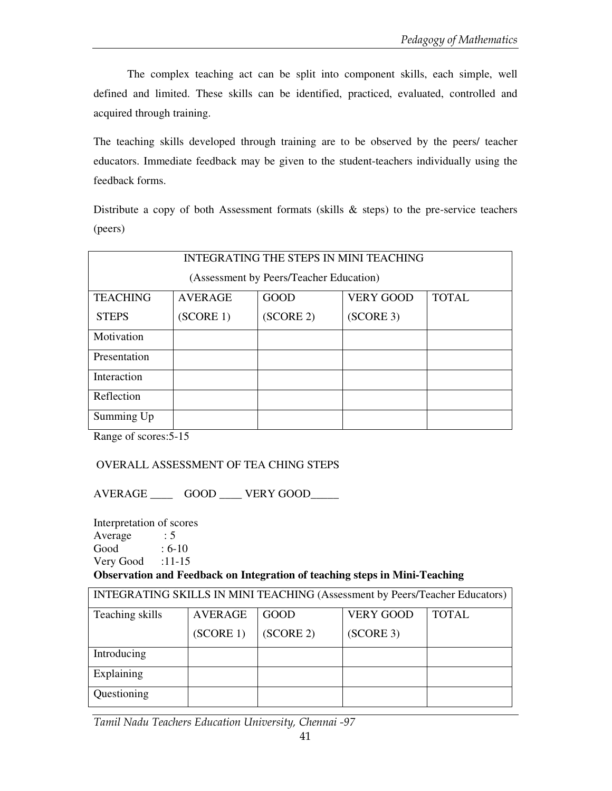The complex teaching act can be split into component skills, each simple, well defined and limited. These skills can be identified, practiced, evaluated, controlled and acquired through training.

The teaching skills developed through training are to be observed by the peers/ teacher educators. Immediate feedback may be given to the student-teachers individually using the feedback forms.

Distribute a copy of both Assessment formats (skills  $\&$  steps) to the pre-service teachers (peers)

| INTEGRATING THE STEPS IN MINI TEACHING |                |                                         |                  |              |  |  |
|----------------------------------------|----------------|-----------------------------------------|------------------|--------------|--|--|
|                                        |                | (Assessment by Peers/Teacher Education) |                  |              |  |  |
| <b>TEACHING</b>                        | <b>AVERAGE</b> | <b>GOOD</b>                             | <b>VERY GOOD</b> | <b>TOTAL</b> |  |  |
| <b>STEPS</b>                           | (SCORE 1)      | (SCORE 2)                               | (SCORE 3)        |              |  |  |
| Motivation                             |                |                                         |                  |              |  |  |
| Presentation                           |                |                                         |                  |              |  |  |
| Interaction                            |                |                                         |                  |              |  |  |
| Reflection                             |                |                                         |                  |              |  |  |
| Summing Up                             |                |                                         |                  |              |  |  |

Range of scores:5-15

# OVERALL ASSESSMENT OF TEA CHING STEPS

AVERAGE \_\_\_\_\_\_ GOOD \_\_\_\_ VERY GOOD\_\_\_\_\_

Interpretation of scores Average : 5 Good : 6-10 Very Good  $:11-15$ **Observation and Feedback on Integration of teaching steps in Mini-Teaching** 

| INTEGRATING SKILLS IN MINI TEACHING (Assessment by Peers/Teacher Educators) |                                                               |                       |  |
|-----------------------------------------------------------------------------|---------------------------------------------------------------|-----------------------|--|
| - 1.11 - 1.12 - 1.11 - 1.                                                   | $\left  \right $ avenue $\left  \right $ and $\left  \right $ | $\overline{\text{I}}$ |  |

| Teaching skills | <b>AVERAGE</b> | GOOD      | <b>VERY GOOD</b> | <b>TOTAL</b> |
|-----------------|----------------|-----------|------------------|--------------|
|                 | (SCORE 1)      | (SCORE 2) | (SCORE 3)        |              |
| Introducing     |                |           |                  |              |
| Explaining      |                |           |                  |              |
| Questioning     |                |           |                  |              |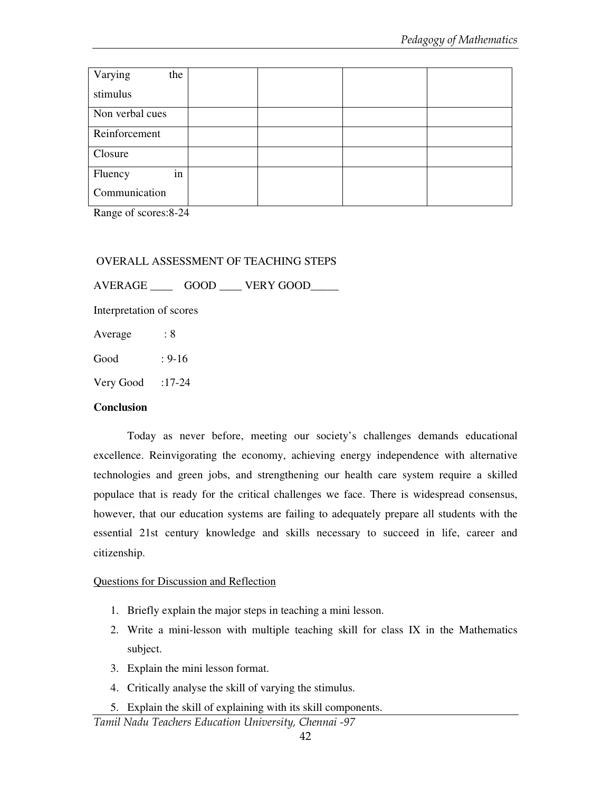| Varying<br>the  |  |  |
|-----------------|--|--|
| stimulus        |  |  |
| Non verbal cues |  |  |
| Reinforcement   |  |  |
| Closure         |  |  |
| in<br>Fluency   |  |  |
| Communication   |  |  |

Range of scores:8-24

#### OVERALL ASSESSMENT OF TEACHING STEPS

AVERAGE \_\_\_\_\_\_ GOOD \_\_\_\_ VERY GOOD\_\_\_\_\_

Interpretation of scores

Average : 8

Good : 9-16

Very Good :17-24

#### **Conclusion**

Today as never before, meeting our society's challenges demands educational excellence. Reinvigorating the economy, achieving energy independence with alternative technologies and green jobs, and strengthening our health care system require a skilled populace that is ready for the critical challenges we face. There is widespread consensus, however, that our education systems are failing to adequately prepare all students with the essential 21st century knowledge and skills necessary to succeed in life, career and citizenship.

#### Questions for Discussion and Reflection

- 1. Briefly explain the major steps in teaching a mini lesson.
- 2. Write a mini-lesson with multiple teaching skill for class IX in the Mathematics subject.
- 3. Explain the mini lesson format.
- 4. Critically analyse the skill of varying the stimulus.
- 5. Explain the skill of explaining with its skill components.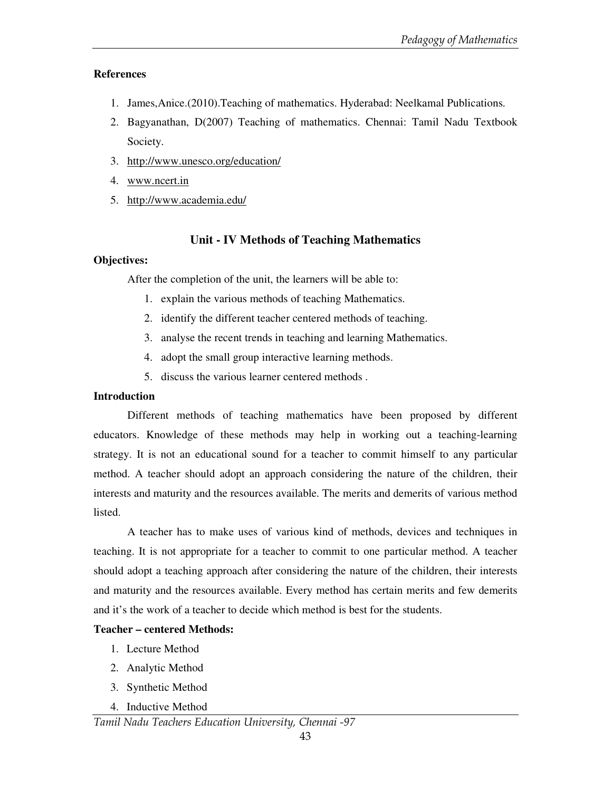### **References**

- 1. James,Anice.(2010).Teaching of mathematics. Hyderabad: Neelkamal Publications.
- 2. Bagyanathan, D(2007) Teaching of mathematics. Chennai: Tamil Nadu Textbook Society.
- 3. http://www.unesco.org/education/
- 4. www.ncert.in
- 5. http://www.academia.edu/

# **Unit - IV Methods of Teaching Mathematics**

### **Objectives:**

After the completion of the unit, the learners will be able to:

- 1. explain the various methods of teaching Mathematics.
- 2. identify the different teacher centered methods of teaching.
- 3. analyse the recent trends in teaching and learning Mathematics.
- 4. adopt the small group interactive learning methods.
- 5. discuss the various learner centered methods .

### **Introduction**

 Different methods of teaching mathematics have been proposed by different educators. Knowledge of these methods may help in working out a teaching-learning strategy. It is not an educational sound for a teacher to commit himself to any particular method. A teacher should adopt an approach considering the nature of the children, their interests and maturity and the resources available. The merits and demerits of various method listed.

A teacher has to make uses of various kind of methods, devices and techniques in teaching. It is not appropriate for a teacher to commit to one particular method. A teacher should adopt a teaching approach after considering the nature of the children, their interests and maturity and the resources available. Every method has certain merits and few demerits and it's the work of a teacher to decide which method is best for the students.

# **Teacher – centered Methods:**

- 1. Lecture Method
- 2. Analytic Method
- 3. Synthetic Method
- 4. Inductive Method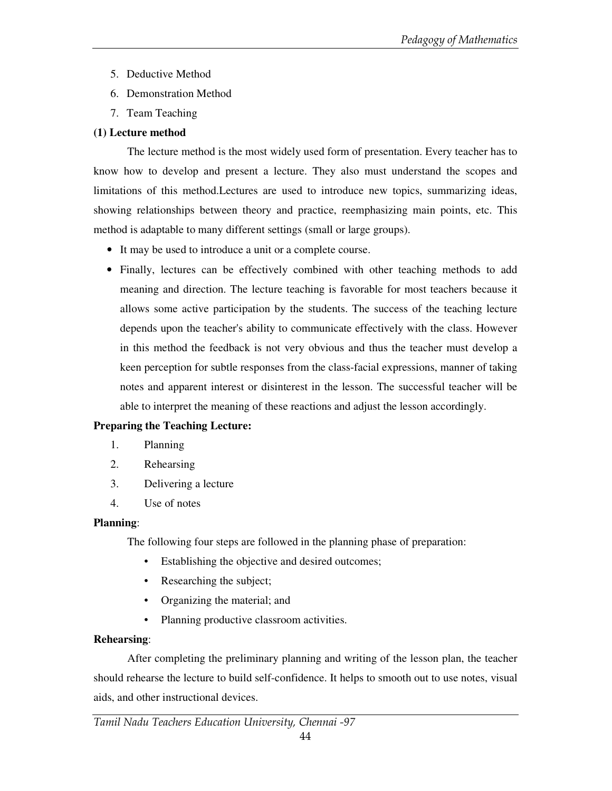- 5. Deductive Method
- 6. Demonstration Method
- 7. Team Teaching

# **(1) Lecture method**

The lecture method is the most widely used form of presentation. Every teacher has to know how to develop and present a lecture. They also must understand the scopes and limitations of this method.Lectures are used to introduce new topics, summarizing ideas, showing relationships between theory and practice, reemphasizing main points, etc. This method is adaptable to many different settings (small or large groups).

- It may be used to introduce a unit or a complete course.
- Finally, lectures can be effectively combined with other teaching methods to add meaning and direction. The lecture teaching is favorable for most teachers because it allows some active participation by the students. The success of the teaching lecture depends upon the teacher's ability to communicate effectively with the class. However in this method the feedback is not very obvious and thus the teacher must develop a keen perception for subtle responses from the class-facial expressions, manner of taking notes and apparent interest or disinterest in the lesson. The successful teacher will be able to interpret the meaning of these reactions and adjust the lesson accordingly.

# **Preparing the Teaching Lecture:**

- 1. Planning
- 2. Rehearsing
- 3. Delivering a lecture
- 4. Use of notes

# **Planning**:

The following four steps are followed in the planning phase of preparation:

- Establishing the objective and desired outcomes;
- Researching the subject;
- Organizing the material; and
- Planning productive classroom activities.

# **Rehearsing**:

After completing the preliminary planning and writing of the lesson plan, the teacher should rehearse the lecture to build self-confidence. It helps to smooth out to use notes, visual aids, and other instructional devices.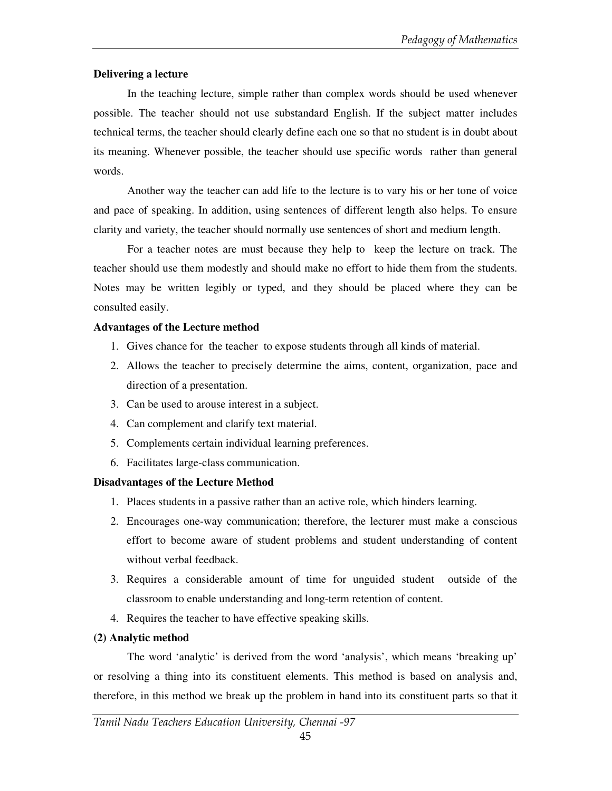### **Delivering a lecture**

 In the teaching lecture, simple rather than complex words should be used whenever possible. The teacher should not use substandard English. If the subject matter includes technical terms, the teacher should clearly define each one so that no student is in doubt about its meaning. Whenever possible, the teacher should use specific words rather than general words.

 Another way the teacher can add life to the lecture is to vary his or her tone of voice and pace of speaking. In addition, using sentences of different length also helps. To ensure clarity and variety, the teacher should normally use sentences of short and medium length.

 For a teacher notes are must because they help to keep the lecture on track. The teacher should use them modestly and should make no effort to hide them from the students. Notes may be written legibly or typed, and they should be placed where they can be consulted easily.

### **Advantages of the Lecture method**

- 1. Gives chance for the teacher to expose students through all kinds of material.
- 2. Allows the teacher to precisely determine the aims, content, organization, pace and direction of a presentation.
- 3. Can be used to arouse interest in a subject.
- 4. Can complement and clarify text material.
- 5. Complements certain individual learning preferences.
- 6. Facilitates large-class communication.

#### **Disadvantages of the Lecture Method**

- 1. Places students in a passive rather than an active role, which hinders learning.
- 2. Encourages one-way communication; therefore, the lecturer must make a conscious effort to become aware of student problems and student understanding of content without verbal feedback.
- 3. Requires a considerable amount of time for unguided student outside of the classroom to enable understanding and long-term retention of content.
- 4. Requires the teacher to have effective speaking skills.

# **(2) Analytic method**

The word 'analytic' is derived from the word 'analysis', which means 'breaking up' or resolving a thing into its constituent elements. This method is based on analysis and, therefore, in this method we break up the problem in hand into its constituent parts so that it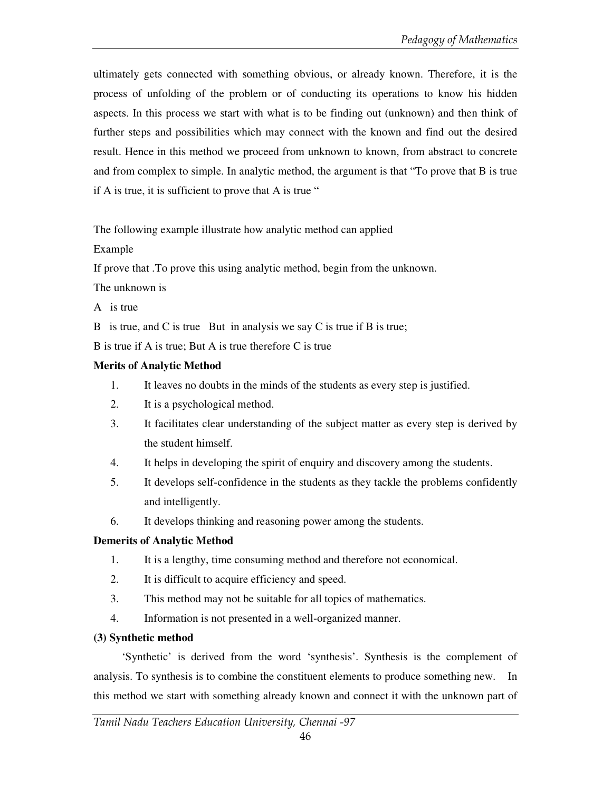ultimately gets connected with something obvious, or already known. Therefore, it is the process of unfolding of the problem or of conducting its operations to know his hidden aspects. In this process we start with what is to be finding out (unknown) and then think of further steps and possibilities which may connect with the known and find out the desired result. Hence in this method we proceed from unknown to known, from abstract to concrete and from complex to simple. In analytic method, the argument is that "To prove that B is true if A is true, it is sufficient to prove that A is true "

The following example illustrate how analytic method can applied

Example

If prove that .To prove this using analytic method, begin from the unknown.

The unknown is

- A is true
- B is true, and C is true But in analysis we say C is true if B is true;

B is true if A is true; But A is true therefore C is true

# **Merits of Analytic Method**

- 1. It leaves no doubts in the minds of the students as every step is justified.
- 2. It is a psychological method.
- 3. It facilitates clear understanding of the subject matter as every step is derived by the student himself.
- 4. It helps in developing the spirit of enquiry and discovery among the students.
- 5. It develops self-confidence in the students as they tackle the problems confidently and intelligently.
- 6. It develops thinking and reasoning power among the students.

# **Demerits of Analytic Method**

- 1. It is a lengthy, time consuming method and therefore not economical.
- 2. It is difficult to acquire efficiency and speed.
- 3. This method may not be suitable for all topics of mathematics.
- 4. Information is not presented in a well-organized manner.

# **(3) Synthetic method**

 'Synthetic' is derived from the word 'synthesis'. Synthesis is the complement of analysis. To synthesis is to combine the constituent elements to produce something new. In this method we start with something already known and connect it with the unknown part of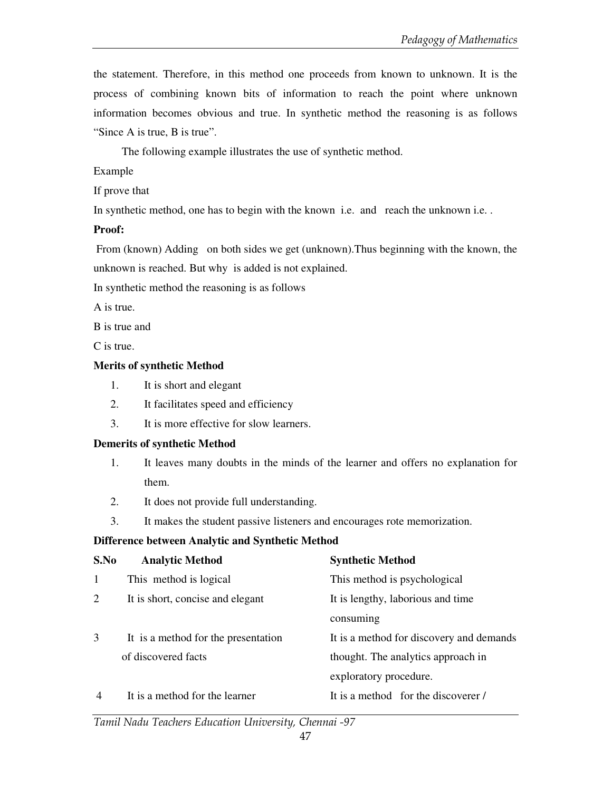the statement. Therefore, in this method one proceeds from known to unknown. It is the process of combining known bits of information to reach the point where unknown information becomes obvious and true. In synthetic method the reasoning is as follows "Since A is true, B is true".

The following example illustrates the use of synthetic method.

Example

If prove that

In synthetic method, one has to begin with the known i.e. and reach the unknown i.e. .

# **Proof:**

 From (known) Adding on both sides we get (unknown).Thus beginning with the known, the unknown is reached. But why is added is not explained.

In synthetic method the reasoning is as follows

A is true.

B is true and

C is true.

# **Merits of synthetic Method**

- 1. It is short and elegant
- 2. It facilitates speed and efficiency
- 3. It is more effective for slow learners.

# **Demerits of synthetic Method**

- 1. It leaves many doubts in the minds of the learner and offers no explanation for them.
- 2. It does not provide full understanding.
- 3. It makes the student passive listeners and encourages rote memorization.

# **Difference between Analytic and Synthetic Method**

| S.No         | <b>Analytic Method</b>              | <b>Synthetic Method</b>                  |
|--------------|-------------------------------------|------------------------------------------|
| $\mathbf{1}$ | This method is logical              | This method is psychological             |
| 2            | It is short, concise and elegant    | It is lengthy, laborious and time        |
|              |                                     | consuming                                |
| 3            | It is a method for the presentation | It is a method for discovery and demands |
|              | of discovered facts                 | thought. The analytics approach in       |
|              |                                     | exploratory procedure.                   |
| 4            | It is a method for the learner      | It is a method for the discoverer /      |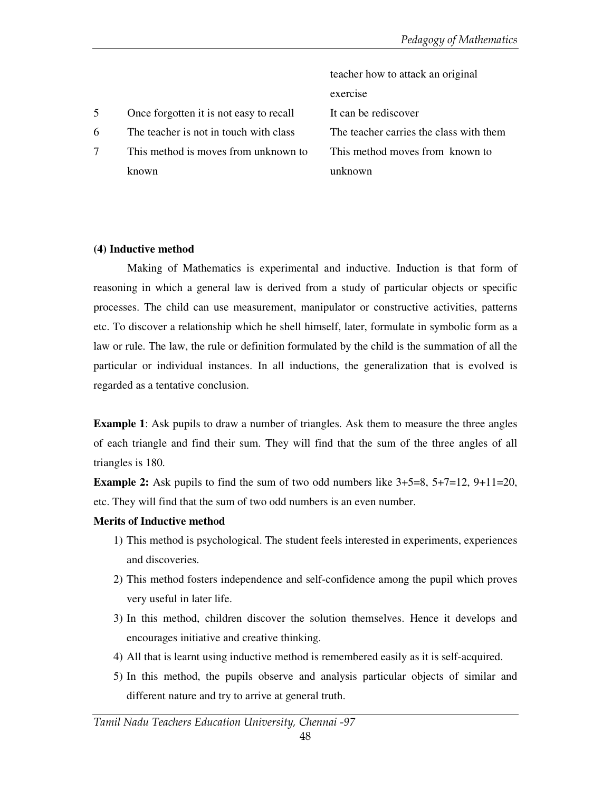| teacher how to attack an original |  |
|-----------------------------------|--|
|-----------------------------------|--|

- 5 Once forgotten it is not easy to recall It can be rediscover
- 6 The teacher is not in touch with class The teacher carries the class with them
- 7 This method is moves from unknown to This method moves from known to known unknown
- exercise

#### **(4) Inductive method**

 Making of Mathematics is experimental and inductive. Induction is that form of reasoning in which a general law is derived from a study of particular objects or specific processes. The child can use measurement, manipulator or constructive activities, patterns etc. To discover a relationship which he shell himself, later, formulate in symbolic form as a law or rule. The law, the rule or definition formulated by the child is the summation of all the particular or individual instances. In all inductions, the generalization that is evolved is regarded as a tentative conclusion.

**Example 1**: Ask pupils to draw a number of triangles. Ask them to measure the three angles of each triangle and find their sum. They will find that the sum of the three angles of all triangles is 180.

**Example 2:** Ask pupils to find the sum of two odd numbers like  $3+5=8$ ,  $5+7=12$ ,  $9+11=20$ , etc. They will find that the sum of two odd numbers is an even number.

#### **Merits of Inductive method**

- 1) This method is psychological. The student feels interested in experiments, experiences and discoveries.
- 2) This method fosters independence and self-confidence among the pupil which proves very useful in later life.
- 3) In this method, children discover the solution themselves. Hence it develops and encourages initiative and creative thinking.
- 4) All that is learnt using inductive method is remembered easily as it is self-acquired.
- 5) In this method, the pupils observe and analysis particular objects of similar and different nature and try to arrive at general truth.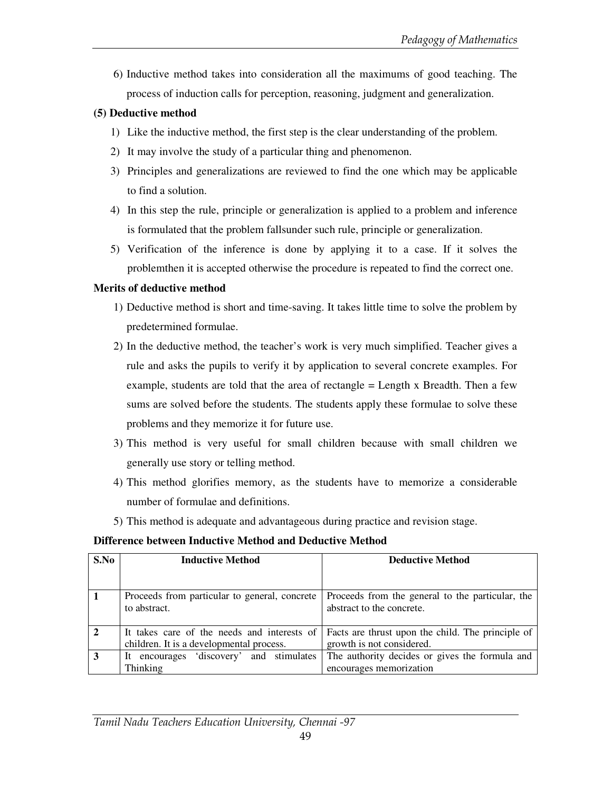6) Inductive method takes into consideration all the maximums of good teaching. The process of induction calls for perception, reasoning, judgment and generalization.

# **(5) Deductive method**

- 1) Like the inductive method, the first step is the clear understanding of the problem.
- 2) It may involve the study of a particular thing and phenomenon.
- 3) Principles and generalizations are reviewed to find the one which may be applicable to find a solution.
- 4) In this step the rule, principle or generalization is applied to a problem and inference is formulated that the problem fallsunder such rule, principle or generalization.
- 5) Verification of the inference is done by applying it to a case. If it solves the problemthen it is accepted otherwise the procedure is repeated to find the correct one.

# **Merits of deductive method**

- 1) Deductive method is short and time-saving. It takes little time to solve the problem by predetermined formulae.
- 2) In the deductive method, the teacher's work is very much simplified. Teacher gives a rule and asks the pupils to verify it by application to several concrete examples. For example, students are told that the area of rectangle = Length x Breadth. Then a few sums are solved before the students. The students apply these formulae to solve these problems and they memorize it for future use.
- 3) This method is very useful for small children because with small children we generally use story or telling method.
- 4) This method glorifies memory, as the students have to memorize a considerable number of formulae and definitions.
- 5) This method is adequate and advantageous during practice and revision stage.

# **Difference between Inductive Method and Deductive Method**

| S.No           | <b>Inductive Method</b>                       | <b>Deductive Method</b>                           |
|----------------|-----------------------------------------------|---------------------------------------------------|
|                |                                               |                                                   |
| $\mathbf{1}$   | Proceeds from particular to general, concrete | Proceeds from the general to the particular, the  |
|                | to abstract.                                  | abstract to the concrete.                         |
|                |                                               |                                                   |
| $\overline{2}$ | It takes care of the needs and interests of   | Facts are thrust upon the child. The principle of |
|                | children. It is a developmental process.      | growth is not considered.                         |
| $\overline{3}$ | It encourages 'discovery' and stimulates      | The authority decides or gives the formula and    |
|                | Thinking                                      | encourages memorization                           |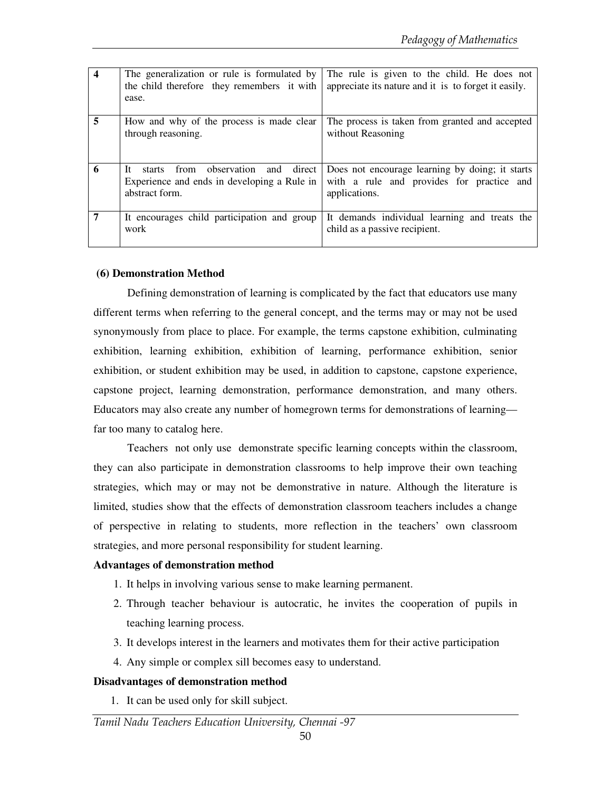| $\overline{4}$ | The generalization or rule is formulated by<br>the child therefore they remembers it with<br>ease.                  | The rule is given to the child. He does not<br>appreciate its nature and it is to forget it easily.           |
|----------------|---------------------------------------------------------------------------------------------------------------------|---------------------------------------------------------------------------------------------------------------|
| 5              | How and why of the process is made clear<br>through reasoning.                                                      | The process is taken from granted and accepted<br>without Reasoning                                           |
| 6              | observation<br>and direct<br>from<br>Īf.<br>starts<br>Experience and ends in developing a Rule in<br>abstract form. | Does not encourage learning by doing; it starts<br>with a rule and provides for practice and<br>applications. |
| 7              | It encourages child participation and group<br>work                                                                 | It demands individual learning and treats the<br>child as a passive recipient.                                |

# **(6) Demonstration Method**

Defining demonstration of learning is complicated by the fact that educators use many different terms when referring to the general concept, and the terms may or may not be used synonymously from place to place. For example, the terms capstone exhibition, culminating exhibition, learning exhibition, exhibition of learning, performance exhibition, senior exhibition, or student exhibition may be used, in addition to capstone, capstone experience, capstone project, learning demonstration, performance demonstration, and many others. Educators may also create any number of homegrown terms for demonstrations of learning far too many to catalog here.

Teachers not only use demonstrate specific learning concepts within the classroom, they can also participate in demonstration classrooms to help improve their own teaching strategies, which may or may not be demonstrative in nature. Although the literature is limited, studies show that the effects of demonstration classroom teachers includes a change of perspective in relating to students, more reflection in the teachers' own classroom strategies, and more personal responsibility for student learning.

#### **Advantages of demonstration method**

- 1. It helps in involving various sense to make learning permanent.
- 2. Through teacher behaviour is autocratic, he invites the cooperation of pupils in teaching learning process.
- 3. It develops interest in the learners and motivates them for their active participation
- 4. Any simple or complex sill becomes easy to understand.

# **Disadvantages of demonstration method**

1. It can be used only for skill subject.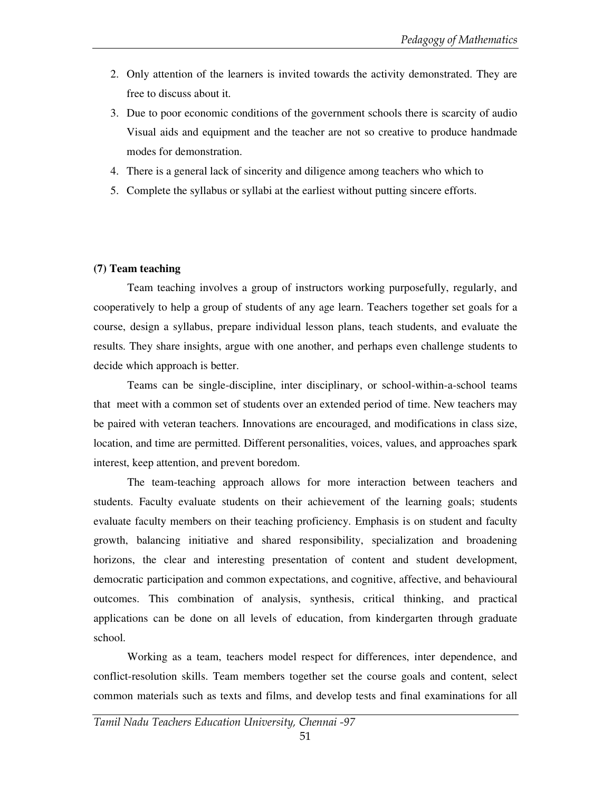- 2. Only attention of the learners is invited towards the activity demonstrated. They are free to discuss about it.
- 3. Due to poor economic conditions of the government schools there is scarcity of audio Visual aids and equipment and the teacher are not so creative to produce handmade modes for demonstration.
- 4. There is a general lack of sincerity and diligence among teachers who which to
- 5. Complete the syllabus or syllabi at the earliest without putting sincere efforts.

#### **(7) Team teaching**

Team teaching involves a group of instructors working purposefully, regularly, and cooperatively to help a group of students of any age learn. Teachers together set goals for a course, design a syllabus, prepare individual lesson plans, teach students, and evaluate the results. They share insights, argue with one another, and perhaps even challenge students to decide which approach is better.

Teams can be single-discipline, inter disciplinary, or school-within-a-school teams that meet with a common set of students over an extended period of time. New teachers may be paired with veteran teachers. Innovations are encouraged, and modifications in class size, location, and time are permitted. Different personalities, voices, values, and approaches spark interest, keep attention, and prevent boredom.

The team-teaching approach allows for more interaction between teachers and students. Faculty evaluate students on their achievement of the learning goals; students evaluate faculty members on their teaching proficiency. Emphasis is on student and faculty growth, balancing initiative and shared responsibility, specialization and broadening horizons, the clear and interesting presentation of content and student development, democratic participation and common expectations, and cognitive, affective, and behavioural outcomes. This combination of analysis, synthesis, critical thinking, and practical applications can be done on all levels of education, from kindergarten through graduate school.

Working as a team, teachers model respect for differences, inter dependence, and conflict-resolution skills. Team members together set the course goals and content, select common materials such as texts and films, and develop tests and final examinations for all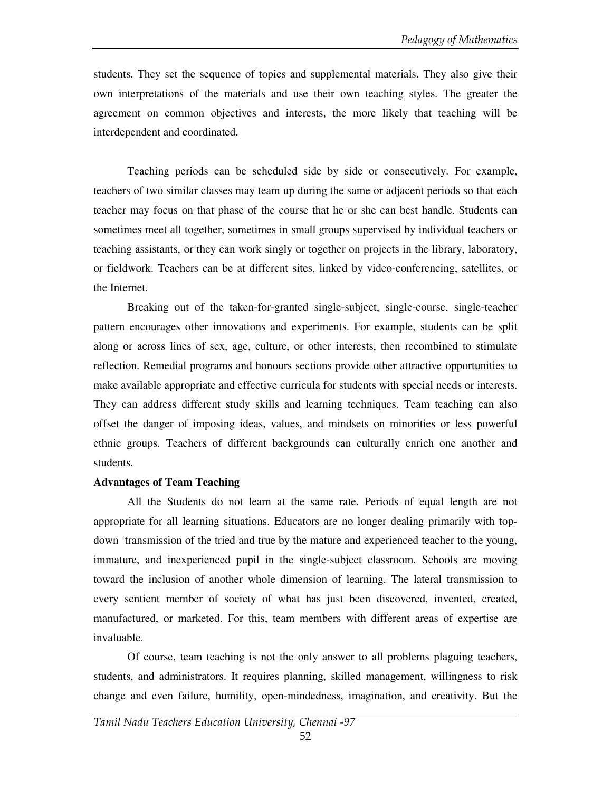students. They set the sequence of topics and supplemental materials. They also give their own interpretations of the materials and use their own teaching styles. The greater the agreement on common objectives and interests, the more likely that teaching will be interdependent and coordinated.

Teaching periods can be scheduled side by side or consecutively. For example, teachers of two similar classes may team up during the same or adjacent periods so that each teacher may focus on that phase of the course that he or she can best handle. Students can sometimes meet all together, sometimes in small groups supervised by individual teachers or teaching assistants, or they can work singly or together on projects in the library, laboratory, or fieldwork. Teachers can be at different sites, linked by video-conferencing, satellites, or the Internet.

Breaking out of the taken-for-granted single-subject, single-course, single-teacher pattern encourages other innovations and experiments. For example, students can be split along or across lines of sex, age, culture, or other interests, then recombined to stimulate reflection. Remedial programs and honours sections provide other attractive opportunities to make available appropriate and effective curricula for students with special needs or interests. They can address different study skills and learning techniques. Team teaching can also offset the danger of imposing ideas, values, and mindsets on minorities or less powerful ethnic groups. Teachers of different backgrounds can culturally enrich one another and students.

#### **Advantages of Team Teaching**

All the Students do not learn at the same rate. Periods of equal length are not appropriate for all learning situations. Educators are no longer dealing primarily with topdown transmission of the tried and true by the mature and experienced teacher to the young, immature, and inexperienced pupil in the single-subject classroom. Schools are moving toward the inclusion of another whole dimension of learning. The lateral transmission to every sentient member of society of what has just been discovered, invented, created, manufactured, or marketed. For this, team members with different areas of expertise are invaluable.

Of course, team teaching is not the only answer to all problems plaguing teachers, students, and administrators. It requires planning, skilled management, willingness to risk change and even failure, humility, open-mindedness, imagination, and creativity. But the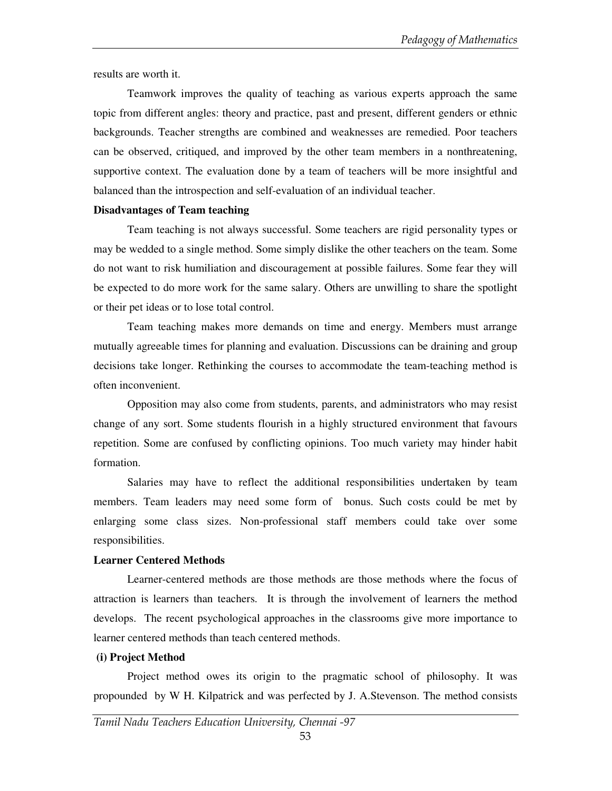results are worth it.

Teamwork improves the quality of teaching as various experts approach the same topic from different angles: theory and practice, past and present, different genders or ethnic backgrounds. Teacher strengths are combined and weaknesses are remedied. Poor teachers can be observed, critiqued, and improved by the other team members in a nonthreatening, supportive context. The evaluation done by a team of teachers will be more insightful and balanced than the introspection and self-evaluation of an individual teacher.

#### **Disadvantages of Team teaching**

Team teaching is not always successful. Some teachers are rigid personality types or may be wedded to a single method. Some simply dislike the other teachers on the team. Some do not want to risk humiliation and discouragement at possible failures. Some fear they will be expected to do more work for the same salary. Others are unwilling to share the spotlight or their pet ideas or to lose total control.

Team teaching makes more demands on time and energy. Members must arrange mutually agreeable times for planning and evaluation. Discussions can be draining and group decisions take longer. Rethinking the courses to accommodate the team-teaching method is often inconvenient.

Opposition may also come from students, parents, and administrators who may resist change of any sort. Some students flourish in a highly structured environment that favours repetition. Some are confused by conflicting opinions. Too much variety may hinder habit formation.

Salaries may have to reflect the additional responsibilities undertaken by team members. Team leaders may need some form of bonus. Such costs could be met by enlarging some class sizes. Non-professional staff members could take over some responsibilities.

#### **Learner Centered Methods**

Learner-centered methods are those methods are those methods where the focus of attraction is learners than teachers. It is through the involvement of learners the method develops. The recent psychological approaches in the classrooms give more importance to learner centered methods than teach centered methods.

#### **(i) Project Method**

Project method owes its origin to the pragmatic school of philosophy. It was propounded by W H. Kilpatrick and was perfected by J. A.Stevenson. The method consists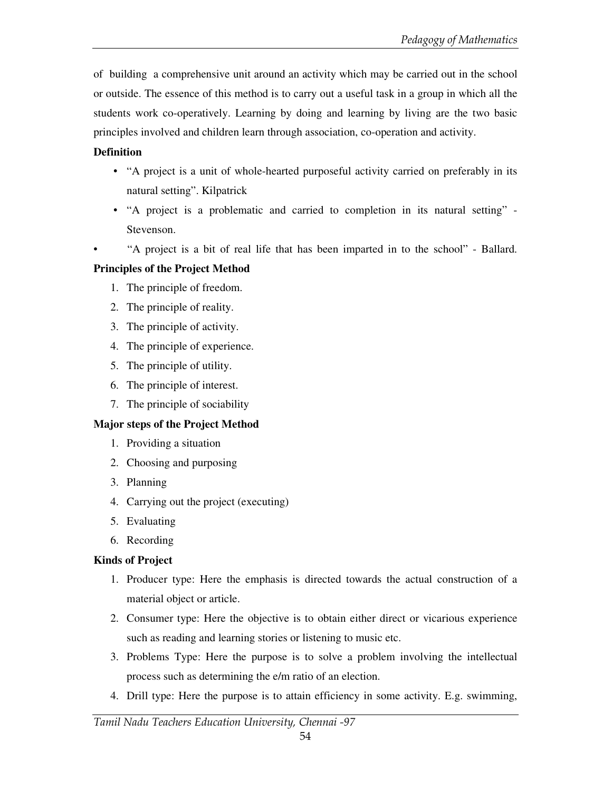of building a comprehensive unit around an activity which may be carried out in the school or outside. The essence of this method is to carry out a useful task in a group in which all the students work co-operatively. Learning by doing and learning by living are the two basic principles involved and children learn through association, co-operation and activity.

# **Definition**

- "A project is a unit of whole-hearted purposeful activity carried on preferably in its natural setting". Kilpatrick
- "A project is a problematic and carried to completion in its natural setting" Stevenson.
- "A project is a bit of real life that has been imparted in to the school" Ballard.

# **Principles of the Project Method**

- 1. The principle of freedom.
- 2. The principle of reality.
- 3. The principle of activity.
- 4. The principle of experience.
- 5. The principle of utility.
- 6. The principle of interest.
- 7. The principle of sociability

# **Major steps of the Project Method**

- 1. Providing a situation
- 2. Choosing and purposing
- 3. Planning
- 4. Carrying out the project (executing)
- 5. Evaluating
- 6. Recording

# **Kinds of Project**

- 1. Producer type: Here the emphasis is directed towards the actual construction of a material object or article.
- 2. Consumer type: Here the objective is to obtain either direct or vicarious experience such as reading and learning stories or listening to music etc.
- 3. Problems Type: Here the purpose is to solve a problem involving the intellectual process such as determining the e/m ratio of an election.
- 4. Drill type: Here the purpose is to attain efficiency in some activity. E.g. swimming,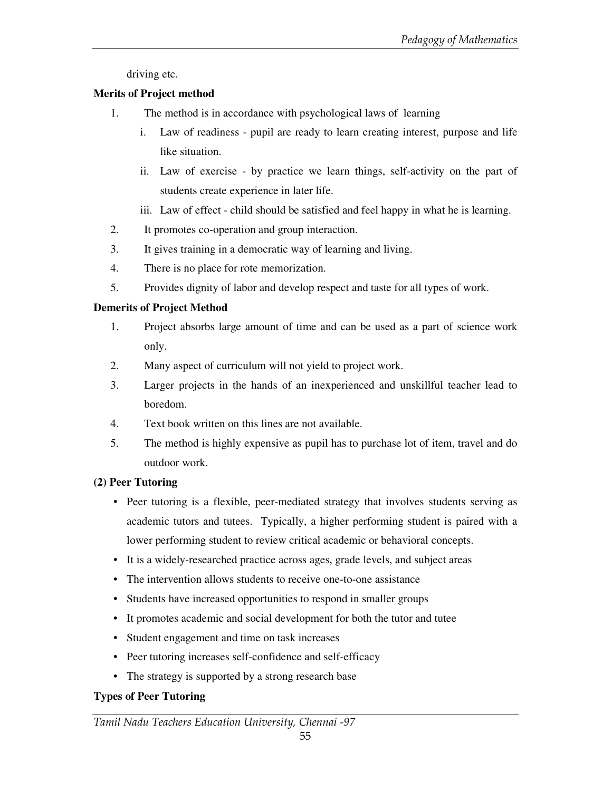driving etc.

# **Merits of Project method**

- 1. The method is in accordance with psychological laws of learning
	- i. Law of readiness pupil are ready to learn creating interest, purpose and life like situation.
	- ii. Law of exercise by practice we learn things, self-activity on the part of students create experience in later life.
	- iii. Law of effect child should be satisfied and feel happy in what he is learning.
- 2. It promotes co-operation and group interaction.
- 3. It gives training in a democratic way of learning and living.
- 4. There is no place for rote memorization.
- 5. Provides dignity of labor and develop respect and taste for all types of work.

# **Demerits of Project Method**

- 1. Project absorbs large amount of time and can be used as a part of science work only.
- 2. Many aspect of curriculum will not yield to project work.
- 3. Larger projects in the hands of an inexperienced and unskillful teacher lead to boredom.
- 4. Text book written on this lines are not available.
- 5. The method is highly expensive as pupil has to purchase lot of item, travel and do outdoor work.

# **(2) Peer Tutoring**

- Peer tutoring is a flexible, peer-mediated strategy that involves students serving as academic tutors and tutees. Typically, a higher performing student is paired with a lower performing student to review critical academic or behavioral concepts.
- It is a widely-researched practice across ages, grade levels, and subject areas
- The intervention allows students to receive one-to-one assistance
- Students have increased opportunities to respond in smaller groups
- It promotes academic and social development for both the tutor and tutee
- Student engagement and time on task increases
- Peer tutoring increases self-confidence and self-efficacy
- The strategy is supported by a strong research base

# **Types of Peer Tutoring**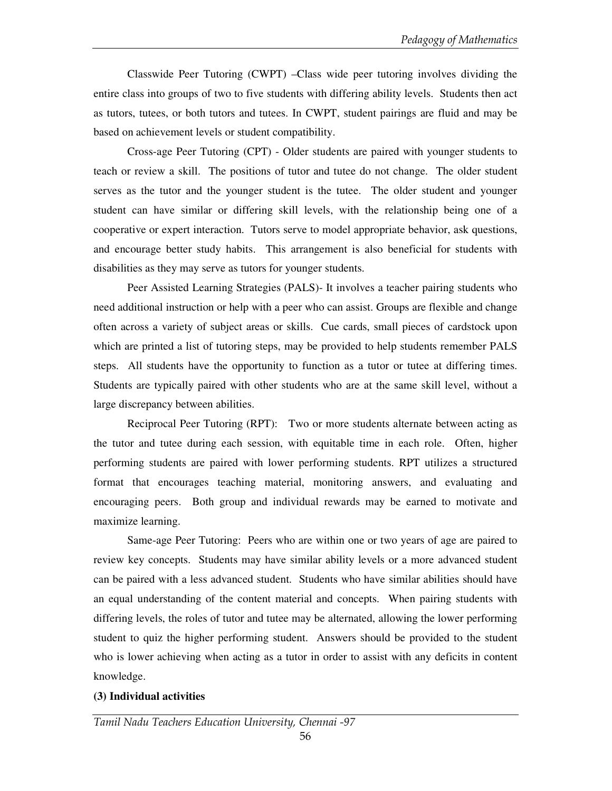Classwide Peer Tutoring (CWPT) –Class wide peer tutoring involves dividing the entire class into groups of two to five students with differing ability levels. Students then act as tutors, tutees, or both tutors and tutees. In CWPT, student pairings are fluid and may be based on achievement levels or student compatibility.

Cross-age Peer Tutoring (CPT) - Older students are paired with younger students to teach or review a skill. The positions of tutor and tutee do not change. The older student serves as the tutor and the younger student is the tutee. The older student and younger student can have similar or differing skill levels, with the relationship being one of a cooperative or expert interaction. Tutors serve to model appropriate behavior, ask questions, and encourage better study habits. This arrangement is also beneficial for students with disabilities as they may serve as tutors for younger students.

Peer Assisted Learning Strategies (PALS)- It involves a teacher pairing students who need additional instruction or help with a peer who can assist. Groups are flexible and change often across a variety of subject areas or skills. Cue cards, small pieces of cardstock upon which are printed a list of tutoring steps, may be provided to help students remember PALS steps. All students have the opportunity to function as a tutor or tutee at differing times. Students are typically paired with other students who are at the same skill level, without a large discrepancy between abilities.

 Reciprocal Peer Tutoring (RPT): Two or more students alternate between acting as the tutor and tutee during each session, with equitable time in each role. Often, higher performing students are paired with lower performing students. RPT utilizes a structured format that encourages teaching material, monitoring answers, and evaluating and encouraging peers. Both group and individual rewards may be earned to motivate and maximize learning.

Same-age Peer Tutoring: Peers who are within one or two years of age are paired to review key concepts. Students may have similar ability levels or a more advanced student can be paired with a less advanced student. Students who have similar abilities should have an equal understanding of the content material and concepts. When pairing students with differing levels, the roles of tutor and tutee may be alternated, allowing the lower performing student to quiz the higher performing student. Answers should be provided to the student who is lower achieving when acting as a tutor in order to assist with any deficits in content knowledge.

#### **(3) Individual activities**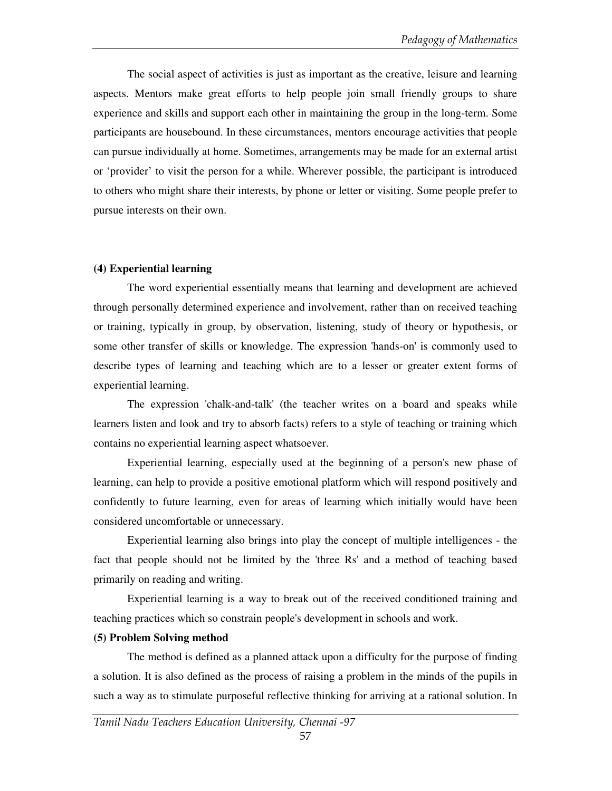The social aspect of activities is just as important as the creative, leisure and learning aspects. Mentors make great efforts to help people join small friendly groups to share experience and skills and support each other in maintaining the group in the long-term. Some participants are housebound. In these circumstances, mentors encourage activities that people can pursue individually at home. Sometimes, arrangements may be made for an external artist or 'provider' to visit the person for a while. Wherever possible, the participant is introduced to others who might share their interests, by phone or letter or visiting. Some people prefer to pursue interests on their own.

#### **(4) Experiential learning**

 The word experiential essentially means that learning and development are achieved through personally determined experience and involvement, rather than on received teaching or training, typically in group, by observation, listening, study of theory or hypothesis, or some other transfer of skills or knowledge. The expression 'hands-on' is commonly used to describe types of learning and teaching which are to a lesser or greater extent forms of experiential learning.

The expression 'chalk-and-talk' (the teacher writes on a board and speaks while learners listen and look and try to absorb facts) refers to a style of teaching or training which contains no experiential learning aspect whatsoever.

Experiential learning, especially used at the beginning of a person's new phase of learning, can help to provide a positive emotional platform which will respond positively and confidently to future learning, even for areas of learning which initially would have been considered uncomfortable or unnecessary.

Experiential learning also brings into play the concept of multiple intelligences - the fact that people should not be limited by the 'three Rs' and a method of teaching based primarily on reading and writing.

Experiential learning is a way to break out of the received conditioned training and teaching practices which so constrain people's development in schools and work.

#### **(5) Problem Solving method**

The method is defined as a planned attack upon a difficulty for the purpose of finding a solution. It is also defined as the process of raising a problem in the minds of the pupils in such a way as to stimulate purposeful reflective thinking for arriving at a rational solution. In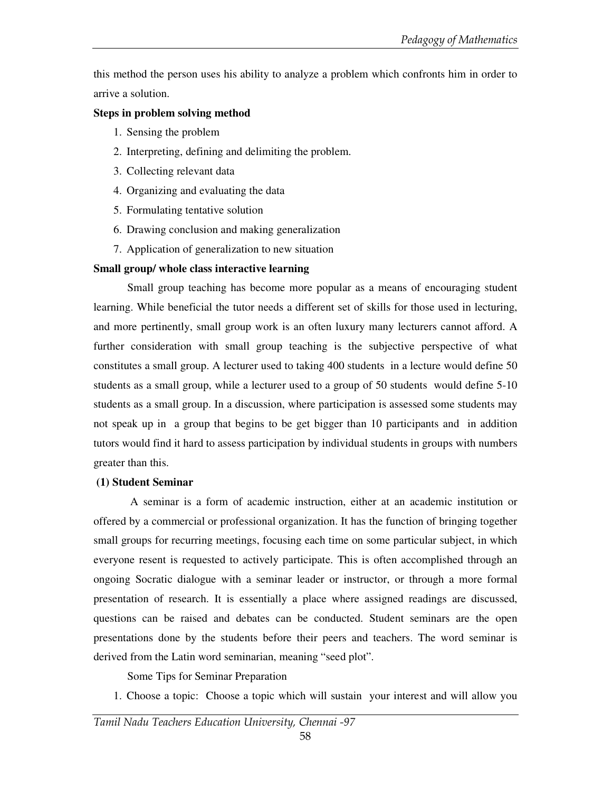this method the person uses his ability to analyze a problem which confronts him in order to arrive a solution.

#### **Steps in problem solving method**

- 1. Sensing the problem
- 2. Interpreting, defining and delimiting the problem.
- 3. Collecting relevant data
- 4. Organizing and evaluating the data
- 5. Formulating tentative solution
- 6. Drawing conclusion and making generalization
- 7. Application of generalization to new situation

#### **Small group/ whole class interactive learning**

Small group teaching has become more popular as a means of encouraging student learning. While beneficial the tutor needs a different set of skills for those used in lecturing, and more pertinently, small group work is an often luxury many lecturers cannot afford. A further consideration with small group teaching is the subjective perspective of what constitutes a small group. A lecturer used to taking 400 students in a lecture would define 50 students as a small group, while a lecturer used to a group of 50 students would define 5-10 students as a small group. In a discussion, where participation is assessed some students may not speak up in a group that begins to be get bigger than 10 participants and in addition tutors would find it hard to assess participation by individual students in groups with numbers greater than this.

#### **(1) Student Seminar**

 A seminar is a form of academic instruction, either at an academic institution or offered by a commercial or professional organization. It has the function of bringing together small groups for recurring meetings, focusing each time on some particular subject, in which everyone resent is requested to actively participate. This is often accomplished through an ongoing Socratic dialogue with a seminar leader or instructor, or through a more formal presentation of research. It is essentially a place where assigned readings are discussed, questions can be raised and debates can be conducted. Student seminars are the open presentations done by the students before their peers and teachers. The word seminar is derived from the Latin word seminarian, meaning "seed plot".

Some Tips for Seminar Preparation

1. Choose a topic: Choose a topic which will sustain your interest and will allow you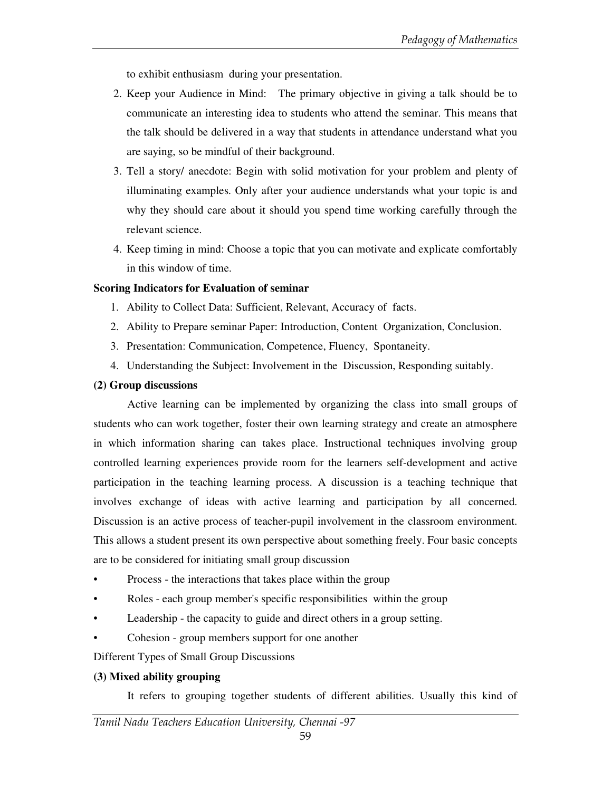to exhibit enthusiasm during your presentation.

- 2. Keep your Audience in Mind: The primary objective in giving a talk should be to communicate an interesting idea to students who attend the seminar. This means that the talk should be delivered in a way that students in attendance understand what you are saying, so be mindful of their background.
- 3. Tell a story/ anecdote: Begin with solid motivation for your problem and plenty of illuminating examples. Only after your audience understands what your topic is and why they should care about it should you spend time working carefully through the relevant science.
- 4. Keep timing in mind: Choose a topic that you can motivate and explicate comfortably in this window of time.

# **Scoring Indicators for Evaluation of seminar**

- 1. Ability to Collect Data: Sufficient, Relevant, Accuracy of facts.
- 2. Ability to Prepare seminar Paper: Introduction, Content Organization, Conclusion.
- 3. Presentation: Communication, Competence, Fluency, Spontaneity.
- 4. Understanding the Subject: Involvement in the Discussion, Responding suitably.

# **(2) Group discussions**

Active learning can be implemented by organizing the class into small groups of students who can work together, foster their own learning strategy and create an atmosphere in which information sharing can takes place. Instructional techniques involving group controlled learning experiences provide room for the learners self-development and active participation in the teaching learning process. A discussion is a teaching technique that involves exchange of ideas with active learning and participation by all concerned. Discussion is an active process of teacher-pupil involvement in the classroom environment. This allows a student present its own perspective about something freely. Four basic concepts are to be considered for initiating small group discussion

- Process the interactions that takes place within the group
- Roles each group member's specific responsibilities within the group
- Leadership the capacity to guide and direct others in a group setting.
- Cohesion group members support for one another

Different Types of Small Group Discussions

# **(3) Mixed ability grouping**

It refers to grouping together students of different abilities. Usually this kind of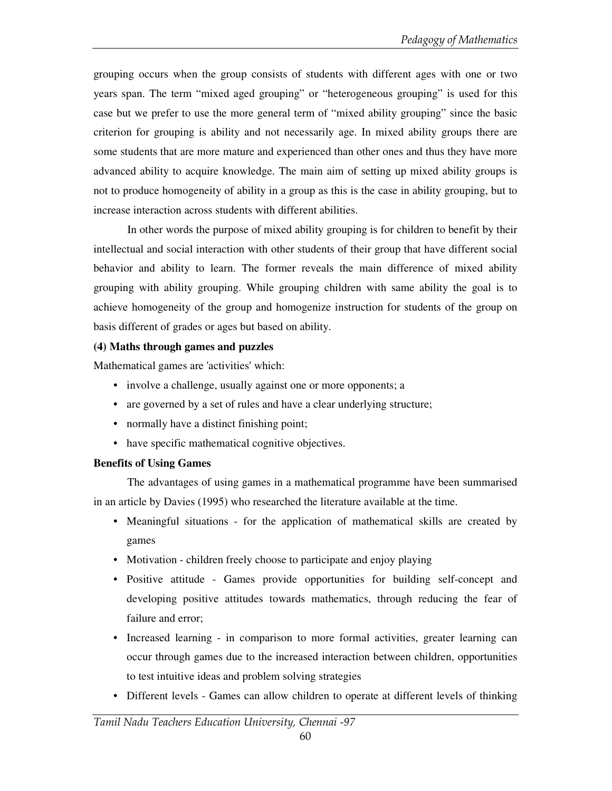grouping occurs when the group consists of students with different ages with one or two years span. The term "mixed aged grouping" or "heterogeneous grouping" is used for this case but we prefer to use the more general term of "mixed ability grouping" since the basic criterion for grouping is ability and not necessarily age. In mixed ability groups there are some students that are more mature and experienced than other ones and thus they have more advanced ability to acquire knowledge. The main aim of setting up mixed ability groups is not to produce homogeneity of ability in a group as this is the case in ability grouping, but to increase interaction across students with different abilities.

 In other words the purpose of mixed ability grouping is for children to benefit by their intellectual and social interaction with other students of their group that have different social behavior and ability to learn. The former reveals the main difference of mixed ability grouping with ability grouping. While grouping children with same ability the goal is to achieve homogeneity of the group and homogenize instruction for students of the group on basis different of grades or ages but based on ability.

# **(4) Maths through games and puzzles**

Mathematical games are 'activities' which:

- involve a challenge, usually against one or more opponents; a
- are governed by a set of rules and have a clear underlying structure;
- normally have a distinct finishing point;
- have specific mathematical cognitive objectives.

# **Benefits of Using Games**

 The advantages of using games in a mathematical programme have been summarised in an article by Davies (1995) who researched the literature available at the time.

- Meaningful situations for the application of mathematical skills are created by games
- Motivation children freely choose to participate and enjoy playing
- Positive attitude Games provide opportunities for building self-concept and developing positive attitudes towards mathematics, through reducing the fear of failure and error;
- Increased learning in comparison to more formal activities, greater learning can occur through games due to the increased interaction between children, opportunities to test intuitive ideas and problem solving strategies
- Different levels Games can allow children to operate at different levels of thinking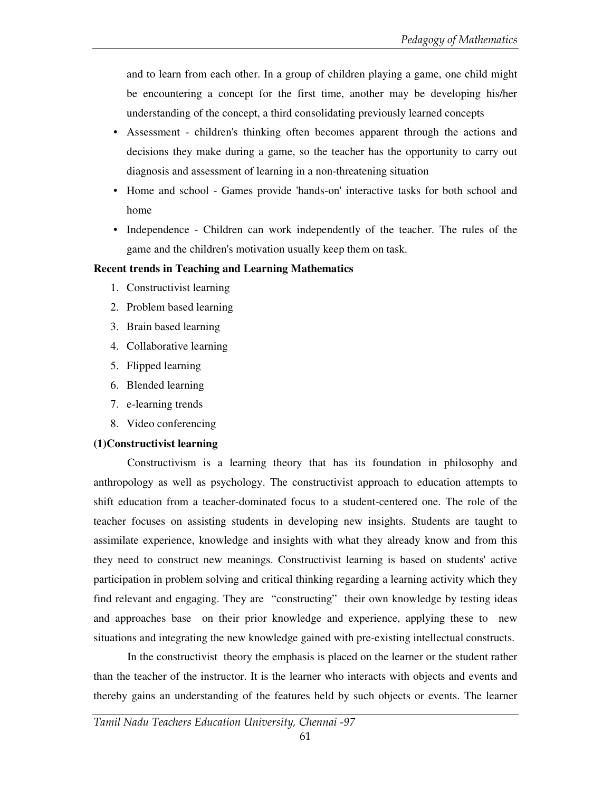and to learn from each other. In a group of children playing a game, one child might be encountering a concept for the first time, another may be developing his/her understanding of the concept, a third consolidating previously learned concepts

- Assessment children's thinking often becomes apparent through the actions and decisions they make during a game, so the teacher has the opportunity to carry out diagnosis and assessment of learning in a non-threatening situation
- Home and school Games provide 'hands-on' interactive tasks for both school and home
- Independence Children can work independently of the teacher. The rules of the game and the children's motivation usually keep them on task.

### **Recent trends in Teaching and Learning Mathematics**

- 1. Constructivist learning
- 2. Problem based learning
- 3. Brain based learning
- 4. Collaborative learning
- 5. Flipped learning
- 6. Blended learning
- 7. e-learning trends
- 8. Video conferencing

# **(1)Constructivist learning**

Constructivism is a learning theory that has its foundation in philosophy and anthropology as well as psychology. The constructivist approach to education attempts to shift education from a teacher-dominated focus to a student-centered one. The role of the teacher focuses on assisting students in developing new insights. Students are taught to assimilate experience, knowledge and insights with what they already know and from this they need to construct new meanings. Constructivist learning is based on students' active participation in problem solving and critical thinking regarding a learning activity which they find relevant and engaging. They are "constructing" their own knowledge by testing ideas and approaches base on their prior knowledge and experience, applying these to new situations and integrating the new knowledge gained with pre-existing intellectual constructs.

In the constructivist theory the emphasis is placed on the learner or the student rather than the teacher of the instructor. It is the learner who interacts with objects and events and thereby gains an understanding of the features held by such objects or events. The learner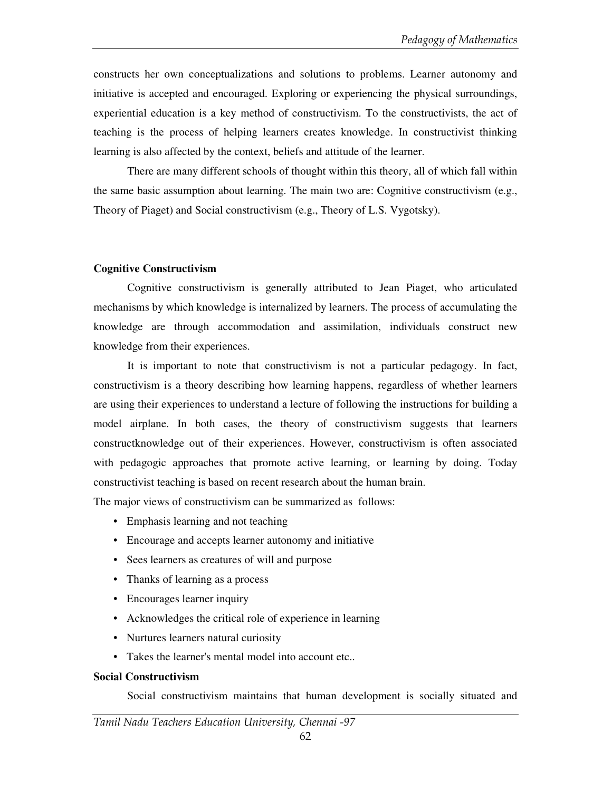constructs her own conceptualizations and solutions to problems. Learner autonomy and initiative is accepted and encouraged. Exploring or experiencing the physical surroundings, experiential education is a key method of constructivism. To the constructivists, the act of teaching is the process of helping learners creates knowledge. In constructivist thinking learning is also affected by the context, beliefs and attitude of the learner.

There are many different schools of thought within this theory, all of which fall within the same basic assumption about learning. The main two are: Cognitive constructivism (e.g., Theory of Piaget) and Social constructivism (e.g., Theory of L.S. Vygotsky).

### **Cognitive Constructivism**

Cognitive constructivism is generally attributed to Jean Piaget, who articulated mechanisms by which knowledge is internalized by learners. The process of accumulating the knowledge are through accommodation and assimilation, individuals construct new knowledge from their experiences.

It is important to note that constructivism is not a particular pedagogy. In fact, constructivism is a theory describing how learning happens, regardless of whether learners are using their experiences to understand a lecture of following the instructions for building a model airplane. In both cases, the theory of constructivism suggests that learners constructknowledge out of their experiences. However, constructivism is often associated with pedagogic approaches that promote active learning, or learning by doing. Today constructivist teaching is based on recent research about the human brain.

The major views of constructivism can be summarized as follows:

- Emphasis learning and not teaching
- Encourage and accepts learner autonomy and initiative
- Sees learners as creatures of will and purpose
- Thanks of learning as a process
- Encourages learner inquiry
- Acknowledges the critical role of experience in learning
- Nurtures learners natural curiosity
- Takes the learner's mental model into account etc..

#### **Social Constructivism**

Social constructivism maintains that human development is socially situated and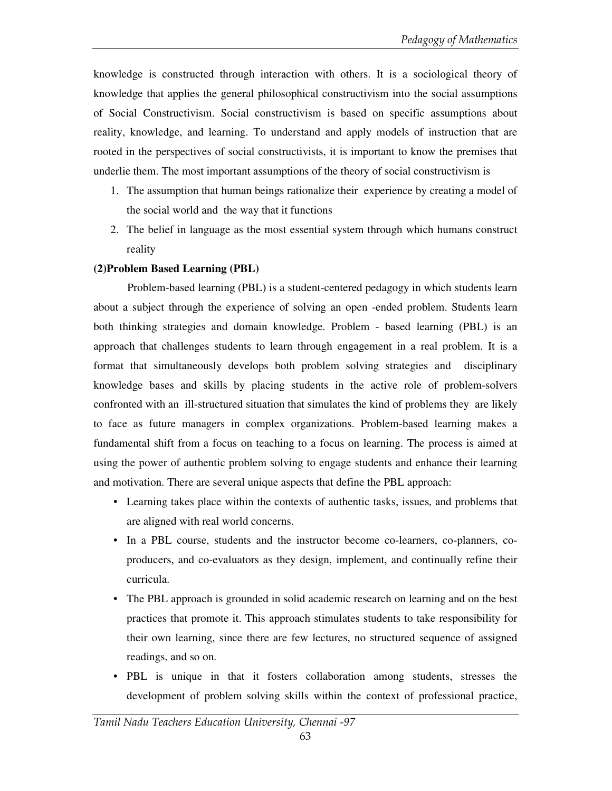knowledge is constructed through interaction with others. It is a sociological theory of knowledge that applies the general philosophical constructivism into the social assumptions of Social Constructivism. Social constructivism is based on specific assumptions about reality, knowledge, and learning. To understand and apply models of instruction that are rooted in the perspectives of social constructivists, it is important to know the premises that underlie them. The most important assumptions of the theory of social constructivism is

- 1. The assumption that human beings rationalize their experience by creating a model of the social world and the way that it functions
- 2. The belief in language as the most essential system through which humans construct reality

### **(2)Problem Based Learning (PBL)**

Problem-based learning (PBL) is a student-centered pedagogy in which students learn about a subject through the experience of solving an open -ended problem. Students learn both thinking strategies and domain knowledge. Problem - based learning (PBL) is an approach that challenges students to learn through engagement in a real problem. It is a format that simultaneously develops both problem solving strategies and disciplinary knowledge bases and skills by placing students in the active role of problem-solvers confronted with an ill-structured situation that simulates the kind of problems they are likely to face as future managers in complex organizations. Problem-based learning makes a fundamental shift from a focus on teaching to a focus on learning. The process is aimed at using the power of authentic problem solving to engage students and enhance their learning and motivation. There are several unique aspects that define the PBL approach:

- Learning takes place within the contexts of authentic tasks, issues, and problems that are aligned with real world concerns.
- In a PBL course, students and the instructor become co-learners, co-planners, coproducers, and co-evaluators as they design, implement, and continually refine their curricula.
- The PBL approach is grounded in solid academic research on learning and on the best practices that promote it. This approach stimulates students to take responsibility for their own learning, since there are few lectures, no structured sequence of assigned readings, and so on.
- PBL is unique in that it fosters collaboration among students, stresses the development of problem solving skills within the context of professional practice,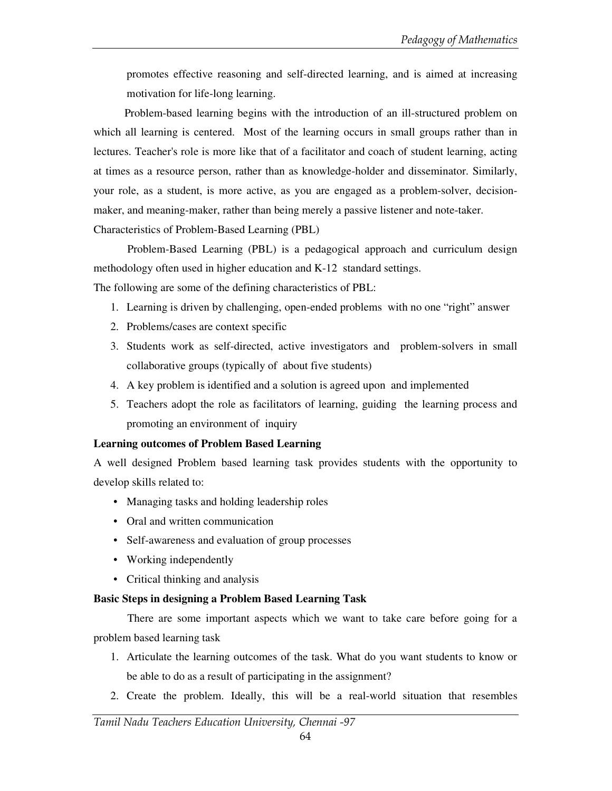promotes effective reasoning and self-directed learning, and is aimed at increasing motivation for life-long learning.

 Problem-based learning begins with the introduction of an ill-structured problem on which all learning is centered. Most of the learning occurs in small groups rather than in lectures. Teacher's role is more like that of a facilitator and coach of student learning, acting at times as a resource person, rather than as knowledge-holder and disseminator. Similarly, your role, as a student, is more active, as you are engaged as a problem-solver, decisionmaker, and meaning-maker, rather than being merely a passive listener and note-taker. Characteristics of Problem-Based Learning (PBL)

 Problem-Based Learning (PBL) is a pedagogical approach and curriculum design methodology often used in higher education and K-12 standard settings.

The following are some of the defining characteristics of PBL:

- 1. Learning is driven by challenging, open-ended problems with no one "right" answer
- 2. Problems/cases are context specific
- 3. Students work as self-directed, active investigators and problem-solvers in small collaborative groups (typically of about five students)
- 4. A key problem is identified and a solution is agreed upon and implemented
- 5. Teachers adopt the role as facilitators of learning, guiding the learning process and promoting an environment of inquiry

# **Learning outcomes of Problem Based Learning**

A well designed Problem based learning task provides students with the opportunity to develop skills related to:

- Managing tasks and holding leadership roles
- Oral and written communication
- Self-awareness and evaluation of group processes
- Working independently
- Critical thinking and analysis

# **Basic Steps in designing a Problem Based Learning Task**

 There are some important aspects which we want to take care before going for a problem based learning task

- 1. Articulate the learning outcomes of the task. What do you want students to know or be able to do as a result of participating in the assignment?
- 2. Create the problem. Ideally, this will be a real-world situation that resembles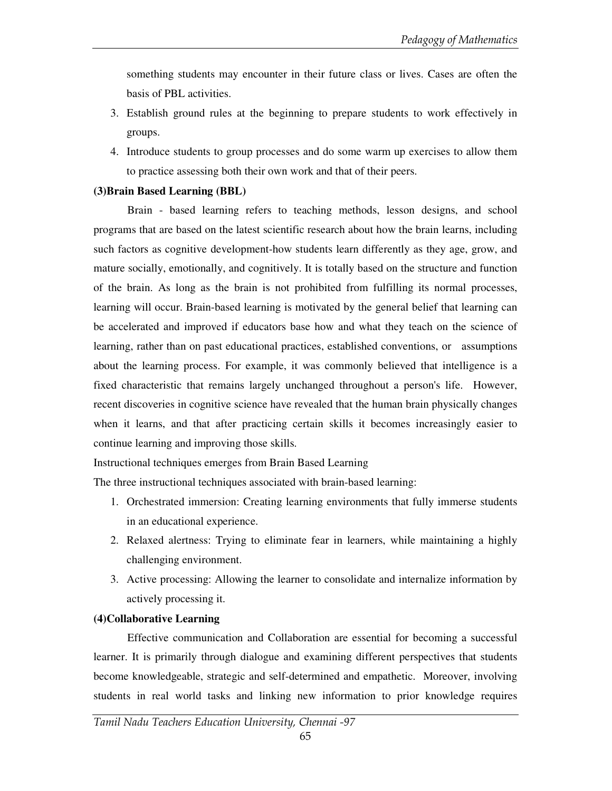something students may encounter in their future class or lives. Cases are often the basis of PBL activities.

- 3. Establish ground rules at the beginning to prepare students to work effectively in groups.
- 4. Introduce students to group processes and do some warm up exercises to allow them to practice assessing both their own work and that of their peers.

### **(3)Brain Based Learning (BBL)**

Brain - based learning refers to teaching methods, lesson designs, and school programs that are based on the latest scientific research about how the brain learns, including such factors as cognitive development-how students learn differently as they age, grow, and mature socially, emotionally, and cognitively. It is totally based on the structure and function of the brain. As long as the brain is not prohibited from fulfilling its normal processes, learning will occur. Brain-based learning is motivated by the general belief that learning can be accelerated and improved if educators base how and what they teach on the science of learning, rather than on past educational practices, established conventions, or assumptions about the learning process. For example, it was commonly believed that intelligence is a fixed characteristic that remains largely unchanged throughout a person's life. However, recent discoveries in cognitive science have revealed that the human brain physically changes when it learns, and that after practicing certain skills it becomes increasingly easier to continue learning and improving those skills.

Instructional techniques emerges from Brain Based Learning

The three instructional techniques associated with brain-based learning:

- 1. Orchestrated immersion: Creating learning environments that fully immerse students in an educational experience.
- 2. Relaxed alertness: Trying to eliminate fear in learners, while maintaining a highly challenging environment.
- 3. Active processing: Allowing the learner to consolidate and internalize information by actively processing it.

# **(4)Collaborative Learning**

Effective communication and Collaboration are essential for becoming a successful learner. It is primarily through dialogue and examining different perspectives that students become knowledgeable, strategic and self-determined and empathetic. Moreover, involving students in real world tasks and linking new information to prior knowledge requires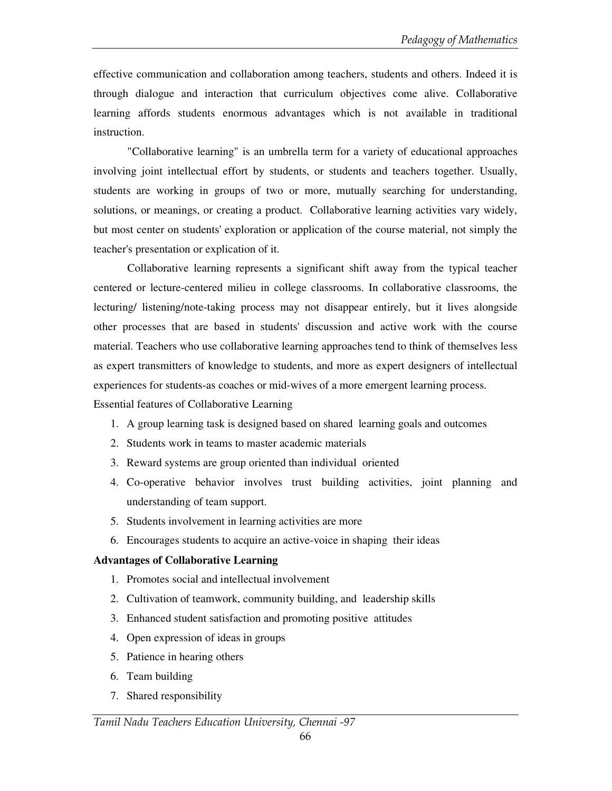effective communication and collaboration among teachers, students and others. Indeed it is through dialogue and interaction that curriculum objectives come alive. Collaborative learning affords students enormous advantages which is not available in traditional instruction.

"Collaborative learning" is an umbrella term for a variety of educational approaches involving joint intellectual effort by students, or students and teachers together. Usually, students are working in groups of two or more, mutually searching for understanding, solutions, or meanings, or creating a product. Collaborative learning activities vary widely, but most center on students' exploration or application of the course material, not simply the teacher's presentation or explication of it.

Collaborative learning represents a significant shift away from the typical teacher centered or lecture-centered milieu in college classrooms. In collaborative classrooms, the lecturing/ listening/note-taking process may not disappear entirely, but it lives alongside other processes that are based in students' discussion and active work with the course material. Teachers who use collaborative learning approaches tend to think of themselves less as expert transmitters of knowledge to students, and more as expert designers of intellectual experiences for students-as coaches or mid-wives of a more emergent learning process.

Essential features of Collaborative Learning

- 1. A group learning task is designed based on shared learning goals and outcomes
- 2. Students work in teams to master academic materials
- 3. Reward systems are group oriented than individual oriented
- 4. Co-operative behavior involves trust building activities, joint planning and understanding of team support.
- 5. Students involvement in learning activities are more
- 6. Encourages students to acquire an active-voice in shaping their ideas

#### **Advantages of Collaborative Learning**

- 1. Promotes social and intellectual involvement
- 2. Cultivation of teamwork, community building, and leadership skills
- 3. Enhanced student satisfaction and promoting positive attitudes
- 4. Open expression of ideas in groups
- 5. Patience in hearing others
- 6. Team building
- 7. Shared responsibility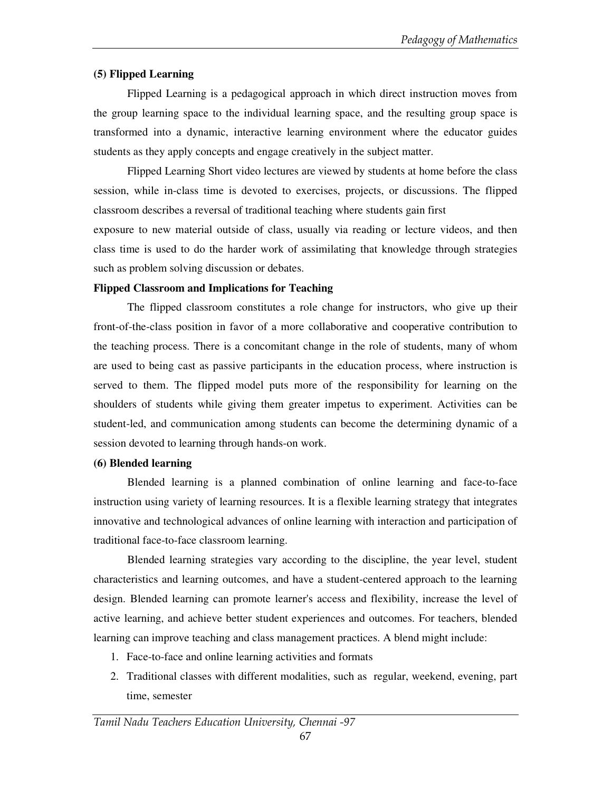# **(5) Flipped Learning**

 Flipped Learning is a pedagogical approach in which direct instruction moves from the group learning space to the individual learning space, and the resulting group space is transformed into a dynamic, interactive learning environment where the educator guides students as they apply concepts and engage creatively in the subject matter.

 Flipped Learning Short video lectures are viewed by students at home before the class session, while in-class time is devoted to exercises, projects, or discussions. The flipped classroom describes a reversal of traditional teaching where students gain first

exposure to new material outside of class, usually via reading or lecture videos, and then class time is used to do the harder work of assimilating that knowledge through strategies such as problem solving discussion or debates.

# **Flipped Classroom and Implications for Teaching**

The flipped classroom constitutes a role change for instructors, who give up their front-of-the-class position in favor of a more collaborative and cooperative contribution to the teaching process. There is a concomitant change in the role of students, many of whom are used to being cast as passive participants in the education process, where instruction is served to them. The flipped model puts more of the responsibility for learning on the shoulders of students while giving them greater impetus to experiment. Activities can be student-led, and communication among students can become the determining dynamic of a session devoted to learning through hands-on work.

#### **(6) Blended learning**

 Blended learning is a planned combination of online learning and face-to-face instruction using variety of learning resources. It is a flexible learning strategy that integrates innovative and technological advances of online learning with interaction and participation of traditional face-to-face classroom learning.

Blended learning strategies vary according to the discipline, the year level, student characteristics and learning outcomes, and have a student-centered approach to the learning design. Blended learning can promote learner's access and flexibility, increase the level of active learning, and achieve better student experiences and outcomes. For teachers, blended learning can improve teaching and class management practices. A blend might include:

- 1. Face-to-face and online learning activities and formats
- 2. Traditional classes with different modalities, such as regular, weekend, evening, part time, semester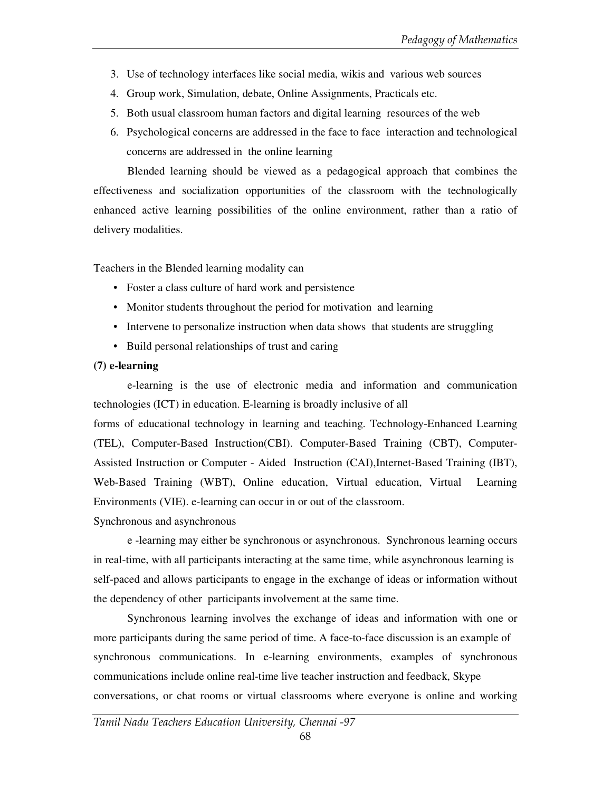- 3. Use of technology interfaces like social media, wikis and various web sources
- 4. Group work, Simulation, debate, Online Assignments, Practicals etc.
- 5. Both usual classroom human factors and digital learning resources of the web
- 6. Psychological concerns are addressed in the face to face interaction and technological concerns are addressed in the online learning

 Blended learning should be viewed as a pedagogical approach that combines the effectiveness and socialization opportunities of the classroom with the technologically enhanced active learning possibilities of the online environment, rather than a ratio of delivery modalities.

Teachers in the Blended learning modality can

- Foster a class culture of hard work and persistence
- Monitor students throughout the period for motivation and learning
- Intervene to personalize instruction when data shows that students are struggling
- Build personal relationships of trust and caring

#### **(7) e-learning**

 e-learning is the use of electronic media and information and communication technologies (ICT) in education. E-learning is broadly inclusive of all

forms of educational technology in learning and teaching. Technology-Enhanced Learning (TEL), Computer-Based Instruction(CBI). Computer-Based Training (CBT), Computer-Assisted Instruction or Computer - Aided Instruction (CAI),Internet-Based Training (IBT), Web-Based Training (WBT), Online education, Virtual education, Virtual Learning Environments (VIE). e-learning can occur in or out of the classroom.

Synchronous and asynchronous

 e -learning may either be synchronous or asynchronous. Synchronous learning occurs in real-time, with all participants interacting at the same time, while asynchronous learning is self-paced and allows participants to engage in the exchange of ideas or information without the dependency of other participants involvement at the same time.

 Synchronous learning involves the exchange of ideas and information with one or more participants during the same period of time. A face-to-face discussion is an example of synchronous communications. In e-learning environments, examples of synchronous communications include online real-time live teacher instruction and feedback, Skype conversations, or chat rooms or virtual classrooms where everyone is online and working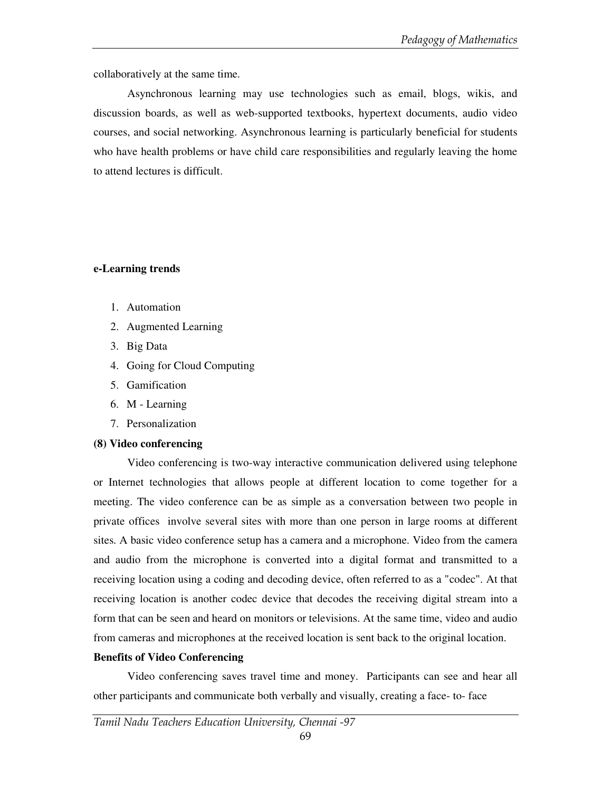collaboratively at the same time.

 Asynchronous learning may use technologies such as email, blogs, wikis, and discussion boards, as well as web-supported textbooks, hypertext documents, audio video courses, and social networking. Asynchronous learning is particularly beneficial for students who have health problems or have child care responsibilities and regularly leaving the home to attend lectures is difficult.

# **e-Learning trends**

- 1. Automation
- 2. Augmented Learning
- 3. Big Data
- 4. Going for Cloud Computing
- 5. Gamification
- 6. M Learning
- 7. Personalization

# **(8) Video conferencing**

 Video conferencing is two-way interactive communication delivered using telephone or Internet technologies that allows people at different location to come together for a meeting. The video conference can be as simple as a conversation between two people in private offices involve several sites with more than one person in large rooms at different sites. A basic video conference setup has a camera and a microphone. Video from the camera and audio from the microphone is converted into a digital format and transmitted to a receiving location using a coding and decoding device, often referred to as a "codec". At that receiving location is another codec device that decodes the receiving digital stream into a form that can be seen and heard on monitors or televisions. At the same time, video and audio from cameras and microphones at the received location is sent back to the original location.

# **Benefits of Video Conferencing**

Video conferencing saves travel time and money. Participants can see and hear all other participants and communicate both verbally and visually, creating a face- to- face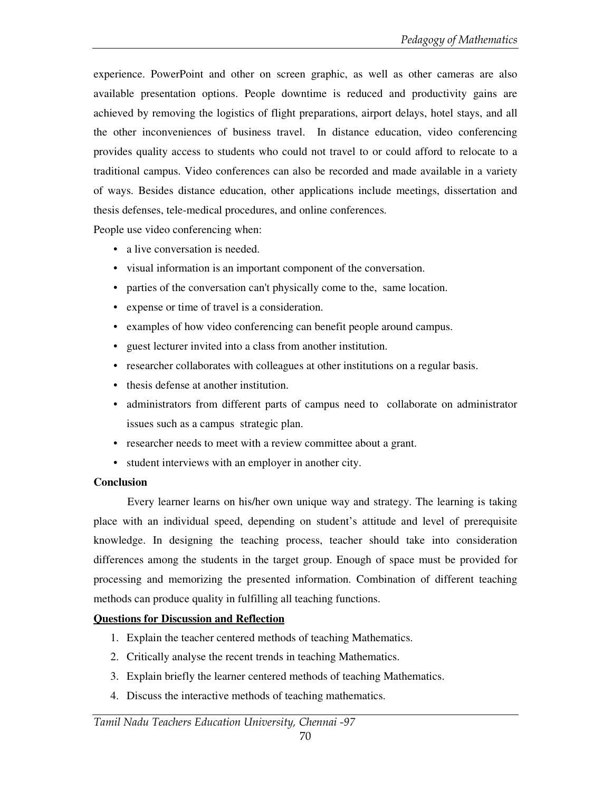experience. PowerPoint and other on screen graphic, as well as other cameras are also available presentation options. People downtime is reduced and productivity gains are achieved by removing the logistics of flight preparations, airport delays, hotel stays, and all the other inconveniences of business travel. In distance education, video conferencing provides quality access to students who could not travel to or could afford to relocate to a traditional campus. Video conferences can also be recorded and made available in a variety of ways. Besides distance education, other applications include meetings, dissertation and thesis defenses, tele-medical procedures, and online conferences.

People use video conferencing when:

- a live conversation is needed.
- visual information is an important component of the conversation.
- parties of the conversation can't physically come to the, same location.
- expense or time of travel is a consideration.
- examples of how video conferencing can benefit people around campus.
- guest lecturer invited into a class from another institution.
- researcher collaborates with colleagues at other institutions on a regular basis.
- thesis defense at another institution.
- administrators from different parts of campus need to collaborate on administrator issues such as a campus strategic plan.
- researcher needs to meet with a review committee about a grant.
- student interviews with an employer in another city.

#### **Conclusion**

 Every learner learns on his/her own unique way and strategy. The learning is taking place with an individual speed, depending on student's attitude and level of prerequisite knowledge. In designing the teaching process, teacher should take into consideration differences among the students in the target group. Enough of space must be provided for processing and memorizing the presented information. Combination of different teaching methods can produce quality in fulfilling all teaching functions.

#### **Questions for Discussion and Reflection**

- 1. Explain the teacher centered methods of teaching Mathematics.
- 2. Critically analyse the recent trends in teaching Mathematics.
- 3. Explain briefly the learner centered methods of teaching Mathematics.
- 4. Discuss the interactive methods of teaching mathematics.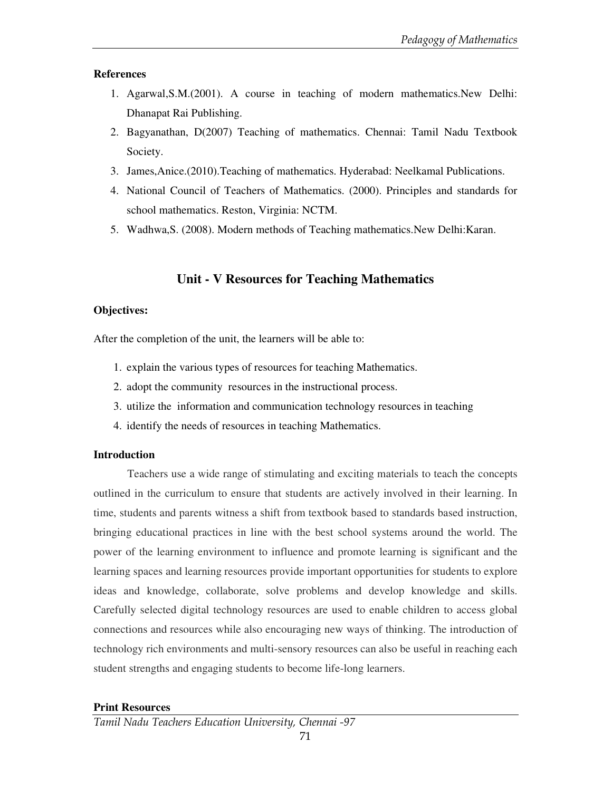### **References**

- 1. Agarwal,S.M.(2001). A course in teaching of modern mathematics.New Delhi: Dhanapat Rai Publishing.
- 2. Bagyanathan, D(2007) Teaching of mathematics. Chennai: Tamil Nadu Textbook Society.
- 3. James,Anice.(2010).Teaching of mathematics. Hyderabad: Neelkamal Publications.
- 4. National Council of Teachers of Mathematics. (2000). Principles and standards for school mathematics. Reston, Virginia: NCTM.
- 5. Wadhwa,S. (2008). Modern methods of Teaching mathematics.New Delhi:Karan.

# **Unit - V Resources for Teaching Mathematics**

# **Objectives:**

After the completion of the unit, the learners will be able to:

- 1. explain the various types of resources for teaching Mathematics.
- 2. adopt the community resources in the instructional process.
- 3. utilize the information and communication technology resources in teaching
- 4. identify the needs of resources in teaching Mathematics.

#### **Introduction**

 Teachers use a wide range of stimulating and exciting materials to teach the concepts outlined in the curriculum to ensure that students are actively involved in their learning. In time, students and parents witness a shift from textbook based to standards based instruction, bringing educational practices in line with the best school systems around the world. The power of the learning environment to influence and promote learning is significant and the learning spaces and learning resources provide important opportunities for students to explore ideas and knowledge, collaborate, solve problems and develop knowledge and skills. Carefully selected digital technology resources are used to enable children to access global connections and resources while also encouraging new ways of thinking. The introduction of technology rich environments and multi-sensory resources can also be useful in reaching each student strengths and engaging students to become life-long learners.

#### **Print Resources**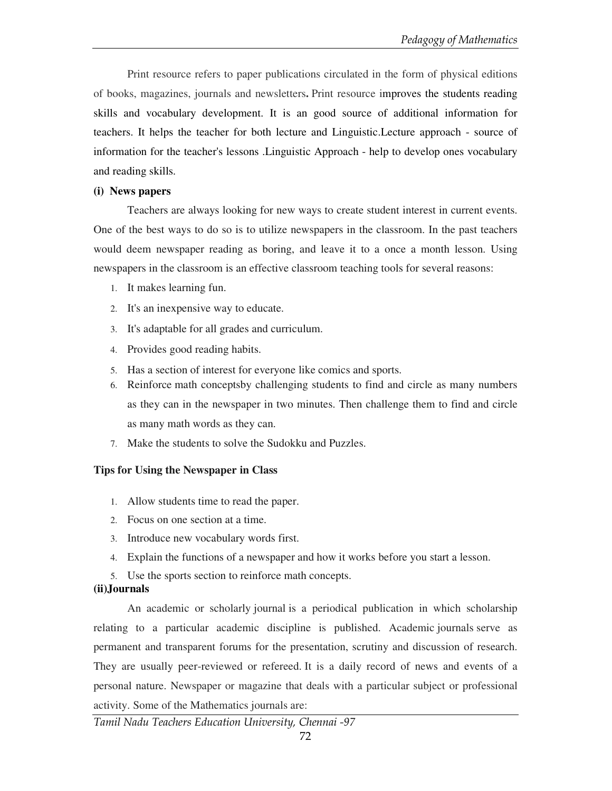Print resource refers to paper publications circulated in the form of physical editions of books, magazines, journals and newsletters**.** Print resource improves the students reading skills and vocabulary development. It is an good source of additional information for teachers. It helps the teacher for both lecture and Linguistic.Lecture approach - source of information for the teacher's lessons .Linguistic Approach - help to develop ones vocabulary and reading skills.

#### **(i) News papers**

 Teachers are always looking for new ways to create student interest in current events. One of the best ways to do so is to utilize newspapers in the classroom. In the past teachers would deem newspaper reading as boring, and leave it to a once a month lesson. Using newspapers in the classroom is an effective classroom teaching tools for several reasons:

- 1. It makes learning fun.
- 2. It's an inexpensive way to educate.
- 3. It's adaptable for all grades and curriculum.
- 4. Provides good reading habits.
- 5. Has a section of interest for everyone like comics and sports.
- 6. Reinforce math conceptsby challenging students to find and circle as many numbers as they can in the newspaper in two minutes. Then challenge them to find and circle as many math words as they can.
- 7. Make the students to solve the Sudokku and Puzzles.

# **Tips for Using the Newspaper in Class**

- 1. Allow students time to read the paper.
- 2. Focus on one section at a time.
- 3. Introduce new vocabulary words first.
- 4. Explain the functions of a newspaper and how it works before you start a lesson.
- 5. Use the sports section to reinforce math concepts.

#### **(ii)Journals**

 An academic or scholarly journal is a periodical publication in which scholarship relating to a particular academic discipline is published. Academic journals serve as permanent and transparent forums for the presentation, scrutiny and discussion of research. They are usually peer-reviewed or refereed. It is a daily record of news and events of a personal nature. Newspaper or magazine that deals with a particular subject or professional activity. Some of the Mathematics journals are: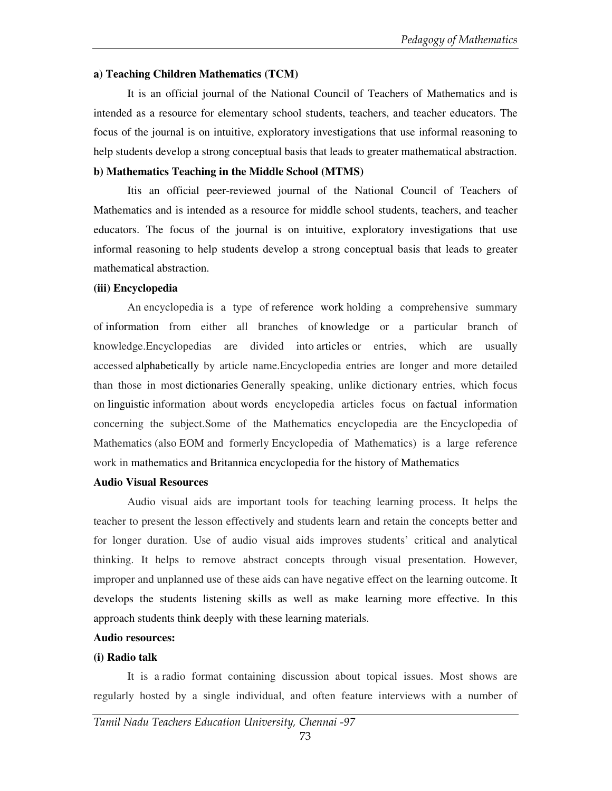### **a) Teaching Children Mathematics (TCM)**

 It is an official journal of the National Council of Teachers of Mathematics and is intended as a resource for elementary school students, teachers, and teacher educators. The focus of the journal is on intuitive, exploratory investigations that use informal reasoning to help students develop a strong conceptual basis that leads to greater mathematical abstraction.

### **b) Mathematics Teaching in the Middle School (MTMS)**

 Itis an official peer-reviewed journal of the National Council of Teachers of Mathematics and is intended as a resource for middle school students, teachers, and teacher educators. The focus of the journal is on intuitive, exploratory investigations that use informal reasoning to help students develop a strong conceptual basis that leads to greater mathematical abstraction.

## **(iii) Encyclopedia**

An encyclopedia is a type of reference work holding a comprehensive summary of information from either all branches of knowledge or a particular branch of knowledge.Encyclopedias are divided into articles or entries, which are usually accessed alphabetically by article name.Encyclopedia entries are longer and more detailed than those in most dictionaries Generally speaking, unlike dictionary entries, which focus on linguistic information about words encyclopedia articles focus on factual information concerning the subject.Some of the Mathematics encyclopedia are the Encyclopedia of Mathematics (also EOM and formerly Encyclopedia of Mathematics) is a large reference work in mathematics and Britannica encyclopedia for the history of Mathematics

### **Audio Visual Resources**

 Audio visual aids are important tools for teaching learning process. It helps the teacher to present the lesson effectively and students learn and retain the concepts better and for longer duration. Use of audio visual aids improves students' critical and analytical thinking. It helps to remove abstract concepts through visual presentation. However, improper and unplanned use of these aids can have negative effect on the learning outcome. It develops the students listening skills as well as make learning more effective. In this approach students think deeply with these learning materials.

# **Audio resources:**

## **(i) Radio talk**

It is a radio format containing discussion about topical issues. Most shows are regularly hosted by a single individual, and often feature interviews with a number of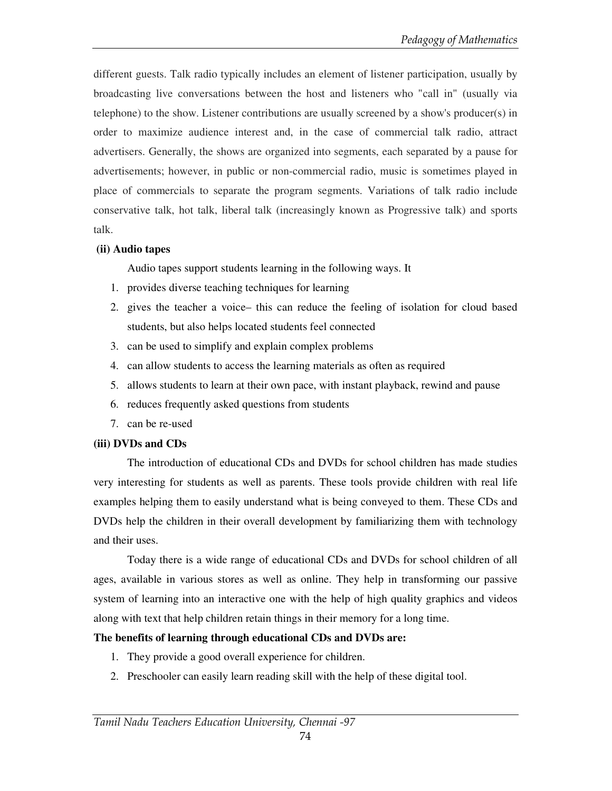different guests. Talk radio typically includes an element of listener participation, usually by broadcasting live conversations between the host and listeners who "call in" (usually via telephone) to the show. Listener contributions are usually screened by a show's producer(s) in order to maximize audience interest and, in the case of commercial talk radio, attract advertisers. Generally, the shows are organized into segments, each separated by a pause for advertisements; however, in public or non-commercial radio, music is sometimes played in place of commercials to separate the program segments. Variations of talk radio include conservative talk, hot talk, liberal talk (increasingly known as Progressive talk) and sports talk.

## **(ii) Audio tapes**

Audio tapes support students learning in the following ways. It

- 1. provides diverse teaching techniques for learning
- 2. gives the teacher a voice– this can reduce the feeling of isolation for cloud based students, but also helps located students feel connected
- 3. can be used to simplify and explain complex problems
- 4. can allow students to access the learning materials as often as required
- 5. allows students to learn at their own pace, with instant playback, rewind and pause
- 6. reduces frequently asked questions from students
- 7. can be re-used

## **(iii) DVDs and CDs**

The introduction of educational CDs and DVDs for school children has made studies very interesting for students as well as parents. These tools provide children with real life examples helping them to easily understand what is being conveyed to them. These CDs and DVDs help the children in their overall development by familiarizing them with technology and their uses.

 Today there is a wide range of educational CDs and DVDs for school children of all ages, available in various stores as well as online. They help in transforming our passive system of learning into an interactive one with the help of high quality graphics and videos along with text that help children retain things in their memory for a long time.

# **The benefits of learning through educational CDs and DVDs are:**

- 1. They provide a good overall experience for children.
- 2. Preschooler can easily learn reading skill with the help of these digital tool.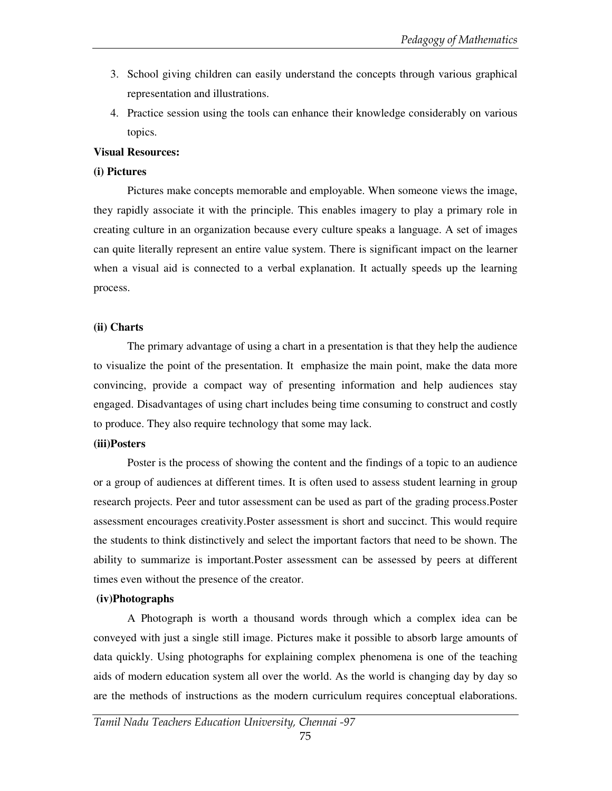- 3. School giving children can easily understand the concepts through various graphical representation and illustrations.
- 4. Practice session using the tools can enhance their knowledge considerably on various topics.

#### **Visual Resources:**

#### **(i) Pictures**

 Pictures make concepts memorable and employable. When someone views the image, they rapidly associate it with the principle. This enables imagery to play a primary role in creating culture in an organization because every culture speaks a language. A set of images can quite literally represent an entire value system. There is significant impact on the learner when a visual aid is connected to a verbal explanation. It actually speeds up the learning process.

#### **(ii) Charts**

 The primary advantage of using a chart in a presentation is that they help the audience to visualize the point of the presentation. It emphasize the main point, make the data more convincing, provide a compact way of presenting information and help audiences stay engaged. Disadvantages of using chart includes being time consuming to construct and costly to produce. They also require technology that some may lack.

#### **(iii)Posters**

 Poster is the process of showing the content and the findings of a topic to an audience or a group of audiences at different times. It is often used to assess student learning in group research projects. Peer and tutor assessment can be used as part of the grading process.Poster assessment encourages creativity.Poster assessment is short and succinct. This would require the students to think distinctively and select the important factors that need to be shown. The ability to summarize is important.Poster assessment can be assessed by peers at different times even without the presence of the creator.

### **(iv)Photographs**

 A Photograph is worth a thousand words through which a complex idea can be conveyed with just a single still image. Pictures make it possible to absorb large amounts of data quickly. Using photographs for explaining complex phenomena is one of the teaching aids of modern education system all over the world. As the world is changing day by day so are the methods of instructions as the modern curriculum requires conceptual elaborations.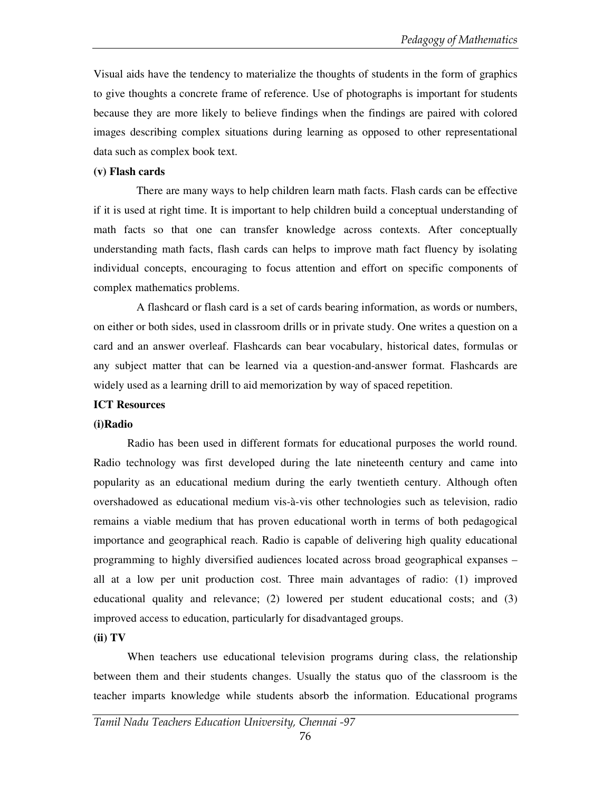Visual aids have the tendency to materialize the thoughts of students in the form of graphics to give thoughts a concrete frame of reference. Use of photographs is important for students because they are more likely to believe findings when the findings are paired with colored images describing complex situations during learning as opposed to other representational data such as complex book text.

#### **(v) Flash cards**

 There are many ways to help children learn math facts. Flash cards can be effective if it is used at right time. It is important to help children build a conceptual understanding of math facts so that one can transfer knowledge across contexts. After conceptually understanding math facts, flash cards can helps to improve math fact fluency by isolating individual concepts, encouraging to focus attention and effort on specific components of complex mathematics problems.

 A flashcard or flash card is a set of cards bearing information, as words or numbers, on either or both sides, used in classroom drills or in private study. One writes a question on a card and an answer overleaf. Flashcards can bear vocabulary, historical dates, formulas or any subject matter that can be learned via a question-and-answer format. Flashcards are widely used as a learning drill to aid memorization by way of spaced repetition.

#### **ICT Resources**

### **(i)Radio**

 Radio has been used in different formats for educational purposes the world round. Radio technology was first developed during the late nineteenth century and came into popularity as an educational medium during the early twentieth century. Although often overshadowed as educational medium vis-à-vis other technologies such as television, radio remains a viable medium that has proven educational worth in terms of both pedagogical importance and geographical reach. Radio is capable of delivering high quality educational programming to highly diversified audiences located across broad geographical expanses – all at a low per unit production cost. Three main advantages of radio: (1) improved educational quality and relevance; (2) lowered per student educational costs; and (3) improved access to education, particularly for disadvantaged groups.

### **(ii) TV**

 When teachers use educational television programs during class, the relationship between them and their students changes. Usually the status quo of the classroom is the teacher imparts knowledge while students absorb the information. Educational programs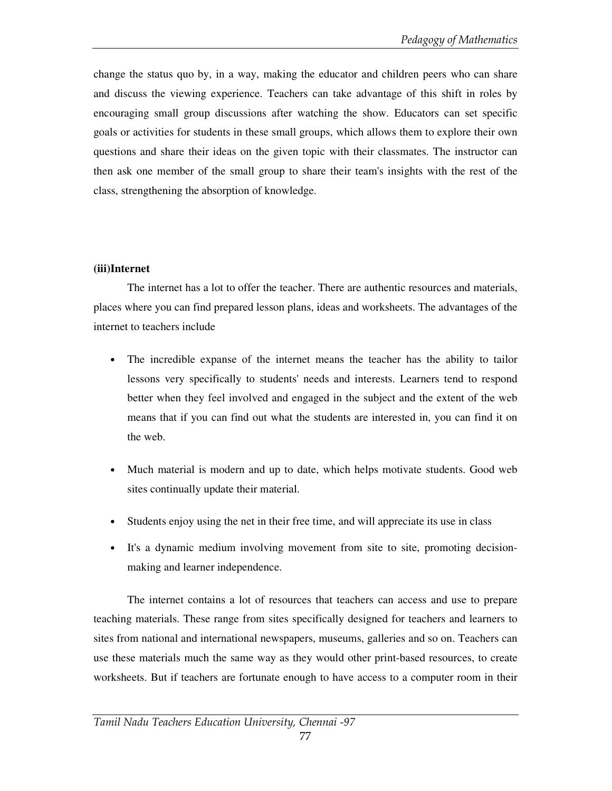change the status quo by, in a way, making the educator and children peers who can share and discuss the viewing experience. Teachers can take advantage of this shift in roles by encouraging small group discussions after watching the show. Educators can set specific goals or activities for students in these small groups, which allows them to explore their own questions and share their ideas on the given topic with their classmates. The instructor can then ask one member of the small group to share their team's insights with the rest of the class, strengthening the absorption of knowledge.

### **(iii)Internet**

The internet has a lot to offer the teacher. There are authentic resources and materials, places where you can find prepared lesson plans, ideas and worksheets. The advantages of the internet to teachers include

- The incredible expanse of the internet means the teacher has the ability to tailor lessons very specifically to students' needs and interests. Learners tend to respond better when they feel involved and engaged in the subject and the extent of the web means that if you can find out what the students are interested in, you can find it on the web.
- Much material is modern and up to date, which helps motivate students. Good web sites continually update their material.
- Students enjoy using the net in their free time, and will appreciate its use in class
- It's a dynamic medium involving movement from site to site, promoting decisionmaking and learner independence.

 The internet contains a lot of resources that teachers can access and use to prepare teaching materials. These range from sites specifically designed for teachers and learners to sites from national and international newspapers, museums, galleries and so on. Teachers can use these materials much the same way as they would other print-based resources, to create worksheets. But if teachers are fortunate enough to have access to a computer room in their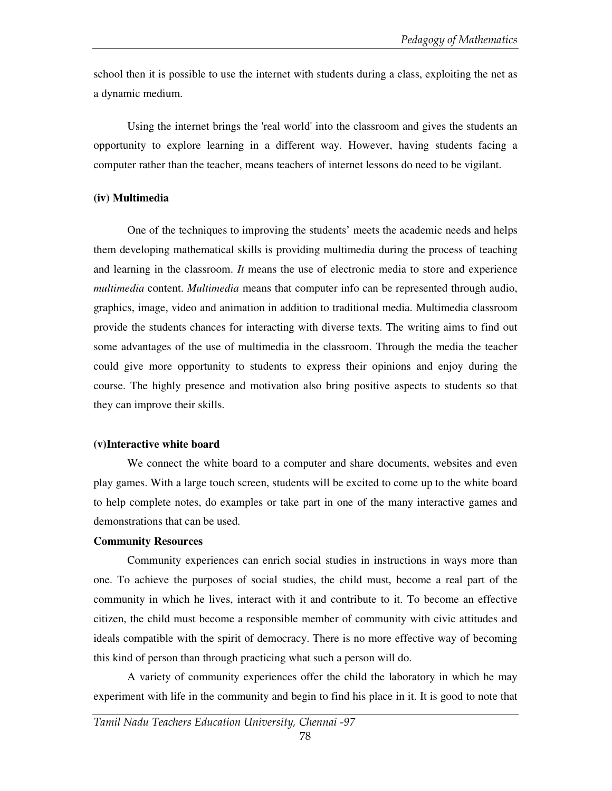school then it is possible to use the internet with students during a class, exploiting the net as a dynamic medium.

Using the internet brings the 'real world' into the classroom and gives the students an opportunity to explore learning in a different way. However, having students facing a computer rather than the teacher, means teachers of internet lessons do need to be vigilant.

#### **(iv) Multimedia**

 One of the techniques to improving the students' meets the academic needs and helps them developing mathematical skills is providing multimedia during the process of teaching and learning in the classroom. *It* means the use of electronic media to store and experience *multimedia* content. *Multimedia* means that computer info can be represented through audio, graphics, image, video and animation in addition to traditional media. Multimedia classroom provide the students chances for interacting with diverse texts. The writing aims to find out some advantages of the use of multimedia in the classroom. Through the media the teacher could give more opportunity to students to express their opinions and enjoy during the course. The highly presence and motivation also bring positive aspects to students so that they can improve their skills.

#### **(v)Interactive white board**

 We connect the white board to a computer and share documents, websites and even play games. With a large touch screen, students will be excited to come up to the white board to help complete notes, do examples or take part in one of the many interactive games and demonstrations that can be used.

#### **Community Resources**

 Community experiences can enrich social studies in instructions in ways more than one. To achieve the purposes of social studies, the child must, become a real part of the community in which he lives, interact with it and contribute to it. To become an effective citizen, the child must become a responsible member of community with civic attitudes and ideals compatible with the spirit of democracy. There is no more effective way of becoming this kind of person than through practicing what such a person will do.

 A variety of community experiences offer the child the laboratory in which he may experiment with life in the community and begin to find his place in it. It is good to note that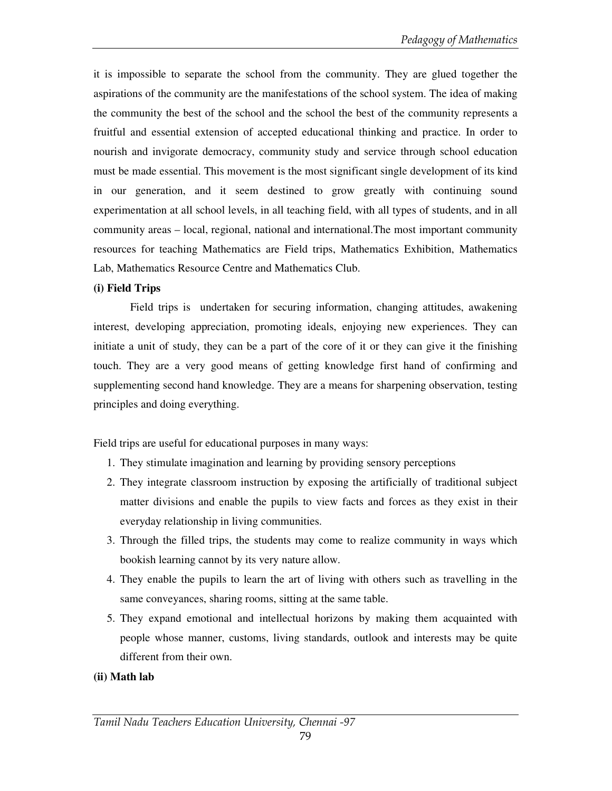it is impossible to separate the school from the community. They are glued together the aspirations of the community are the manifestations of the school system. The idea of making the community the best of the school and the school the best of the community represents a fruitful and essential extension of accepted educational thinking and practice. In order to nourish and invigorate democracy, community study and service through school education must be made essential. This movement is the most significant single development of its kind in our generation, and it seem destined to grow greatly with continuing sound experimentation at all school levels, in all teaching field, with all types of students, and in all community areas – local, regional, national and international.The most important community resources for teaching Mathematics are Field trips, Mathematics Exhibition, Mathematics Lab, Mathematics Resource Centre and Mathematics Club.

## **(i) Field Trips**

 Field trips is undertaken for securing information, changing attitudes, awakening interest, developing appreciation, promoting ideals, enjoying new experiences. They can initiate a unit of study, they can be a part of the core of it or they can give it the finishing touch. They are a very good means of getting knowledge first hand of confirming and supplementing second hand knowledge. They are a means for sharpening observation, testing principles and doing everything.

Field trips are useful for educational purposes in many ways:

- 1. They stimulate imagination and learning by providing sensory perceptions
- 2. They integrate classroom instruction by exposing the artificially of traditional subject matter divisions and enable the pupils to view facts and forces as they exist in their everyday relationship in living communities.
- 3. Through the filled trips, the students may come to realize community in ways which bookish learning cannot by its very nature allow.
- 4. They enable the pupils to learn the art of living with others such as travelling in the same conveyances, sharing rooms, sitting at the same table.
- 5. They expand emotional and intellectual horizons by making them acquainted with people whose manner, customs, living standards, outlook and interests may be quite different from their own.

### **(ii) Math lab**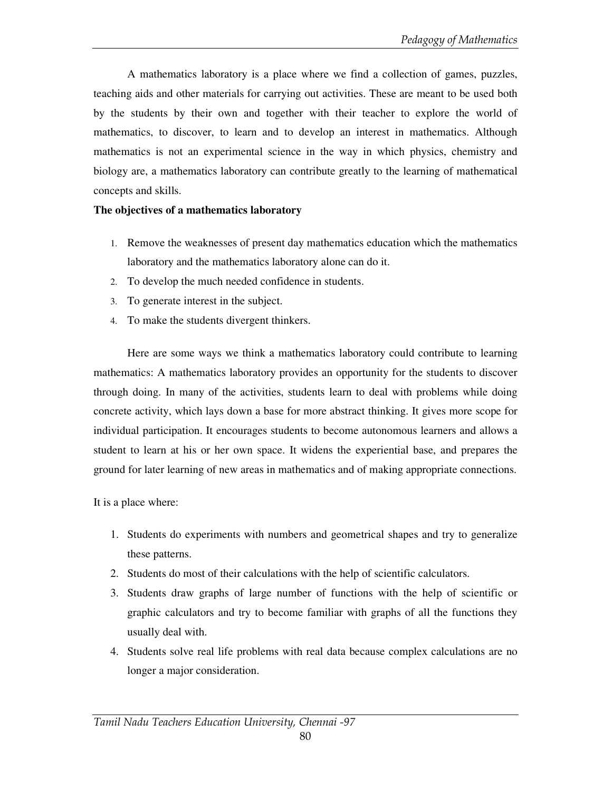A mathematics laboratory is a place where we find a collection of games, puzzles, teaching aids and other materials for carrying out activities. These are meant to be used both by the students by their own and together with their teacher to explore the world of mathematics, to discover, to learn and to develop an interest in mathematics. Although mathematics is not an experimental science in the way in which physics, chemistry and biology are, a mathematics laboratory can contribute greatly to the learning of mathematical concepts and skills.

### **The objectives of a mathematics laboratory**

- 1. Remove the weaknesses of present day mathematics education which the mathematics laboratory and the mathematics laboratory alone can do it.
- 2. To develop the much needed confidence in students.
- 3. To generate interest in the subject.
- 4. To make the students divergent thinkers.

 Here are some ways we think a mathematics laboratory could contribute to learning mathematics: A mathematics laboratory provides an opportunity for the students to discover through doing. In many of the activities, students learn to deal with problems while doing concrete activity, which lays down a base for more abstract thinking. It gives more scope for individual participation. It encourages students to become autonomous learners and allows a student to learn at his or her own space. It widens the experiential base, and prepares the ground for later learning of new areas in mathematics and of making appropriate connections.

It is a place where:

- 1. Students do experiments with numbers and geometrical shapes and try to generalize these patterns.
- 2. Students do most of their calculations with the help of scientific calculators.
- 3. Students draw graphs of large number of functions with the help of scientific or graphic calculators and try to become familiar with graphs of all the functions they usually deal with.
- 4. Students solve real life problems with real data because complex calculations are no longer a major consideration.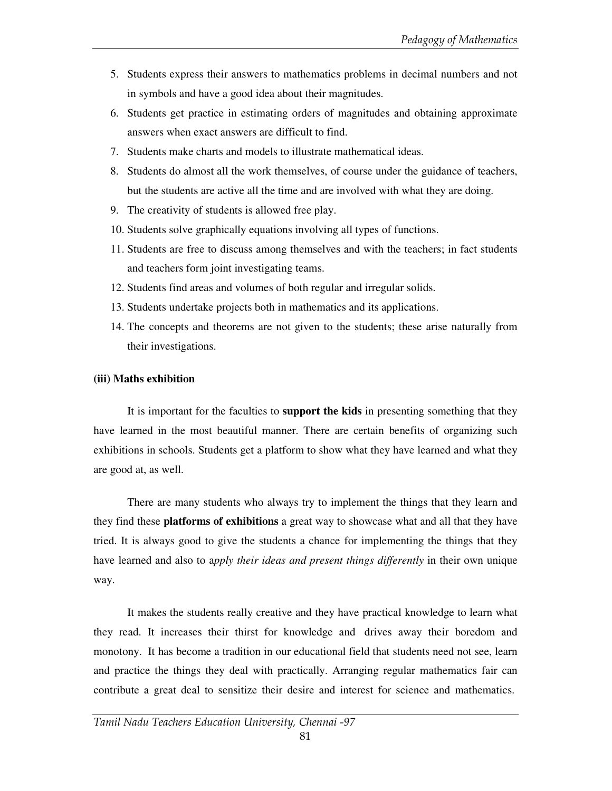- 5. Students express their answers to mathematics problems in decimal numbers and not in symbols and have a good idea about their magnitudes.
- 6. Students get practice in estimating orders of magnitudes and obtaining approximate answers when exact answers are difficult to find.
- 7. Students make charts and models to illustrate mathematical ideas.
- 8. Students do almost all the work themselves, of course under the guidance of teachers, but the students are active all the time and are involved with what they are doing.
- 9. The creativity of students is allowed free play.
- 10. Students solve graphically equations involving all types of functions.
- 11. Students are free to discuss among themselves and with the teachers; in fact students and teachers form joint investigating teams.
- 12. Students find areas and volumes of both regular and irregular solids.
- 13. Students undertake projects both in mathematics and its applications.
- 14. The concepts and theorems are not given to the students; these arise naturally from their investigations.

## **(iii) Maths exhibition**

 It is important for the faculties to **support the kids** in presenting something that they have learned in the most beautiful manner. There are certain benefits of organizing such exhibitions in schools. Students get a platform to show what they have learned and what they are good at, as well.

 There are many students who always try to implement the things that they learn and they find these **platforms of exhibitions** a great way to showcase what and all that they have tried. It is always good to give the students a chance for implementing the things that they have learned and also to a*pply their ideas and present things differently* in their own unique way.

 It makes the students really creative and they have practical knowledge to learn what they read. It increases their thirst for knowledge and drives away their boredom and monotony. It has become a tradition in our educational field that students need not see, learn and practice the things they deal with practically. Arranging regular mathematics fair can contribute a great deal to sensitize their desire and interest for science and mathematics.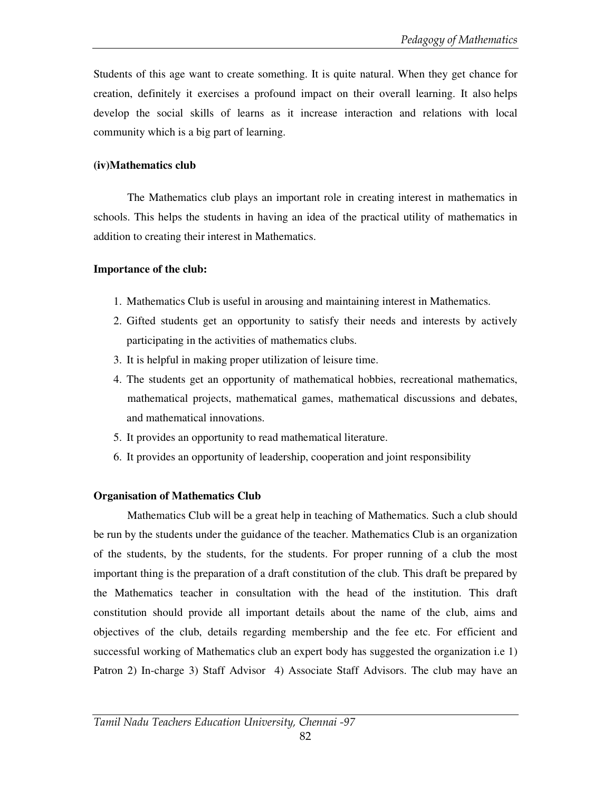Students of this age want to create something. It is quite natural. When they get chance for creation, definitely it exercises a profound impact on their overall learning. It also helps develop the social skills of learns as it increase interaction and relations with local community which is a big part of learning.

### **(iv)Mathematics club**

The Mathematics club plays an important role in creating interest in mathematics in schools. This helps the students in having an idea of the practical utility of mathematics in addition to creating their interest in Mathematics.

### **Importance of the club:**

- 1. Mathematics Club is useful in arousing and maintaining interest in Mathematics.
- 2. Gifted students get an opportunity to satisfy their needs and interests by actively participating in the activities of mathematics clubs.
- 3. It is helpful in making proper utilization of leisure time.
- 4. The students get an opportunity of mathematical hobbies, recreational mathematics, mathematical projects, mathematical games, mathematical discussions and debates, and mathematical innovations.
- 5. It provides an opportunity to read mathematical literature.
- 6. It provides an opportunity of leadership, cooperation and joint responsibility

### **Organisation of Mathematics Club**

 Mathematics Club will be a great help in teaching of Mathematics. Such a club should be run by the students under the guidance of the teacher. Mathematics Club is an organization of the students, by the students, for the students. For proper running of a club the most important thing is the preparation of a draft constitution of the club. This draft be prepared by the Mathematics teacher in consultation with the head of the institution. This draft constitution should provide all important details about the name of the club, aims and objectives of the club, details regarding membership and the fee etc. For efficient and successful working of Mathematics club an expert body has suggested the organization i.e 1) Patron 2) In-charge 3) Staff Advisor 4) Associate Staff Advisors. The club may have an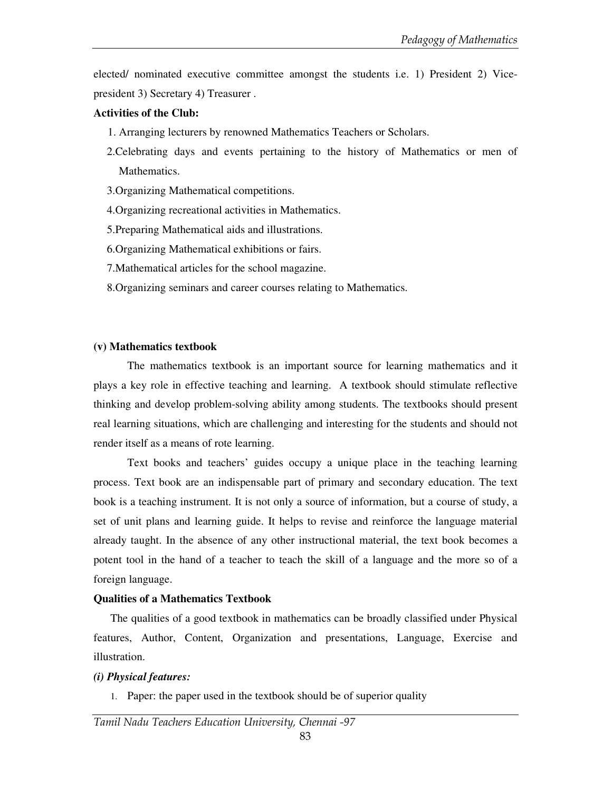elected/ nominated executive committee amongst the students i.e. 1) President 2) Vicepresident 3) Secretary 4) Treasurer .

#### **Activities of the Club:**

- 1. Arranging lecturers by renowned Mathematics Teachers or Scholars.
- 2.Celebrating days and events pertaining to the history of Mathematics or men of Mathematics.
- 3.Organizing Mathematical competitions.
- 4.Organizing recreational activities in Mathematics.
- 5.Preparing Mathematical aids and illustrations.
- 6.Organizing Mathematical exhibitions or fairs.
- 7.Mathematical articles for the school magazine.
- 8.Organizing seminars and career courses relating to Mathematics.

#### **(v) Mathematics textbook**

 The mathematics textbook is an important source for learning mathematics and it plays a key role in effective teaching and learning. A textbook should stimulate reflective thinking and develop problem-solving ability among students. The textbooks should present real learning situations, which are challenging and interesting for the students and should not render itself as a means of rote learning.

Text books and teachers' guides occupy a unique place in the teaching learning process. Text book are an indispensable part of primary and secondary education. The text book is a teaching instrument. It is not only a source of information, but a course of study, a set of unit plans and learning guide. It helps to revise and reinforce the language material already taught. In the absence of any other instructional material, the text book becomes a potent tool in the hand of a teacher to teach the skill of a language and the more so of a foreign language.

### **Qualities of a Mathematics Textbook**

The qualities of a good textbook in mathematics can be broadly classified under Physical features, Author, Content, Organization and presentations, Language, Exercise and illustration.

### *(i) Physical features:*

1. Paper: the paper used in the textbook should be of superior quality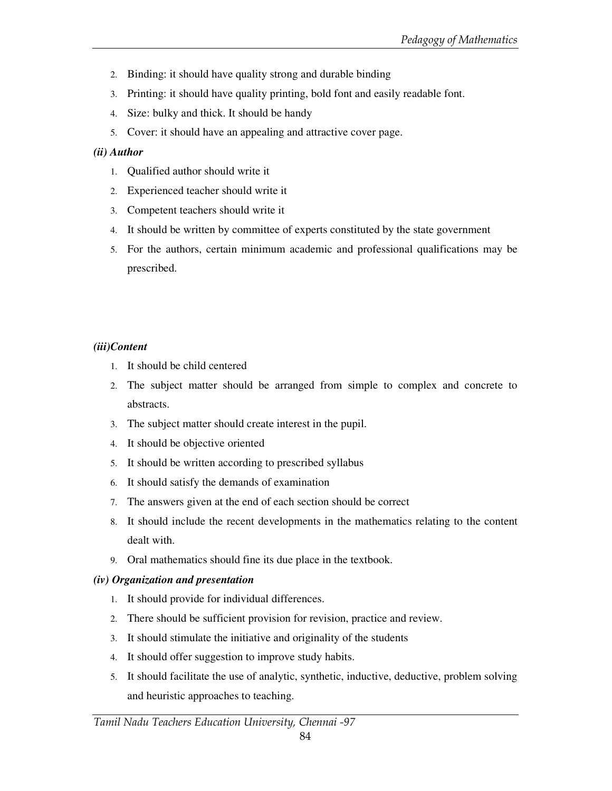- 2. Binding: it should have quality strong and durable binding
- 3. Printing: it should have quality printing, bold font and easily readable font.
- 4. Size: bulky and thick. It should be handy
- 5. Cover: it should have an appealing and attractive cover page.

# *(ii) Author*

- 1. Qualified author should write it
- 2. Experienced teacher should write it
- 3. Competent teachers should write it
- 4. It should be written by committee of experts constituted by the state government
- 5. For the authors, certain minimum academic and professional qualifications may be prescribed.

# *(iii)Content*

- 1. It should be child centered
- 2. The subject matter should be arranged from simple to complex and concrete to abstracts.
- 3. The subject matter should create interest in the pupil.
- 4. It should be objective oriented
- 5. It should be written according to prescribed syllabus
- 6. It should satisfy the demands of examination
- 7. The answers given at the end of each section should be correct
- 8. It should include the recent developments in the mathematics relating to the content dealt with.
- 9. Oral mathematics should fine its due place in the textbook.

## *(iv) Organization and presentation*

- 1. It should provide for individual differences.
- 2. There should be sufficient provision for revision, practice and review.
- 3. It should stimulate the initiative and originality of the students
- 4. It should offer suggestion to improve study habits.
- 5. It should facilitate the use of analytic, synthetic, inductive, deductive, problem solving and heuristic approaches to teaching.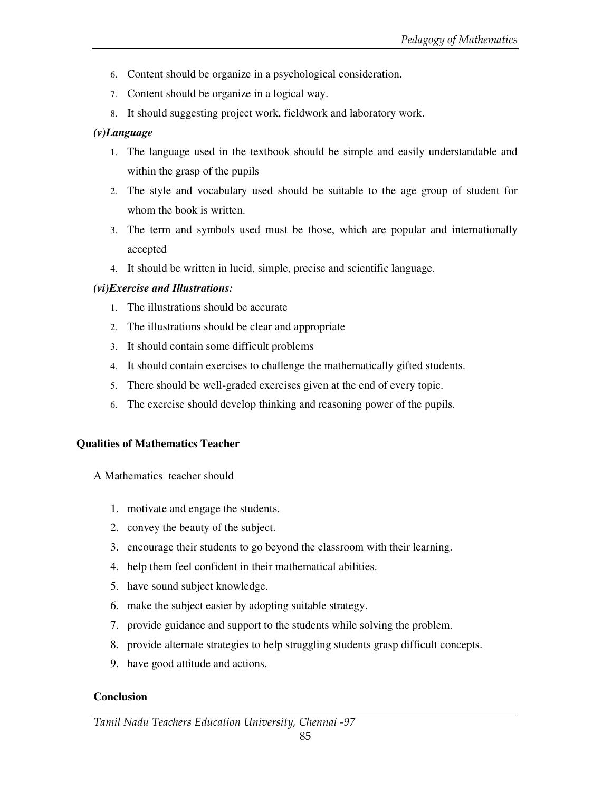- 6. Content should be organize in a psychological consideration.
- 7. Content should be organize in a logical way.
- 8. It should suggesting project work, fieldwork and laboratory work.

# *(v)Language*

- 1. The language used in the textbook should be simple and easily understandable and within the grasp of the pupils
- 2. The style and vocabulary used should be suitable to the age group of student for whom the book is written.
- 3. The term and symbols used must be those, which are popular and internationally accepted
- 4. It should be written in lucid, simple, precise and scientific language.

# *(vi)Exercise and Illustrations:*

- 1. The illustrations should be accurate
- 2. The illustrations should be clear and appropriate
- 3. It should contain some difficult problems
- 4. It should contain exercises to challenge the mathematically gifted students.
- 5. There should be well-graded exercises given at the end of every topic.
- 6. The exercise should develop thinking and reasoning power of the pupils.

## **Qualities of Mathematics Teacher**

A Mathematics teacher should

- 1. motivate and engage the students.
- 2. convey the beauty of the subject.
- 3. encourage their students to go beyond the classroom with their learning.
- 4. help them feel confident in their mathematical abilities.
- 5. have sound subject knowledge.
- 6. make the subject easier by adopting suitable strategy.
- 7. provide guidance and support to the students while solving the problem.
- 8. provide alternate strategies to help struggling students grasp difficult concepts.
- 9. have good attitude and actions.

## **Conclusion**